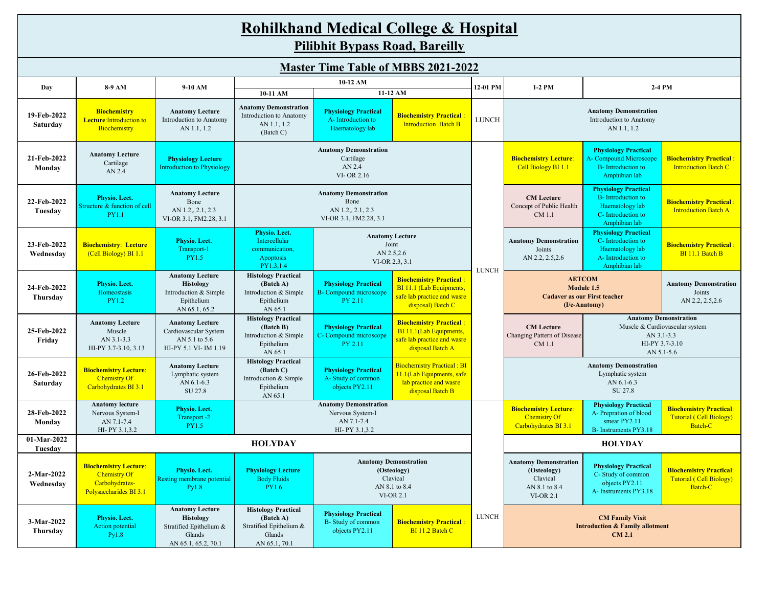# **Rohilkhand Medical College & Hospital**

**Pilibhit Bypass Road, Bareilly**

| <b>Master Time Table of MBBS 2021-2022</b> |                                                                                                 |                                                                                                        |                                                                                               |                                                                                     |                                                                                                                |              |                                                                                                                                                                            |                                                                                                                    |                                                                             |  |
|--------------------------------------------|-------------------------------------------------------------------------------------------------|--------------------------------------------------------------------------------------------------------|-----------------------------------------------------------------------------------------------|-------------------------------------------------------------------------------------|----------------------------------------------------------------------------------------------------------------|--------------|----------------------------------------------------------------------------------------------------------------------------------------------------------------------------|--------------------------------------------------------------------------------------------------------------------|-----------------------------------------------------------------------------|--|
| Day                                        | 8-9 AM                                                                                          | 9-10 AM                                                                                                |                                                                                               | 10-12 AM                                                                            |                                                                                                                | 12-01 PM     | $1-2$ PM                                                                                                                                                                   | 2-4 PM                                                                                                             |                                                                             |  |
|                                            |                                                                                                 |                                                                                                        | 10-11 AM                                                                                      |                                                                                     | 11-12 AM                                                                                                       |              |                                                                                                                                                                            |                                                                                                                    |                                                                             |  |
| 19-Feb-2022<br>Saturday                    | <b>Biochemistry</b><br><b>Lecture:</b> Introduction to<br>Biochemistry                          | <b>Anatomy Lecture</b><br>Introduction to Anatomy<br>AN 1.1, 1.2                                       | <b>Anatomy Demonstration</b><br>Introduction to Anatomy<br>AN 1.1, 1.2<br>(Batch C)           | <b>Physiology Practical</b><br>A-Introduction to<br>Haematology lab                 | <b>Biochemistry Practical</b><br><b>Introduction Batch B</b>                                                   | <b>LUNCH</b> |                                                                                                                                                                            | <b>Anatomy Demonstration</b><br>Introduction to Anatomy<br>AN 1.1, 1.2                                             |                                                                             |  |
| 21-Feb-2022<br>Monday                      | <b>Anatomy Lecture</b><br>Cartilage<br>AN 2.4                                                   | <b>Physiology Lecture</b><br><b>Introduction to Physiology</b>                                         |                                                                                               | <b>Anatomy Demonstration</b><br>Cartilage<br>AN 2.4<br>VI-OR 2.16                   |                                                                                                                |              | <b>Biochemistry Lecture:</b><br>Cell Biology BI 1.1                                                                                                                        | <b>Physiology Practical</b><br><b>A- Compound Microscope</b><br><b>B</b> -Introduction to<br>Amphibian lab         | <b>Biochemistry Practical:</b><br><b>Introduction Batch C</b>               |  |
| 22-Feb-2022<br>Tuesday                     | <b>Physio.</b> Lect.<br>Structure & function of cell<br><b>PY1.1</b>                            | <b>Anatomy Lecture</b><br>Bone<br>AN 1.2,, 2.1, 2.3<br>VI-OR 3.1, FM2.28, 3.1                          |                                                                                               | <b>Anatomy Demonstration</b><br>Bone<br>AN 1.2,, 2.1, 2.3<br>VI-OR 3.1, FM2.28, 3.1 |                                                                                                                |              | <b>CM</b> Lecture<br>Concept of Public Health<br>CM 1.1                                                                                                                    | <b>Physiology Practical</b><br><b>B</b> -Introduction to<br>Haematology lab<br>C- Introduction to<br>Amphibian lab | <b>Biochemistry Practical</b><br><b>Introduction Batch A</b>                |  |
| 23-Feb-2022<br>Wednesday                   | <b>Biochemistry: Lecture</b><br>(Cell Biology) BI 1.1                                           | Physio. Lect.<br>Transport-1<br><b>PY1.5</b>                                                           | Physio. Lect.<br>Intercellular<br>communication,<br>Apoptosis<br>PY1.3,1.4                    | Joint<br>AN 2.5,2.6                                                                 | <b>Anatomy Lecture</b><br>VI-OR 2.3, 3.1                                                                       | <b>LUNCH</b> | <b>Anatomy Demonstration</b><br>Joints<br>AN 2.2, 2.5, 2.6                                                                                                                 | <b>Physiology Practical</b><br>C- Introduction to<br>Haematology lab<br>A-Introduction to<br>Amphibian lab         | <b>Biochemistry Practical:</b><br>BI 11.1 Batch B                           |  |
| 24-Feb-2022<br>Thursday                    | Physio. Lect.<br>Homeostasis<br><b>PY1.2</b>                                                    | <b>Anatomy Lecture</b><br><b>Histology</b><br>Introduction & Simple<br>Epithelium<br>AN 65.1, 65.2     | <b>Histology Practical</b><br>(Batch A)<br>Introduction & Simple<br>Epithelium<br>AN 65.1     | <b>Physiology Practical</b><br><b>B-</b> Compound microscope<br>PY 2.11             | <b>Biochemistry Practical:</b><br>BI 11.1 (Lab Equipments,<br>safe lab practice and wasre<br>disposal) Batch C |              | <b>AETCOM</b><br>Module 1.5<br><b>Cadaver as our First teacher</b><br>(I/c-Anatomy)                                                                                        |                                                                                                                    | <b>Anatomy Demonstration</b><br>Joints<br>AN 2.2, 2.5, 2.6                  |  |
| 25-Feb-2022<br>Friday                      | <b>Anatomy Lecture</b><br>Muscle<br>AN 3.1-3.3<br>HI-PY 3.7-3.10, 3.13                          | <b>Anatomy Lecture</b><br>Cardiovascular System<br>AN 5.1 to 5.6<br>HI-PY 5.1 VI- IM 1.19              | <b>Histology Practical</b><br>(Batch B)<br>Introduction & Simple<br>Epithelium<br>AN 65.1     | <b>Physiology Practical</b><br>C- Compound microscope<br>PY 2.11                    | <b>Biochemistry Practical:</b><br>BI 11.1(Lab Equipments,<br>safe lab practice and wasre<br>disposal Batch A   |              | <b>Anatomy Demonstration</b><br><b>CM</b> Lecture<br>Muscle & Cardiovascular system<br>Changing Pattern of Disease<br>AN 3.1-3.3<br>HI-PY 3.7-3.10<br>CM 1.1<br>AN 5.1-5.6 |                                                                                                                    |                                                                             |  |
| 26-Feb-2022<br>Saturday                    | <b>Biochemistry Lecture:</b><br><b>Chemistry Of</b><br>Carbohydrates BI 3.1                     | <b>Anatomy Lecture</b><br>Lymphatic system<br>AN 6.1-6.3<br>SU 27.8                                    | <b>Histology Practical</b><br>(Batch C)<br>Introduction & Simple<br>Epithelium<br>AN 65.1     | <b>Physiology Practical</b><br>A-Study of common<br>objects PY2.11                  | <b>Biochemistry Practical: BI</b><br>11.1(Lab Equipments, safe<br>lab practice and wasre<br>disposal Batch B   |              |                                                                                                                                                                            | <b>Anatomy Demonstration</b><br>Lymphatic system<br>AN 6.1-6.3<br>SU 27.8                                          |                                                                             |  |
| 28-Feb-2022<br>Monday                      | <b>Anatomy lecture</b><br>Nervous System-I<br>AN 7.1-7.4<br>HI-PY 3.1,3.2                       | Physio. Lect.<br>Transport -2<br><b>PY1.5</b>                                                          |                                                                                               | <b>Anatomy Demonstration</b><br>Nervous System-I<br>AN 7.1-7.4<br>HI-PY 3.1,3.2     |                                                                                                                |              | <b>Biochemistry Lecture:</b><br><b>Chemistry Of</b><br>Carbohydrates BI 3.1                                                                                                | <b>Physiology Practical</b><br>A- Prepration of blood<br>smear PY2.11<br>B- Instruments PY3.18                     | <b>Biochemistry Practical:</b><br><b>Tutorial (Cell Biology)</b><br>Batch-C |  |
| 01-Mar-2022<br>Tuesday                     |                                                                                                 |                                                                                                        | <b>HOLYDAY</b>                                                                                |                                                                                     |                                                                                                                |              |                                                                                                                                                                            | <b>HOLYDAY</b>                                                                                                     |                                                                             |  |
| 2-Mar-2022<br>Wednesday                    | <b>Biochemistry Lecture:</b><br><b>Chemistry Of</b><br>Carbohydrates-<br>Polysaccharides BI 3.1 | Physio. Lect.<br>Resting membrane potential<br>Py1.8                                                   | <b>Physiology Lecture</b><br><b>Body Fluids</b><br><b>PY1.6</b>                               |                                                                                     | <b>Anatomy Demonstration</b><br>(Osteology)<br>Clavical<br>AN 8.1 to 8.4<br><b>VI-OR 2.1</b>                   |              | <b>Anatomy Demonstration</b><br>(Osteology)<br>Clavical<br>AN 8.1 to 8.4<br><b>VI-OR 2.1</b>                                                                               | <b>Physiology Practical</b><br>C-Study of common<br>objects PY2.11<br>A-Instruments PY3.18                         | <b>Biochemistry Practical:</b><br><b>Tutorial (Cell Biology)</b><br>Batch-C |  |
| 3-Mar-2022<br>Thursday                     | Physio. Lect.<br>Action potential<br>Py1.8                                                      | <b>Anatomy Lecture</b><br><b>Histology</b><br>Stratified Epithelium &<br>Glands<br>AN 65.1, 65.2, 70.1 | <b>Histology Practical</b><br>(Batch A)<br>Stratified Epithelium &<br>Glands<br>AN 65.1, 70.1 | <b>Physiology Practical</b><br>B-Study of common<br>objects PY2.11                  | <b>Biochemistry Practical:</b><br>BI 11.2 Batch C                                                              | <b>LUNCH</b> | <b>CM Family Visit</b><br><b>Introduction &amp; Family allotment</b><br><b>CM 2.1</b>                                                                                      |                                                                                                                    |                                                                             |  |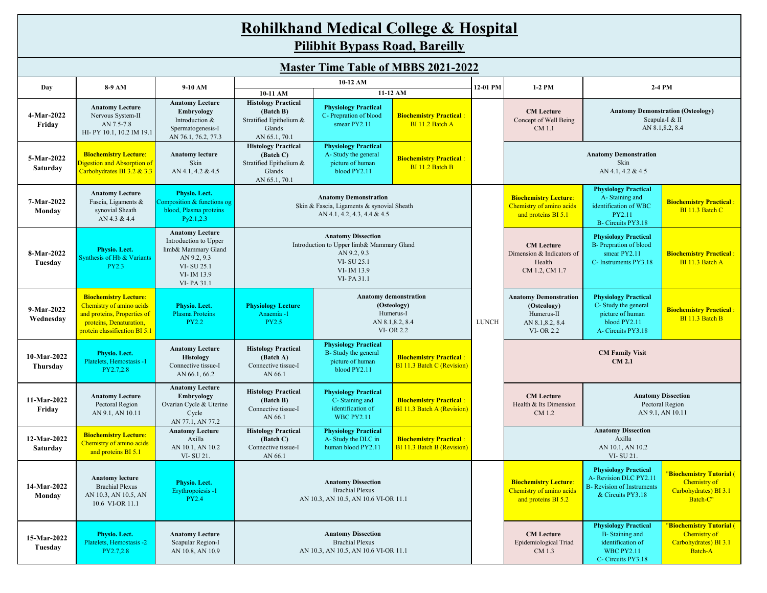|                                            | <b>Rohilkhand Medical College &amp; Hospital</b><br><b>Pilibhit Bypass Road, Bareilly</b>                                                           |                                                                                                                                 |                                                                                                           |                                                                                                                                 |                                                              |              |                                                                                                                                       |                                                                                                               |                                                   |  |  |  |  |  |
|--------------------------------------------|-----------------------------------------------------------------------------------------------------------------------------------------------------|---------------------------------------------------------------------------------------------------------------------------------|-----------------------------------------------------------------------------------------------------------|---------------------------------------------------------------------------------------------------------------------------------|--------------------------------------------------------------|--------------|---------------------------------------------------------------------------------------------------------------------------------------|---------------------------------------------------------------------------------------------------------------|---------------------------------------------------|--|--|--|--|--|
| <b>Master Time Table of MBBS 2021-2022</b> |                                                                                                                                                     |                                                                                                                                 |                                                                                                           |                                                                                                                                 |                                                              |              |                                                                                                                                       |                                                                                                               |                                                   |  |  |  |  |  |
| Day                                        | 8-9 AM                                                                                                                                              | $9-10$ AM                                                                                                                       |                                                                                                           | 10-12 AM<br>11-12 AM<br>10-11 AM                                                                                                |                                                              | 12-01 PM     | $1-2$ PM<br>$2-4$ PM                                                                                                                  |                                                                                                               |                                                   |  |  |  |  |  |
| 4-Mar-2022<br>Friday                       | <b>Anatomy Lecture</b><br>Nervous System-II<br>AN 7.5-7.8<br>HI-PY 10.1, 10.2 IM 19.1                                                               | <b>Anatomy Lecture</b><br>Embryology<br>Introduction &<br>Spermatogenesis-I<br>AN 76.1, 76.2, 77.3                              | <b>Histology Practical</b><br>(Batch B)<br>Stratified Epithelium &<br>Glands<br>AN 65.1, 70.1             | <b>Physiology Practical</b><br>C- Prepration of blood<br>smear PY2.11                                                           | <b>Biochemistry Practical:</b><br>BI 11.2 Batch A            |              | <b>CM</b> Lecture<br><b>Anatomy Demonstration (Osteology)</b><br>Scapula-I & II<br>Concept of Well Being<br>AN 8.1,8.2, 8.4<br>CM 1.1 |                                                                                                               |                                                   |  |  |  |  |  |
| 5-Mar-2022<br>Saturday                     | <b>Biochemistry Lecture:</b><br>Digestion and Absorption of<br>Carbohydrates BI 3.2 & 3.3                                                           | <b>Anatomy lecture</b><br>Skin<br>AN 4.1, 4.2 & 4.5                                                                             | <b>Histology Practical</b><br>(Batch C)<br>Stratified Epithelium &<br>Glands<br>AN 65.1, 70.1             | <b>Physiology Practical</b><br>A-Study the general<br>picture of human<br>blood PY2.11                                          | <b>Biochemistry Practical:</b><br>BI 11.2 Batch B            |              | <b>Anatomy Demonstration</b><br>Skin<br>AN 4.1, 4.2 & 4.5                                                                             |                                                                                                               |                                                   |  |  |  |  |  |
| 7-Mar-2022<br>Monday                       | <b>Anatomy Lecture</b><br>Fascia, Ligaments &<br>synovial Sheath<br>AN 4.3 & 4.4                                                                    | Physio. Lect.<br>Composition & functions og<br>blood, Plasma proteins<br>Py2.1,2.3                                              | <b>Anatomy Demonstration</b><br>Skin & Fascia, Ligaments & synovial Sheath<br>AN 4.1, 4.2, 4.3, 4.4 & 4.5 |                                                                                                                                 |                                                              |              | <b>Biochemistry Lecture:</b><br>Chemistry of amino acids<br>and proteins BI 5.1                                                       | <b>Physiology Practical</b><br>A-Staining and<br>identification of WBC<br>PY2.11<br>B- Circuits PY3.18        | <b>Biochemistry Practical:</b><br>BI 11.3 Batch C |  |  |  |  |  |
| 8-Mar-2022<br>Tuesday                      | <b>Physio.</b> Lect.<br>Synthesis of Hb & Variants<br><b>PY2.3</b>                                                                                  | <b>Anatomy Lecture</b><br>Introduction to Upper<br>limb& Mammary Gland<br>AN 9.2, 9.3<br>VI-SU 25.1<br>VI-IM 13.9<br>VI-PA 31.1 |                                                                                                           | <b>Anatomy Dissection</b><br>Introduction to Upper limb& Mammary Gland<br>AN 9.2, 9.3<br>VI-SU 25.1<br>VI-IM 13.9<br>VI-PA 31.1 |                                                              |              | <b>CM</b> Lecture<br>Dimension & Indicators of<br>Health<br>CM 1.2, CM 1.7                                                            | <b>Physiology Practical</b><br><b>B-</b> Prepration of blood<br>smear $PY2.11$<br>C-Instruments PY3.18        | <b>Biochemistry Practical:</b><br>BI 11.3 Batch A |  |  |  |  |  |
| 9-Mar-2022<br>Wednesday                    | <b>Biochemistry Lecture:</b><br>Chemistry of amino acids<br>and proteins, Properties of<br>proteins, Denaturation,<br>protein classification BI 5.1 | <b>Physio.</b> Lect.<br><b>Plasma Proteins</b><br><b>PY2.2</b>                                                                  | <b>Physiology Lecture</b><br>Anaemia -1<br><b>PY2.5</b>                                                   | <b>Anatomy demonstration</b><br>(Osteology)<br>Humerus-I<br>AN 8.1,8.2, 8.4<br><b>VI-OR 2.2</b>                                 |                                                              | <b>LUNCH</b> | <b>Anatomy Demonstration</b><br>(Osteology)<br>Humerus-II<br>AN 8.1,8.2, 8.4<br><b>VI-OR 2.2</b>                                      | <b>Physiology Practical</b><br>C- Study the general<br>picture of human<br>blood PY2.11<br>A- Circuits PY3.18 | <b>Biochemistry Practical:</b><br>BI 11.3 Batch B |  |  |  |  |  |
| 10-Mar-2022<br>Thursday                    | Physio. Lect.<br>Platelets, Hemostasis -1<br>PY2.7,2.8                                                                                              | <b>Anatomy Lecture</b><br>Histology<br>Connective tissue-I<br>AN 66.1, 66.2                                                     | <b>Histology Practical</b><br>(Batch A)<br>Connective tissue-I<br>AN 66.1                                 | <b>Physiology Practical</b><br>B- Study the general<br>picture of human<br>blood PY2.11                                         | <b>Biochemistry Practical:</b><br>BI 11.3 Batch C (Revision) |              | <b>CM Family Visit</b><br><b>CM 2.1</b>                                                                                               |                                                                                                               |                                                   |  |  |  |  |  |

**Biochemistry Practical** : BI 11.3 Batch A (Revision)

**CM Lecture** Health & Its Dimension CM 1.2

**Anatomy Dissection** Pectoral Region AN 9.1, AN 10.11

**Anatomy Dissection**

**11-Mar-2022 Friday**

**Anatomy Lecture** Pectoral Region AN 9.1, AN 10.11

**Biochemistry Lecture**:

**Anatomy Lecture Embryology** Ovarian Cycle & Uterine Cycle AN 77.1, AN 77.2

**Anatomy Lecture** 

**Histology Practical (Batch B)** Connective tissue-I AN 66.1

**Histology Practical**

| 12-Mar-2022<br>Saturday | <b>Biochemistry Lecture:</b><br>Chemistry of amino acids<br>and proteins BI 5.1             | Axilla<br>AN 10.1, AN 10.2<br>VI-SU 21.                         | (Batch C)<br>Connective tissue-I<br>AN 66.1                                                 | -- <i>,, ------</i> , -,, - - ---------<br>A- Study the DLC in<br>human blood PY2.11        | <b>Biochemistry Practical:</b><br><b>BI 11.3 Batch B (Revision)</b> |                                                                                 | Axilla<br>AN 10.1, AN 10.2<br>VI-SU 21.                                                                         |                                                                               |
|-------------------------|---------------------------------------------------------------------------------------------|-----------------------------------------------------------------|---------------------------------------------------------------------------------------------|---------------------------------------------------------------------------------------------|---------------------------------------------------------------------|---------------------------------------------------------------------------------|-----------------------------------------------------------------------------------------------------------------|-------------------------------------------------------------------------------|
| 14-Mar-2022<br>Monday   | <b>Anatomy lecture</b><br><b>Brachial Plexus</b><br>AN 10.3, AN 10.5, AN<br>10.6 VI-OR 11.1 | Physio. Lect.<br>Erythropoiesis -1<br><b>PY2.4</b>              | <b>Anatomy Dissection</b><br><b>Brachial Plexus</b><br>AN 10.3, AN 10.5, AN 10.6 VI-OR 11.1 |                                                                                             |                                                                     | <b>Biochemistry Lecture:</b><br>Chemistry of amino acids<br>and proteins BI 5.2 | <b>Physiology Practical</b><br>A-Revision DLC PY2.11<br><b>B</b> - Revision of Instruments<br>& Circuits PY3.18 | "Biochemistry Tutorial (<br>Chemistry of<br>Carbohydrates) BI 3.1<br>Batch-C" |
| 15-Mar-2022<br>Tuesday  | Physio. Lect.<br>Platelets, Hemostasis -2<br>PY2.7.2.8                                      | <b>Anatomy Lecture</b><br>Scapular Region-I<br>AN 10.8, AN 10.9 |                                                                                             | <b>Anatomy Dissection</b><br><b>Brachial Plexus</b><br>AN 10.3, AN 10.5, AN 10.6 VI-OR 11.1 |                                                                     | <b>CM Lecture</b><br>Epidemiological Triad<br>CM 1.3                            | <b>Physiology Practical</b><br>B-Staining and<br>identification of<br><b>WBC PY2.11</b><br>C- Circuits PY3.18   | "Biochemistry Tutorial (<br>Chemistry of<br>Carbohydrates) BI 3.1<br>Batch-A  |

**Physiology Practical** C- Staining and identification of WBC PY2.11

**Physiology Practical**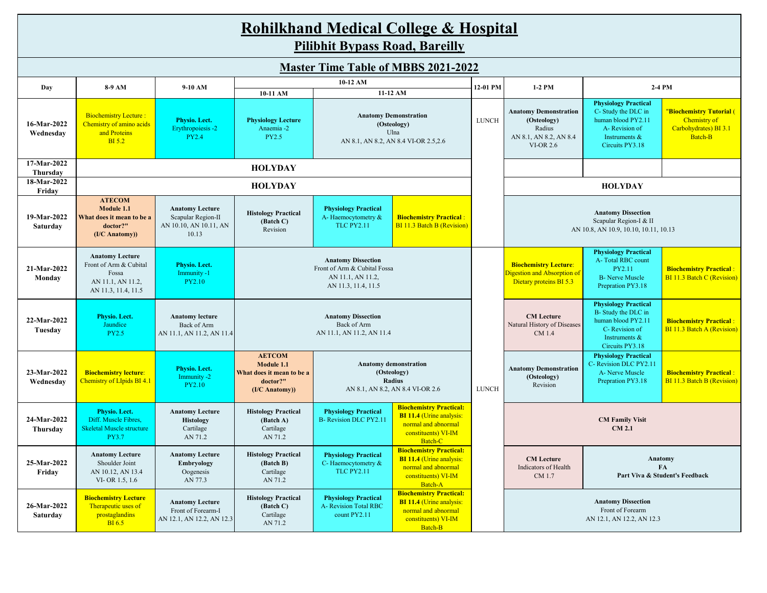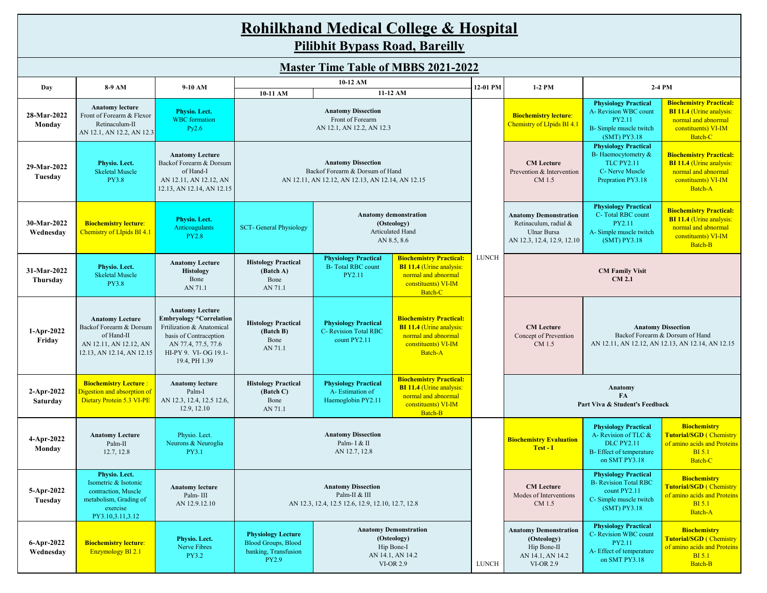| <b>Rohilkhand Medical College &amp; Hospital</b> |
|--------------------------------------------------|
| Pilibhit Bypass Road, Bareilly                   |

| <b>Master Time Table of MBBS 2021-2022</b> |                                                                                                                        |                                                                                                                                                                                 |                                                                                                                                                                                                                                                                  |                                                                                                                                                                                                 |                                                                                                                                   |                                                                                                                                                                          |                                                                                                    |                                                                                                                          |                                                                                                                            |  |  |
|--------------------------------------------|------------------------------------------------------------------------------------------------------------------------|---------------------------------------------------------------------------------------------------------------------------------------------------------------------------------|------------------------------------------------------------------------------------------------------------------------------------------------------------------------------------------------------------------------------------------------------------------|-------------------------------------------------------------------------------------------------------------------------------------------------------------------------------------------------|-----------------------------------------------------------------------------------------------------------------------------------|--------------------------------------------------------------------------------------------------------------------------------------------------------------------------|----------------------------------------------------------------------------------------------------|--------------------------------------------------------------------------------------------------------------------------|----------------------------------------------------------------------------------------------------------------------------|--|--|
| Day                                        | 8-9 AM                                                                                                                 | 9-10 AM                                                                                                                                                                         |                                                                                                                                                                                                                                                                  | 10-12 AM                                                                                                                                                                                        |                                                                                                                                   | 12-01 PM                                                                                                                                                                 | $1-2$ PM                                                                                           | 2-4 PM                                                                                                                   |                                                                                                                            |  |  |
| 28-Mar-2022<br>Monday                      | <b>Anatomy lecture</b><br>Front of Forearm & Flexor<br>Retinaculum-II<br>AN 12.1, AN 12.2, AN 12.3                     | Physio. Lect.<br><b>WBC</b> formation<br>Py2.6                                                                                                                                  | 10-11 AM                                                                                                                                                                                                                                                         | <b>Anatomy Dissection</b><br>Front of Forearm<br>AN 12.1, AN 12.2, AN 12.3                                                                                                                      | 11-12 AM                                                                                                                          |                                                                                                                                                                          | <b>Biochemistry lecture:</b><br>Chemistry of LIpids BI 4.1                                         | <b>Physiology Practical</b><br>A- Revision WBC count<br>PY2.11<br>B- Simple muscle twitch<br>(SMT) PY3.18                | <b>Biochemistry Practical:</b><br><b>BI 11.4</b> (Urine analysis:<br>normal and abnormal<br>constituents) VI-IM<br>Batch-C |  |  |
| 29-Mar-2022<br>Tuesday                     | Physio. Lect.<br><b>Skeletal Muscle</b><br><b>PY3.8</b>                                                                | <b>Anatomy Lecture</b><br>Backof Forearm & Dorsum<br>of Hand-I<br>AN 12.11, AN 12.12, AN<br>12.13, AN 12.14, AN 12.15                                                           | <b>Anatomy Dissection</b><br>Backof Forearm & Dorsum of Hand<br>AN 12.11, AN 12.12, AN 12.13, AN 12.14, AN 12.15                                                                                                                                                 |                                                                                                                                                                                                 |                                                                                                                                   |                                                                                                                                                                          | <b>CM</b> Lecture<br>Prevention & Intervention<br>CM 1.5                                           | <b>Physiology Practical</b><br>B-Haemocytometry &<br><b>TLC PY2.11</b><br>C- Nerve Muscle<br>Prepration PY3.18           | <b>Biochemistry Practical:</b><br><b>BI 11.4 (Urine analysis:</b><br>normal and abnormal<br>constituents) VI-IM<br>Batch-A |  |  |
| 30-Mar-2022<br>Wednesday                   | <b>Biochemistry lecture:</b><br><b>Chemistry of LIpids BI 4.1</b>                                                      | Physio. Lect.<br>Anticoagulants<br><b>PY2.8</b>                                                                                                                                 | <b>SCT-General Physiology</b>                                                                                                                                                                                                                                    |                                                                                                                                                                                                 | <b>Anatomy demonstration</b><br>(Osteology)<br>Articulated Hand<br>AN 8.5, 8.6                                                    |                                                                                                                                                                          | <b>Anatomy Demonstration</b><br>Retinaculum, radial &<br>Ulnar Bursa<br>AN 12.3, 12.4, 12.9, 12.10 | <b>Physiology Practical</b><br>C-Total RBC count<br>PY2.11<br>A-Simple muscle twitch<br>(SMT) PY3.18                     | <b>Biochemistry Practical:</b><br><b>BI 11.4 (Urine analysis:</b><br>normal and abnormal<br>constituents) VI-IM<br>Batch-B |  |  |
| 31-Mar-2022<br>Thursday                    | Physio. Lect.<br><b>Skeletal Muscle</b><br><b>PY3.8</b>                                                                | <b>Anatomy Lecture</b><br><b>Histology</b><br>Bone<br>AN 71.1                                                                                                                   | <b>Histology Practical</b><br>(Batch A)<br>Bone<br>AN 71.1                                                                                                                                                                                                       | <b>Biochemistry Practical:</b><br><b>Physiology Practical</b><br><b>B-Total RBC count</b><br><b>BI 11.4 (Urine analysis:</b><br>normal and abnormal<br>PY2.11<br>constituents) VI-IM<br>Batch-C |                                                                                                                                   |                                                                                                                                                                          |                                                                                                    | <b>CM Family Visit</b><br><b>CM 2.1</b>                                                                                  |                                                                                                                            |  |  |
| 1-Apr-2022<br>Friday                       | <b>Anatomy Lecture</b><br>Backof Forearm & Dorsum<br>of Hand-II<br>AN 12.11, AN 12.12, AN<br>12.13, AN 12.14, AN 12.15 | <b>Anatomy Lecture</b><br><b>Embryology *Correlation</b><br>Frtilization & Anatomical<br>basis of Contraception<br>AN 77.4, 77.5, 77.6<br>HI-PY 9. VI-OG 19.1-<br>19.4, PH 1.39 | <b>Biochemistry Practical:</b><br><b>Histology Practical</b><br><b>Physiology Practical</b><br><b>BI 11.4 (Urine analysis:</b><br>C- Revision Total RBC<br>(Batch B)<br>normal and abnormal<br>count PY2.11<br>Bone<br>constituents) VI-IM<br>AN 71.1<br>Batch-A |                                                                                                                                                                                                 |                                                                                                                                   | <b>Anatomy Dissection</b><br><b>CM</b> Lecture<br>Backof Forearm & Dorsum of Hand<br>Concept of Prevention<br>AN 12.11, AN 12.12, AN 12.13, AN 12.14, AN 12.15<br>CM 1.5 |                                                                                                    |                                                                                                                          |                                                                                                                            |  |  |
| 2-Apr-2022<br>Saturday                     | <b>Biochemistry Lecture:</b><br>Digestion and absorption of<br>Dietary Protein 5.3 VI-PE                               | <b>Anatomy lecture</b><br>Palm-I<br>AN 12.3, 12.4, 12.5 12.6,<br>12.9, 12.10                                                                                                    | <b>Histology Practical</b><br>(Batch C)<br>Bone<br>AN 71.1                                                                                                                                                                                                       | <b>Physiology Practical</b><br>A-Estimation of<br>Haemoglobin PY2.11                                                                                                                            | <b>Biochemistry Practical:</b><br><b>BI 11.4 (Urine analysis:</b><br>normal and abnormal<br>constituents) VI-IM<br><b>Batch-B</b> |                                                                                                                                                                          |                                                                                                    | Anatomy<br>FA<br>Part Viva & Student's Feedback                                                                          |                                                                                                                            |  |  |
| 4-Apr-2022<br>Monday                       | <b>Anatomy Lecture</b><br>Palm-II<br>12.7, 12.8                                                                        | Physio. Lect.<br>Neurons & Neuroglia<br>PY3.1                                                                                                                                   |                                                                                                                                                                                                                                                                  | <b>Anatomy Dissection</b><br>Palm-I & II<br>AN 12.7, 12.8                                                                                                                                       |                                                                                                                                   |                                                                                                                                                                          | <b>Biochemistry Evaluation</b><br>Test - I                                                         | <b>Physiology Practical</b><br>A- Revision of TLC &<br><b>DLC PY2.11</b><br>B- Effect of temperature<br>on SMT PY3.18    | <b>Biochemistry</b><br><b>Tutorial/SGD (Chemistry</b><br>of amino acids and Proteins<br><b>BI</b> 5.1<br>Batch-C           |  |  |
| 5-Apr-2022<br>Tuesday                      | Physio. Lect.<br>Isometric & Isotonic<br>contraction, Muscle<br>metabolism, Grading of<br>exercise<br>PY3.10,3.11,3.12 | <b>Anatomy lecture</b><br>Palm- III<br>AN 12.9.12.10                                                                                                                            | <b>Anatomy Dissection</b><br>Palm-II & III<br>AN 12.3, 12.4, 12.5 12.6, 12.9, 12.10, 12.7, 12.8                                                                                                                                                                  |                                                                                                                                                                                                 |                                                                                                                                   |                                                                                                                                                                          | <b>CM</b> Lecture<br>Modes of Interventions<br>CM 1.5                                              | <b>Physiology Practical</b><br><b>B-</b> Revision Total RBC<br>count PY2.11<br>C- Simple muscle twitch<br>$(SMT)$ PY3.18 | <b>Biochemistry</b><br><b>Tutorial/SGD (Chemistry</b><br>of amino acids and Proteins<br><b>BI</b> 5.1<br>Batch-A           |  |  |
| 6-Apr-2022<br>Wednesday                    | <b>Biochemistry lecture:</b><br>Enzymology BI 2.1                                                                      | Physio. Lect.<br>Nerve Fibres<br><b>PY3.2</b>                                                                                                                                   | <b>Physiology Lecture</b><br><b>Blood Groups, Blood</b><br>banking, Transfusion<br><b>PY2.9</b>                                                                                                                                                                  |                                                                                                                                                                                                 | <b>Anatomy Demonstration</b><br>(Osteology)<br>Hip Bone-I<br>AN 14.1, AN 14.2<br><b>VI-OR 2.9</b>                                 | LUNCH                                                                                                                                                                    | <b>Anatomy Demonstration</b><br>(Osteology)<br>Hip Bone-II<br>AN 14.1, AN 14.2<br><b>VI-OR 2.9</b> | <b>Physiology Practical</b><br>C- Revision WBC count<br><b>PY2.11</b><br>A- Effect of temperature<br>on SMT PY3.18       | <b>Biochemistry</b><br><b>Tutorial/SGD (Chemistry)</b><br>of amino acids and Proteins<br><b>BI</b> 5.1<br>Batch-B          |  |  |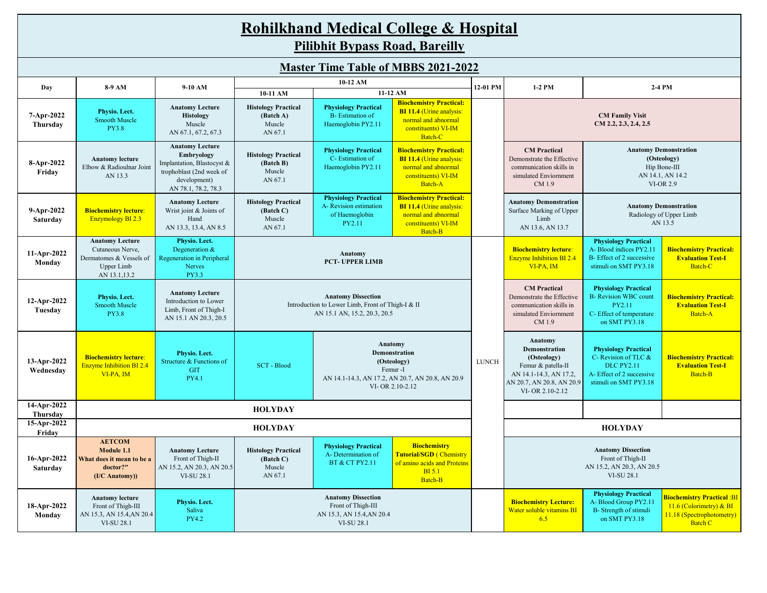| <b>Rohilkhand Medical College &amp; Hospital</b> |
|--------------------------------------------------|
| <b>Pilibhit Bypass Road, Bareilly</b>            |

|                          | <b>Master Time Table of MBBS 2021-2022</b>                                                          |                                                                                                                                       |                                                                                                                |                                                                                                                                                                                                                 |                                                                                                                                        |              |                                                                                                                                                |                                                                                                                               |                                                                                                             |  |  |  |  |
|--------------------------|-----------------------------------------------------------------------------------------------------|---------------------------------------------------------------------------------------------------------------------------------------|----------------------------------------------------------------------------------------------------------------|-----------------------------------------------------------------------------------------------------------------------------------------------------------------------------------------------------------------|----------------------------------------------------------------------------------------------------------------------------------------|--------------|------------------------------------------------------------------------------------------------------------------------------------------------|-------------------------------------------------------------------------------------------------------------------------------|-------------------------------------------------------------------------------------------------------------|--|--|--|--|
| Day                      | 8-9 AM                                                                                              | 9-10 AM                                                                                                                               |                                                                                                                | 10-12 AM                                                                                                                                                                                                        |                                                                                                                                        | 12-01 PM     | 1-2 PM                                                                                                                                         |                                                                                                                               | 2-4 PM                                                                                                      |  |  |  |  |
| 7-Apr-2022<br>Thursday   | Physio. Lect.<br><b>Smooth Muscle</b><br><b>PY3.8</b>                                               | <b>Anatomy Lecture</b><br><b>Histology</b><br>Muscle<br>AN 67.1, 67.2, 67.3                                                           | 10-11 AM<br><b>Histology Practical</b><br>(Batch A)<br>Muscle<br>AN 67.1                                       | <b>Physiology Practical</b><br><b>B-Estimation of</b><br>Haemoglobin PY2.11                                                                                                                                     | 11-12 AM<br><b>Biochemistry Practical:</b><br><b>BI 11.4 (Urine analysis:</b><br>normal and abnormal<br>constituents) VI-IM<br>Batch-C |              |                                                                                                                                                | <b>CM Family Visit</b><br>CM 2.2, 2.3, 2.4, 2.5                                                                               |                                                                                                             |  |  |  |  |
| 8-Apr-2022<br>Friday     | <b>Anatomy lecture</b><br>Elbow & Radioulnar Joint<br>AN 13.3                                       | <b>Anatomy Lecture</b><br>Embryology<br>Implantation, Blastocyst &<br>trophoblast (2nd week of<br>development)<br>AN 78.1, 78.2, 78.3 | <b>Histology Practical</b><br>(Batch B)<br>Muscle<br>AN 67.1                                                   | <b>Physiology Practical</b><br>C-Estimation of<br>Haemoglobin PY2.11                                                                                                                                            | <b>Biochemistry Practical:</b><br><b>BI 11.4 (Urine analysis:</b><br>normal and abnormal<br>constituents) VI-IM<br>Batch-A             |              | <b>CM</b> Practical<br>Demonstrate the Effective<br>communication skills in<br>simulated Enviornment<br>CM 1.9                                 | <b>Anatomy Demonstration</b><br>(Osteology)<br>Hip Bone-III<br>AN 14.1, AN 14.2<br><b>VI-OR 2.9</b>                           |                                                                                                             |  |  |  |  |
| 9-Apr-2022<br>Saturday   | <b>Biochemistry lecture:</b><br><b>Enzymology BI 2.3</b>                                            | <b>Anatomy Lecture</b><br>Wrist joint & Joints of<br>Hand<br>AN 13.3, 13.4, AN 8.5                                                    | <b>Histology Practical</b><br>(Batch C)<br>Muscle<br>AN 67.1                                                   | <b>Biochemistry Practical:</b><br><b>Physiology Practical</b><br>A- Revision estimation<br><b>BI 11.4 (Urine analysis:</b><br>normal and abnormal<br>of Haemoglobin<br>PY2.11<br>constituents) VI-IM<br>Batch-B |                                                                                                                                        |              | <b>Anatomy Demonstration</b><br>Surface Marking of Upper<br>Limb<br>AN 13.6, AN 13.7                                                           | <b>Anatomy Demonstration</b><br>Radiology of Upper Limb<br>AN 13.5                                                            |                                                                                                             |  |  |  |  |
| 11-Apr-2022<br>Monday    | <b>Anatomy Lecture</b><br>Cutaneous Nerve,<br>Dermatomes & Vessels of<br>Upper Limb<br>AN 13.1,13.2 | Physio. Lect.<br>Degeneration &<br>Regeneration in Peripheral<br>Nerves<br><b>PY3.3</b>                                               | Anatomy<br><b>PCT-UPPER LIMB</b>                                                                               |                                                                                                                                                                                                                 |                                                                                                                                        |              | <b>Biochemistry lecture:</b><br><b>Enzyme Inhibition BI 2.4</b><br>VI-PA, IM                                                                   | <b>Physiology Practical</b><br>A-Blood indices PY2.11<br>B-Effect of 2 successive<br>stimuli on SMT PY3.18                    | <b>Biochemistry Practical:</b><br><b>Evaluation Test-I</b><br>Batch-C                                       |  |  |  |  |
| 12-Apr-2022<br>Tuesday   | Physio. Lect.<br><b>Smooth Muscle</b><br><b>PY3.8</b>                                               | <b>Anatomy Lecture</b><br>Introduction to Lower<br>Limb, Front of Thigh-I<br>AN 15.1 AN 20.3, 20.5                                    | <b>Anatomy Dissection</b><br>Introduction to Lower Limb, Front of Thigh-I & II<br>AN 15.1 AN, 15.2, 20.3, 20.5 |                                                                                                                                                                                                                 |                                                                                                                                        |              | <b>CM</b> Practical<br>Demonstrate the Effective<br>communication skills in<br>simulated Enviornment<br>CM 1.9                                 | <b>Physiology Practical</b><br><b>B-</b> Revision WBC count<br>PY2.11<br>C- Effect of temperature<br>on SMT PY3.18            | <b>Biochemistry Practical:</b><br><b>Evaluation Test-I</b><br><b>Batch-A</b>                                |  |  |  |  |
| 13-Apr-2022<br>Wednesday | <b>Biochemistry lecture:</b><br><b>Enzyme Inhibition BI 2.4</b><br>VI-PA, IM                        | Physio. Lect.<br>Structure & Functions of<br><b>GIT</b><br><b>PY4.1</b>                                                               | <b>SCT</b> - Blood                                                                                             | Anatomy<br>Demonstration<br>(Osteology)<br>Femur-I<br>AN 14.1-14.3, AN 17.2, AN 20.7, AN 20.8, AN 20.9<br>VI-OR 2.10-2.12                                                                                       |                                                                                                                                        | <b>LUNCH</b> | Anatomy<br><b>Demonstration</b><br>(Osteology)<br>Femur & patella-II<br>AN 14.1-14.3, AN 17.2,<br>AN 20.7, AN 20.8, AN 20.9<br>VI-OR 2.10-2.12 | <b>Physiology Practical</b><br>C- Revision of TLC &<br><b>DLC PY2.11</b><br>A-Effect of 2 successive<br>stimuli on SMT PY3.18 | <b>Biochemistry Practical:</b><br><b>Evaluation Test-I</b><br><b>Batch-B</b>                                |  |  |  |  |
| 14-Apr-2022<br>Thursday  |                                                                                                     |                                                                                                                                       | <b>HOLYDAY</b>                                                                                                 |                                                                                                                                                                                                                 |                                                                                                                                        |              |                                                                                                                                                |                                                                                                                               |                                                                                                             |  |  |  |  |
| 15-Apr-2022<br>Friday    |                                                                                                     |                                                                                                                                       | <b>HOLYDAY</b>                                                                                                 |                                                                                                                                                                                                                 |                                                                                                                                        |              |                                                                                                                                                | <b>HOLYDAY</b>                                                                                                                |                                                                                                             |  |  |  |  |
| 16-Apr-2022<br>Saturday  | <b>AETCOM</b><br>Module 1.1<br>What does it mean to be a<br>doctor?"<br>$(I/C$ Anatomy))            | <b>Anatomy Lecture</b><br>Front of Thigh-II<br>AN 15.2, AN 20.3, AN 20.5<br><b>VI-SU 28.1</b>                                         | <b>Histology Practical</b><br>(Batch C)<br>Muscle<br>AN 67.1                                                   | <b>Physiology Practical</b><br><b>Biochemistry</b><br><b>Tutorial/SGD (Chemistry</b><br>A-Determination of<br>of amino acids and Proteins<br><b>BT &amp; CT PY2.11</b><br><b>BI</b> 5.1<br>Batch-B              |                                                                                                                                        |              |                                                                                                                                                | <b>Anatomy Dissection</b><br>Front of Thigh-II<br>AN 15.2, AN 20.3, AN 20.5<br><b>VI-SU 28.1</b>                              |                                                                                                             |  |  |  |  |
| 18-Apr-2022<br>Monday    | <b>Anatomy lecture</b><br>Front of Thigh-III<br>AN 15.3, AN 15.4, AN 20.4<br><b>VI-SU 28.1</b>      | Physio. Lect.<br>Saliva<br><b>PY4.2</b>                                                                                               |                                                                                                                | <b>Anatomy Dissection</b><br>Front of Thigh-III<br>AN 15.3, AN 15.4, AN 20.4<br>VI-SU 28.1                                                                                                                      |                                                                                                                                        |              | <b>Biochemistry Lecture:</b><br>Water soluble vitamins BI<br>6.5                                                                               | <b>Physiology Practical</b><br>A-Blood Group PY2.11<br>B- Strength of stimuli<br>on SMT PY3.18                                | <b>Biochemistry Practical :BI</b><br>11.6 (Colorimetry) & BI<br>11.18 (Spectrophotometry)<br><b>Batch C</b> |  |  |  |  |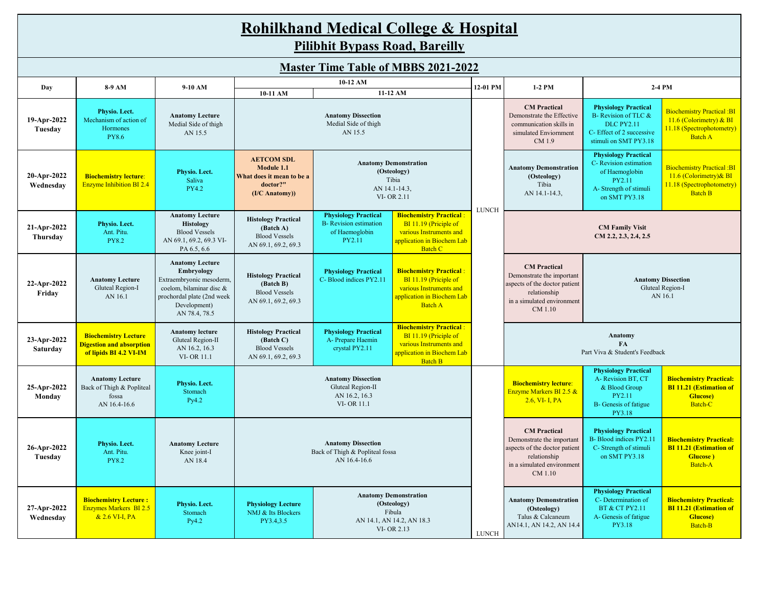# **Rohilkhand Medical College & Hospital Pilibhit Bypass Road, Bareilly**

| Day                      | 8-9 AM                                                                                   | 9-10 AM                                                                                                                                                     | 10-11 AM                                                                                                                                                                                                                                                                              | 10-12 AM                                                                                                                                                                                                                       | 11-12 AM                                                                                                                           | 12-01 PM     | 1-2 PM                                                                                                                                     |                                                                                                                               | 2-4 PM                                                                                                        |
|--------------------------|------------------------------------------------------------------------------------------|-------------------------------------------------------------------------------------------------------------------------------------------------------------|---------------------------------------------------------------------------------------------------------------------------------------------------------------------------------------------------------------------------------------------------------------------------------------|--------------------------------------------------------------------------------------------------------------------------------------------------------------------------------------------------------------------------------|------------------------------------------------------------------------------------------------------------------------------------|--------------|--------------------------------------------------------------------------------------------------------------------------------------------|-------------------------------------------------------------------------------------------------------------------------------|---------------------------------------------------------------------------------------------------------------|
| 19-Apr-2022<br>Tuesday   | Physio. Lect.<br>Mechanism of action of<br>Hormones<br><b>PY8.6</b>                      | <b>Anatomy Lecture</b><br>Medial Side of thigh<br>AN 15.5                                                                                                   |                                                                                                                                                                                                                                                                                       | <b>Anatomy Dissection</b><br>Medial Side of thigh<br>AN 15.5                                                                                                                                                                   |                                                                                                                                    |              | <b>CM</b> Practical<br>Demonstrate the Effective<br>communication skills in<br>simulated Enviornment<br>CM 1.9                             | <b>Physiology Practical</b><br>B- Revision of TLC &<br><b>DLC PY2.11</b><br>C-Effect of 2 successive<br>stimuli on SMT PY3.18 | <b>Biochemistry Practical: BI</b><br>$11.6$ (Colorimetry) & BI<br>11.18 (Spectrophotometry)<br><b>Batch A</b> |
| 20-Apr-2022<br>Wednesday | <b>Biochemistry lecture:</b><br><b>Enzyme Inhibition BI 2.4</b>                          | Physio. Lect.<br>Saliva<br>PY4.2                                                                                                                            | <b>AETCOM SDL</b><br>Module 1.1<br>What does it mean to be a<br>doctor?"<br>$(I/C$ Anatomy))                                                                                                                                                                                          | <b>Anatomy Demonstration</b><br>(Osteology)<br>Tibia<br>AN 14.1-14.3,<br>VI-OR 2.11                                                                                                                                            |                                                                                                                                    |              | <b>Anatomy Demonstration</b><br>(Osteology)<br>Tibia<br>AN 14.1-14.3,                                                                      | <b>Physiology Practical</b><br>C- Revision estimation<br>of Haemoglobin<br>PY2.11<br>A-Strength of stimuli<br>on SMT PY3.18   | <b>Biochemistry Practical :BI</b><br>$11.6$ (Colorimetry) & BI<br>11.18 (Spectrophotometry)<br><b>Batch B</b> |
| 21-Apr-2022<br>Thursday  | Physio. Lect.<br>Ant. Pitu.<br><b>PY8.2</b>                                              | <b>Anatomy Lecture</b><br>Histology<br><b>Blood Vessels</b><br>AN 69.1, 69.2, 69.3 VI-<br>PA 6.5, 6.6                                                       | <b>Histology Practical</b><br>(Batch A)<br><b>Blood Vessels</b><br>AN 69.1, 69.2, 69.3                                                                                                                                                                                                | <b>Biochemistry Practical:</b><br><b>Physiology Practical</b><br><b>B-</b> Revision estimation<br>BI 11.19 (Priciple of<br>of Haemoglobin<br>various Instruments and<br>PY2.11<br>application in Biochem Lab<br><b>Batch C</b> |                                                                                                                                    | <b>LUNCH</b> | <b>CM Family Visit</b><br>CM 2.2, 2.3, 2.4, 2.5                                                                                            |                                                                                                                               |                                                                                                               |
| 22-Apr-2022<br>Friday    | <b>Anatomy Lecture</b><br>Gluteal Region-I<br>AN 16.1                                    | <b>Anatomy Lecture</b><br>Embryology<br>Extraembryonic mesoderm,<br>coelom, bilaminar disc &<br>prochordal plate (2nd week<br>Development)<br>AN 78.4, 78.5 | <b>Biochemistry Practical:</b><br><b>Physiology Practical</b><br><b>Histology Practical</b><br>C-Blood indices PY2.11<br>BI 11.19 (Priciple of<br>(Batch B)<br>various Instruments and<br><b>Blood Vessels</b><br>application in Biochem Lab<br>AN 69.1, 69.2, 69.3<br><b>Batch A</b> |                                                                                                                                                                                                                                |                                                                                                                                    |              | <b>CM</b> Practical<br>Demonstrate the important<br>aspects of the doctor patient<br>relationship<br>in a simulated environment<br>CM 1.10 |                                                                                                                               | <b>Anatomy Dissection</b><br>Gluteal Region-I<br>AN 16.1                                                      |
| 23-Apr-2022<br>Saturday  | <b>Biochemistry Lecture</b><br><b>Digestion and absorption</b><br>of lipids BI 4.2 VI-IM | <b>Anatomy lecture</b><br>Gluteal Region-II<br>AN 16.2, 16.3<br><b>VI-OR 11.1</b>                                                                           | <b>Histology Practical</b><br>(Batch C)<br><b>Blood Vessels</b><br>AN 69.1, 69.2, 69.3                                                                                                                                                                                                | <b>Physiology Practical</b><br>A- Prepare Haemin<br>crystal PY2.11                                                                                                                                                             | <b>Biochemistry Practical:</b><br>BI 11.19 (Priciple of<br>various Instruments and<br>application in Biochem Lab<br><b>Batch B</b> |              | Anatomy<br><b>FA</b><br>Part Viva & Student's Feedback                                                                                     |                                                                                                                               |                                                                                                               |
| 25-Apr-2022<br>Monday    | <b>Anatomy Lecture</b><br>Back of Thigh & Popliteal<br>fossa<br>AN 16.4-16.6             | Physio. Lect.<br>Stomach<br>Py4.2                                                                                                                           |                                                                                                                                                                                                                                                                                       | <b>Anatomy Dissection</b><br>Gluteal Region-II<br>AN 16.2, 16.3<br>VI-OR 11.1                                                                                                                                                  |                                                                                                                                    |              | <b>Biochemistry lecture:</b><br>Enzyme Markers BI 2.5 &<br>$2.6$ , VI-I, PA                                                                | <b>Physiology Practical</b><br>A-Revision BT, CT<br>& Blood Group<br>PY2.11<br>B- Genesis of fatigue<br>PY3.18                | <b>Biochemistry Practical:</b><br><b>BI 11.21 (Estimation of</b><br><b>Glucose</b> )<br>Batch-C               |
| 26-Apr-2022<br>Tuesday   | Physio. Lect.<br>Ant. Pitu.<br><b>PY8.2</b>                                              | <b>Anatomy Lecture</b><br>Knee joint-I<br>AN 18.4                                                                                                           | <b>Anatomy Dissection</b><br>Back of Thigh & Popliteal fossa<br>AN 16.4-16.6                                                                                                                                                                                                          |                                                                                                                                                                                                                                |                                                                                                                                    |              | <b>CM</b> Practical<br>Demonstrate the important<br>aspects of the doctor patient<br>relationship<br>in a simulated environment<br>CM 1.10 | <b>Physiology Practical</b><br>B-Blood indices PY2.11<br>C- Strength of stimuli<br>on SMT PY3.18                              | <b>Biochemistry Practical:</b><br><b>BI 11.21 (Estimation of</b><br>Glucose)<br>Batch-A                       |
| 27-Apr-2022<br>Wednesday | <b>Biochemistry Lecture:</b><br><b>Enzymes Markers BI 2.5</b><br>& 2.6 VI-I, PA          | Physio. Lect.<br>Stomach<br>Py4.2                                                                                                                           | <b>Physiology Lecture</b><br>NMJ & Its Blockers<br>PY3.4,3.5                                                                                                                                                                                                                          | <b>Anatomy Demonstration</b><br>(Osteology)<br>Fibula<br>AN 14.1, AN 14.2, AN 18.3<br>VI-OR 2.13                                                                                                                               |                                                                                                                                    | <b>LUNCH</b> | <b>Anatomy Demonstration</b><br>(Osteology)<br>Talus & Calcaneum<br>AN14.1, AN 14.2, AN 14.4                                               | <b>Physiology Practical</b><br>C-Determination of<br><b>BT &amp; CT PY2.11</b><br>A-Genesis of fatigue<br>PY3.18              | <b>Biochemistry Practical:</b><br><b>BI 11.21 (Estimation of</b><br><b>Glucose</b> )<br>Batch-B               |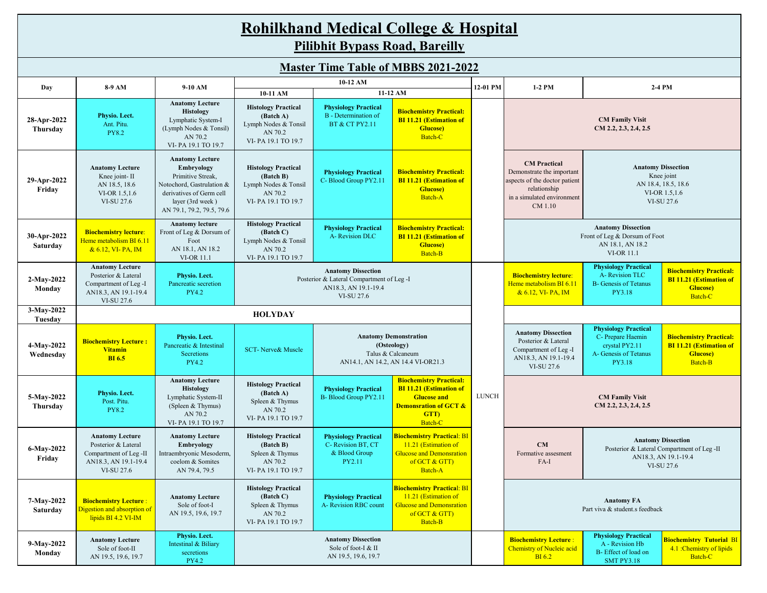| <b>Rohilkhand Medical College &amp; Hospital</b> |
|--------------------------------------------------|
| <b>Pilibhit Bypass Road, Bareilly</b>            |

|                         | <b>Master Time Table of MBBS 2021-2022</b>                                                                    |                                                                                                                                                                     |                                                                                                  |                                                                                                              |                                                                                                                                               |              |                                                                                                                                                                                                                                                                            |                                                                                                 |                                                                        |  |  |  |  |
|-------------------------|---------------------------------------------------------------------------------------------------------------|---------------------------------------------------------------------------------------------------------------------------------------------------------------------|--------------------------------------------------------------------------------------------------|--------------------------------------------------------------------------------------------------------------|-----------------------------------------------------------------------------------------------------------------------------------------------|--------------|----------------------------------------------------------------------------------------------------------------------------------------------------------------------------------------------------------------------------------------------------------------------------|-------------------------------------------------------------------------------------------------|------------------------------------------------------------------------|--|--|--|--|
| Day                     | 8-9 AM                                                                                                        | 9-10 AM                                                                                                                                                             |                                                                                                  | 10-12 AM                                                                                                     |                                                                                                                                               | 12-01 PM     | 1-2 PM                                                                                                                                                                                                                                                                     |                                                                                                 | 2-4 PM                                                                 |  |  |  |  |
|                         |                                                                                                               |                                                                                                                                                                     | 10-11 AM                                                                                         |                                                                                                              | 11-12 AM                                                                                                                                      |              |                                                                                                                                                                                                                                                                            |                                                                                                 |                                                                        |  |  |  |  |
| 28-Apr-2022<br>Thursday | Physio. Lect.<br>Ant. Pitu.<br><b>PY8.2</b>                                                                   | <b>Anatomy Lecture</b><br><b>Histology</b><br>Lymphatic System-I<br>(Lymph Nodes & Tonsil)<br>AN 70.2<br>VI-PA 19.1 TO 19.7                                         | <b>Histology Practical</b><br>(Batch A)<br>Lymph Nodes & Tonsil<br>AN 70.2<br>VI-PA 19.1 TO 19.7 | <b>Physiology Practical</b><br><b>B</b> - Determination of<br><b>BT &amp; CT PY2.11</b>                      | <b>Biochemistry Practical:</b><br><b>BI 11.21 (Estimation of</b><br><b>Glucose</b> )<br>Batch-C                                               |              |                                                                                                                                                                                                                                                                            | <b>CM Family Visit</b><br>CM 2.2, 2.3, 2.4, 2.5                                                 |                                                                        |  |  |  |  |
| 29-Apr-2022<br>Friday   | <b>Anatomy Lecture</b><br>Knee joint-II<br>AN 18.5, 18.6<br>VI-OR 1.5,1.6<br>VI-SU 27.6                       | <b>Anatomy Lecture</b><br>Embryology<br>Primitive Streak,<br>Notochord, Gastrulation &<br>derivatives of Germ cell<br>layer (3rd week)<br>AN 79.1, 79.2, 79.5, 79.6 | <b>Histology Practical</b><br>(Batch B)<br>Lymph Nodes & Tonsil<br>AN 70.2<br>VI-PA 19.1 TO 19.7 | <b>Physiology Practical</b><br>C-Blood Group PY2.11                                                          | <b>Biochemistry Practical:</b><br><b>BI 11.21 (Estimation of</b><br><b>Glucose</b> )<br>Batch-A                                               |              | <b>CM</b> Practical<br><b>Anatomy Dissection</b><br>Demonstrate the important<br>Knee joint<br>aspects of the doctor patient<br>AN 18.4, 18.5, 18.6<br>relationship<br>VI-OR 1.5,1.6<br>in a simulated environment<br>VI-SU 27.6<br>CM 1.10                                |                                                                                                 |                                                                        |  |  |  |  |
| 30-Apr-2022<br>Saturday | <b>Biochemistry lecture:</b><br>Heme metabolism BI 6.11<br>& 6.12, VI-PA, IM                                  | <b>Anatomy lecture</b><br>Front of Leg & Dorsum of<br>Foot<br>AN 18.1, AN 18.2<br><b>VI-OR 11.1</b>                                                                 | <b>Histology Practical</b><br>(Batch C)<br>Lymph Nodes & Tonsil<br>AN 70.2<br>VI-PA 19.1 TO 19.7 | <b>Physiology Practical</b><br>A-Revision DLC                                                                | <b>Biochemistry Practical:</b><br><b>BI 11.21 (Estimation of</b><br>Glucose)<br>Batch-B                                                       |              | <b>Anatomy Dissection</b><br>Front of Leg & Dorsum of Foot<br>AN 18.1, AN 18.2<br><b>VI-OR 11.1</b>                                                                                                                                                                        |                                                                                                 |                                                                        |  |  |  |  |
| 2-May-2022<br>Monday    | <b>Anatomy Lecture</b><br>Posterior & Lateral<br>Compartment of Leg -I<br>AN18.3, AN 19.1-19.4<br>VI-SU 27.6  | Physio. Lect.<br>Pancreatic secretion<br>PY4.2                                                                                                                      |                                                                                                  | <b>Anatomy Dissection</b><br>Posterior & Lateral Compartment of Leg -I<br>AN18.3, AN 19.1-19.4<br>VI-SU 27.6 |                                                                                                                                               |              | <b>Physiology Practical</b><br><b>Biochemistry Practical:</b><br>A-Revision TLC<br><b>Biochemistry lecture:</b><br><b>BI 11.21 (Estimation of</b><br>Heme metabolism BI 6.11<br><b>B-</b> Genesis of Tetanus<br><b>Glucose</b> )<br>& 6.12, VI-PA, IM<br>PY3.18<br>Batch-C |                                                                                                 |                                                                        |  |  |  |  |
| 3-May-2022<br>Tuesday   |                                                                                                               |                                                                                                                                                                     | <b>HOLYDAY</b>                                                                                   |                                                                                                              |                                                                                                                                               |              |                                                                                                                                                                                                                                                                            |                                                                                                 |                                                                        |  |  |  |  |
| 4-May-2022<br>Wednesday | <b>Biochemistry Lecture:</b><br><b>Vitamin</b><br><b>BI6.5</b>                                                | Physio. Lect.<br>Pancreatic & Intestinal<br>Secretions<br><b>PY4.2</b>                                                                                              | <b>SCT-Nerve&amp; Muscle</b>                                                                     |                                                                                                              | <b>Anatomy Demonstration</b><br>(Osteology)<br>Talus & Calcaneum<br>AN14.1, AN 14.2, AN 14.4 VI-OR21.3                                        |              | <b>Anatomy Dissection</b><br>Posterior & Lateral<br>Compartment of Leg -I<br>AN18.3, AN 19.1-19.4<br>VI-SU 27.6                                                                                                                                                            | <b>Biochemistry Practical:</b><br><b>BI 11.21 (Estimation of</b><br><b>Glucose</b> )<br>Batch-B |                                                                        |  |  |  |  |
| 5-May-2022<br>Thursday  | Physio. Lect.<br>Post. Pitu.<br><b>PY8.2</b>                                                                  | <b>Anatomy Lecture</b><br><b>Histology</b><br>Lymphatic System-II<br>(Spleen & Thymus)<br>AN 70.2<br>VI-PA 19.1 TO 19.7                                             | <b>Histology Practical</b><br>(Batch A)<br>Spleen & Thymus<br>AN 70.2<br>VI-PA 19.1 TO 19.7      | <b>Physiology Practical</b><br>B-Blood Group PY2.11                                                          | <b>Biochemistry Practical:</b><br><b>BI 11.21 (Estimation of</b><br><b>Glucose and</b><br><b>Demonsration of GCT &amp;</b><br>GTT)<br>Batch-C | <b>LUNCH</b> |                                                                                                                                                                                                                                                                            | <b>CM Family Visit</b><br>$CM$ 2.2, 2.3, 2.4, 2.5                                               |                                                                        |  |  |  |  |
| 6-May-2022<br>Friday    | <b>Anatomy Lecture</b><br>Posterior & Lateral<br>Compartment of Leg -II<br>AN18.3, AN 19.1-19.4<br>VI-SU 27.6 | <b>Anatomy Lecture</b><br>Embryology<br>Intraembryonic Mesoderm,<br>coelom & Somites<br>AN 79.4, 79.5                                                               | <b>Histology Practical</b><br>(Batch B)<br>Spleen & Thymus<br>AN 70.2<br>VI-PA 19.1 TO 19.7      | <b>Physiology Practical</b><br>C-Revision BT, CT<br>& Blood Group<br>PY2.11                                  | <b>Biochemistry Practical: BI</b><br>11.21 (Estimation of<br><b>Glucose and Demonsration</b><br>of GCT & GTT)<br>Batch-A                      |              | <b>Anatomy Dissection</b><br>CM<br>Posterior & Lateral Compartment of Leg -II<br>Formative assesment<br>AN18.3, AN 19.1-19.4<br>FA-I<br>VI-SU 27.6                                                                                                                         |                                                                                                 |                                                                        |  |  |  |  |
| 7-May-2022<br>Saturday  | <b>Biochemistry Lecture:</b><br>Digestion and absorption of<br>lipids BI 4.2 VI-IM                            | <b>Anatomy Lecture</b><br>Sole of foot-I<br>AN 19.5, 19.6, 19.7                                                                                                     | <b>Histology Practical</b><br>(Batch C)<br>Spleen & Thymus<br>AN 70.2<br>VI-PA 19.1 TO 19.7      | <b>Physiology Practical</b><br>A- Revision RBC count                                                         | <b>Biochemistry Practical: BI</b><br>11.21 (Estimation of<br><b>Glucose and Demonsration</b><br>of GCT & GTT)<br>Batch-B                      |              | <b>Anatomy FA</b><br>Part viva & student s feedback                                                                                                                                                                                                                        |                                                                                                 |                                                                        |  |  |  |  |
| 9-May-2022<br>Monday    | <b>Anatomy Lecture</b><br>Sole of foot-II<br>AN 19.5, 19.6, 19.7                                              | Physio. Lect.<br>Intestinal & Biliary<br>secretions<br><b>PY4.2</b>                                                                                                 |                                                                                                  | <b>Anatomy Dissection</b><br>Sole of foot-I & II<br>AN 19.5, 19.6, 19.7                                      |                                                                                                                                               |              | <b>Biochemistry Lecture:</b><br><b>Chemistry of Nucleic acid</b><br><b>BI6.2</b>                                                                                                                                                                                           | <b>Physiology Practical</b><br>A - Revision Hb<br>B-Effect of load on<br><b>SMT PY3.18</b>      | <b>Biochemistry Tutorial BI</b><br>4.1 :Chemistry of lipids<br>Batch-C |  |  |  |  |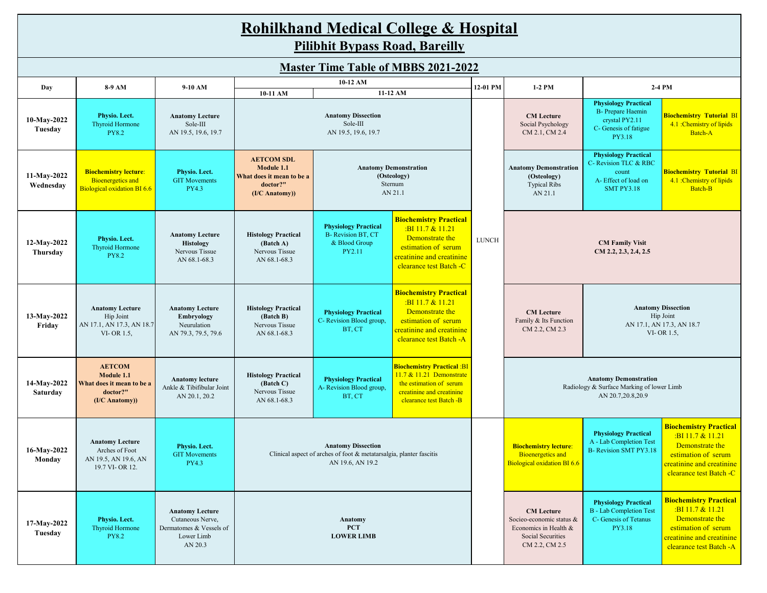|                          | <b>Rohilkhand Medical College &amp; Hospital</b><br><b>Pilibhit Bypass Road, Bareilly</b> |                                                                                                |                                                                                            |                                                                                                                      |                                                                                                                                                       |              |                                                                                                                                                                                                                                                                      |                                                                                                              |                                                                                                                                                           |  |  |  |  |  |
|--------------------------|-------------------------------------------------------------------------------------------|------------------------------------------------------------------------------------------------|--------------------------------------------------------------------------------------------|----------------------------------------------------------------------------------------------------------------------|-------------------------------------------------------------------------------------------------------------------------------------------------------|--------------|----------------------------------------------------------------------------------------------------------------------------------------------------------------------------------------------------------------------------------------------------------------------|--------------------------------------------------------------------------------------------------------------|-----------------------------------------------------------------------------------------------------------------------------------------------------------|--|--|--|--|--|
|                          |                                                                                           |                                                                                                |                                                                                            |                                                                                                                      | <b>Master Time Table of MBBS 2021-2022</b>                                                                                                            |              |                                                                                                                                                                                                                                                                      |                                                                                                              |                                                                                                                                                           |  |  |  |  |  |
| Day                      | 8-9 AM                                                                                    | 9-10 AM                                                                                        | 10-11 AM                                                                                   | 10-12 AM                                                                                                             | 11-12 AM                                                                                                                                              | 12-01 PM     | 2-4 PM<br>1-2 PM                                                                                                                                                                                                                                                     |                                                                                                              |                                                                                                                                                           |  |  |  |  |  |
| 10-May-2022<br>Tuesday   | Physio. Lect.<br>Thyroid Hormone<br><b>PY8.2</b>                                          | <b>Anatomy Lecture</b><br>Sole-III<br>AN 19.5, 19.6, 19.7                                      | <b>Anatomy Dissection</b><br>Sole-III<br>AN 19.5, 19.6, 19.7                               |                                                                                                                      |                                                                                                                                                       |              | <b>CM</b> Lecture<br>Social Psychology<br>CM 2.1, CM 2.4                                                                                                                                                                                                             | <b>Physiology Practical</b><br><b>B-</b> Prepare Haemin<br>crystal PY2.11<br>C- Genesis of fatigue<br>PY3.18 | <b>Biochemistry Tutorial BI</b><br>4.1 :Chemistry of lipids<br>Batch-A                                                                                    |  |  |  |  |  |
| 11-May-2022<br>Wednesday | <b>Biochemistry lecture:</b><br><b>Bioenergetics</b> and<br>Biological oxidation BI 6.6   | Physio. Lect.<br><b>GIT Movements</b><br>PY4.3                                                 | <b>AETCOM SDL</b><br>Module 1.1<br>What does it mean to be a<br>doctor?"<br>(I/C Anatomy)) |                                                                                                                      | <b>Anatomy Demonstration</b><br>(Osteology)<br>Sternum<br>AN 21.1                                                                                     |              | <b>Physiology Practical</b><br>C- Revision TLC & RBC<br><b>Anatomy Demonstration</b><br><b>Biochemistry Tutorial BI</b><br>count<br>(Osteology)<br>4.1 :Chemistry of lipids<br>A-Effect of load on<br><b>Typical Ribs</b><br>Batch-B<br><b>SMT PY3.18</b><br>AN 21.1 |                                                                                                              |                                                                                                                                                           |  |  |  |  |  |
| 12-May-2022<br>Thursday  | Physio. Lect.<br><b>Thyroid Hormone</b><br><b>PY8.2</b>                                   | <b>Anatomy Lecture</b><br><b>Histology</b><br>Nervous Tissue<br>AN 68.1-68.3                   | <b>Histology Practical</b><br>(Batch A)<br>Nervous Tissue<br>AN 68.1-68.3                  | <b>Physiology Practical</b><br><b>B-</b> Revision BT, CT<br>& Blood Group<br>PY2.11                                  | <b>Biochemistry Practical</b><br>$:BI$ 11.7 & 11.21<br>Demonstrate the<br>estimation of serum<br>creatinine and creatinine<br>clearance test Batch -C | <b>LUNCH</b> | <b>CM Family Visit</b><br>$CM$ 2.2, 2.3, 2.4, 2.5                                                                                                                                                                                                                    |                                                                                                              |                                                                                                                                                           |  |  |  |  |  |
| 13-May-2022<br>Friday    | <b>Anatomy Lecture</b><br>Hip Joint<br>AN 17.1, AN 17.3, AN 18.7<br>VI-OR 1.5,            | <b>Anatomy Lecture</b><br>Embryology<br>Neurulation<br>AN 79.3, 79.5, 79.6                     | <b>Histology Practical</b><br>(Batch B)<br>Nervous Tissue<br>AN 68.1-68.3                  | <b>Physiology Practical</b><br>C- Revision Blood group,<br>BT, CT                                                    | <b>Biochemistry Practical</b><br>$:BI$ 11.7 & 11.21<br>Demonstrate the<br>estimation of serum<br>creatinine and creatinine<br>clearance test Batch -A |              | <b>Anatomy Dissection</b><br><b>CM</b> Lecture<br>Hip Joint<br>Family & Its Function<br>AN 17.1, AN 17.3, AN 18.7<br>CM 2.2, CM 2.3<br>VI-OR 1.5,                                                                                                                    |                                                                                                              |                                                                                                                                                           |  |  |  |  |  |
| 14-May-2022<br>Saturday  | <b>AETCOM</b><br>Module 1.1<br>What does it mean to be a<br>doctor?"<br>(I/C Anatomy))    | <b>Anatomy lecture</b><br>Ankle & Tibifibular Joint<br>AN 20.1, 20.2                           | <b>Histology Practical</b><br>(Batch C)<br>Nervous Tissue<br>AN 68.1-68.3                  | <b>Physiology Practical</b><br>A- Revision Blood group,<br>BT, CT                                                    | <b>Biochemistry Practical: BI</b><br>11.7 & 11.21 Demonstrate<br>the estimation of serum<br>creatinine and creatinine<br>clearance test Batch -B      |              | <b>Anatomy Demonstration</b><br>Radiology & Surface Marking of lower Limb<br>AN 20.7,20.8,20.9                                                                                                                                                                       |                                                                                                              |                                                                                                                                                           |  |  |  |  |  |
| 16-May-2022<br>Monday    | <b>Anatomy Lecture</b><br>Arches of Foot<br>AN 19.5, AN 19.6, AN<br>19.7 VI-OR 12.        | Physio. Lect.<br><b>GIT Movements</b><br>PY4.3                                                 |                                                                                            | <b>Anatomy Dissection</b><br>Clinical aspect of arches of foot & metatarsalgia, planter fascitis<br>AN 19.6, AN 19.2 |                                                                                                                                                       |              | <b>Biochemistry lecture:</b><br><b>Bioenergetics</b> and<br><b>Biological oxidation BI 6.6</b>                                                                                                                                                                       | <b>Physiology Practical</b><br>A - Lab Completion Test<br>B- Revision SMT PY3.18                             | <b>Biochemistry Practical</b><br>$:BI$ 11.7 & 11.21<br>Demonstrate the<br>estimation of serum<br>creatinine and creatinine<br>clearance test Batch -C     |  |  |  |  |  |
| 17-May-2022<br>Tuesday   | Physio. Lect.<br>Thyroid Hormone<br><b>PY8.2</b>                                          | <b>Anatomy Lecture</b><br>Cutaneous Nerve,<br>Dermatomes & Vessels of<br>Lower Limb<br>AN 20.3 |                                                                                            | Anatomy<br><b>PCT</b><br><b>LOWER LIMB</b>                                                                           |                                                                                                                                                       |              | <b>CM</b> Lecture<br>Socieo-economic status &<br>Economics in Health &<br>Social Securities<br>CM 2.2, CM 2.5                                                                                                                                                        | <b>Physiology Practical</b><br><b>B</b> - Lab Completion Test<br>C- Genesis of Tetanus<br>PY3.18             | <b>Biochemistry Practical</b><br>:BI11.7 & 11.21<br>Demonstrate the<br>estimation of serum<br><b>creatinine and creatinine</b><br>clearance test Batch -A |  |  |  |  |  |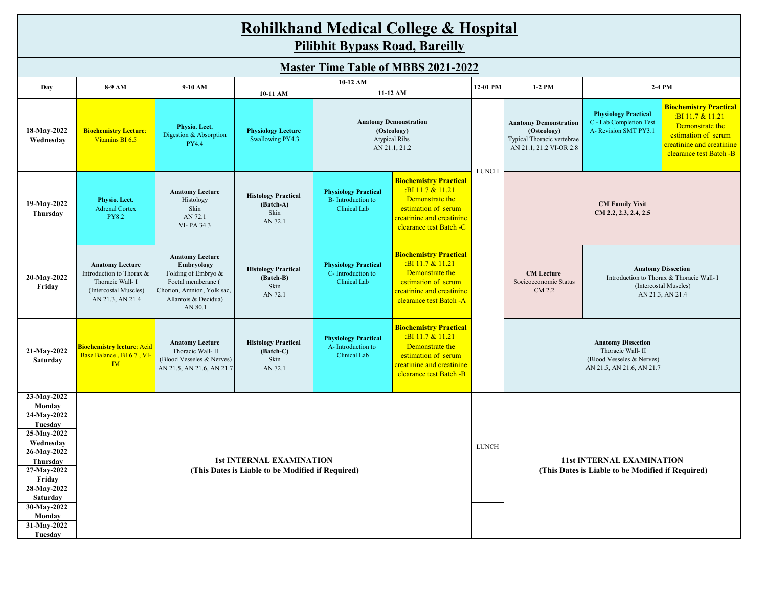|                                                                                                                                                                           | <b>Rohilkhand Medical College &amp; Hospital</b><br><b>Pilibhit Bypass Road, Bareilly</b>                           |                                                                                                                                                           |                                                                                      |                                                                                                  |                                                                                                                                                     |              |                                                                                                                                                                             |                                                                                 |                                                                                                                                                       |  |  |  |
|---------------------------------------------------------------------------------------------------------------------------------------------------------------------------|---------------------------------------------------------------------------------------------------------------------|-----------------------------------------------------------------------------------------------------------------------------------------------------------|--------------------------------------------------------------------------------------|--------------------------------------------------------------------------------------------------|-----------------------------------------------------------------------------------------------------------------------------------------------------|--------------|-----------------------------------------------------------------------------------------------------------------------------------------------------------------------------|---------------------------------------------------------------------------------|-------------------------------------------------------------------------------------------------------------------------------------------------------|--|--|--|
| <b>Master Time Table of MBBS 2021-2022</b>                                                                                                                                |                                                                                                                     |                                                                                                                                                           |                                                                                      |                                                                                                  |                                                                                                                                                     |              |                                                                                                                                                                             |                                                                                 |                                                                                                                                                       |  |  |  |
| Day                                                                                                                                                                       | 8-9 AM                                                                                                              | 9-10 AM                                                                                                                                                   |                                                                                      | 10-12 AM                                                                                         |                                                                                                                                                     | 12-01 PM     | $1-2$ PM                                                                                                                                                                    |                                                                                 | 2-4 PM                                                                                                                                                |  |  |  |
| 18-May-2022<br>Wednesday                                                                                                                                                  | <b>Biochemistry Lecture:</b><br>Vitamins BI 6.5                                                                     | Physio. Lect.<br>Digestion & Absorption<br><b>PY4.4</b>                                                                                                   | 10-11 AM<br><b>Physiology Lecture</b><br>Swallowing PY4.3                            | 11-12 AM<br><b>Anatomy Demonstration</b><br>(Osteology)<br><b>Atypical Ribs</b><br>AN 21.1, 21.2 |                                                                                                                                                     | <b>LUNCH</b> | <b>Anatomy Demonstration</b><br>(Osteology)<br>Typical Thoracic vertebrae<br>AN 21.1, 21.2 VI-OR 2.8                                                                        | <b>Physiology Practical</b><br>C - Lab Completion Test<br>A- Revision SMT PY3.1 | <b>Biochemistry Practical</b><br>$:BI$ 11.7 & 11.21<br>Demonstrate the<br>estimation of serum<br>creatinine and creatinine<br>clearance test Batch -B |  |  |  |
| 19-May-2022<br>Thursday                                                                                                                                                   | Physio. Lect.<br><b>Adrenal Cortex</b><br><b>PY8.2</b>                                                              | <b>Anatomy Lecture</b><br>Histology<br>Skin<br>AN 72.1<br>VI-PA 34.3                                                                                      | <b>Histology Practical</b><br>(Batch-A)<br>Skin<br>AN 72.1                           | <b>Physiology Practical</b><br><b>B</b> -Introduction to<br>Clinical Lab                         | <b>Biochemistry Practical</b><br>:BI 11.7 & 11.21<br>Demonstrate the<br>estimation of serum<br>creatinine and creatinine<br>clearance test Batch -C |              | <b>CM Family Visit</b><br>$CM$ 2.2, 2.3, 2.4, 2.5                                                                                                                           |                                                                                 |                                                                                                                                                       |  |  |  |
| 20-May-2022<br>Friday                                                                                                                                                     | <b>Anatomy Lecture</b><br>Introduction to Thorax &<br>Thoracic Wall- I<br>(Intercostal Muscles)<br>AN 21.3, AN 21.4 | <b>Anatomy Lecture</b><br><b>Embryology</b><br>Folding of Embryo &<br>Foetal memberane (<br>Chorion, Amnion, Yolk sac,<br>Allantois & Decidua)<br>AN 80.1 | <b>Histology Practical</b><br>(Batch-B)<br>Skin<br>AN 72.1                           | <b>Physiology Practical</b><br>C- Introduction to<br>Clinical Lab                                | <b>Biochemistry Practical</b><br>:BI11.7 & 11.21<br>Demonstrate the<br>estimation of serum<br>creatinine and creatinine<br>clearance test Batch -A  |              | <b>Anatomy Dissection</b><br><b>CM</b> Lecture<br>Introduction to Thorax & Thoracic Wall- I<br>Socieoeconomic Status<br>(Intercostal Muscles)<br>CM 2.2<br>AN 21.3, AN 21.4 |                                                                                 |                                                                                                                                                       |  |  |  |
| 21-May-2022<br>Saturday                                                                                                                                                   | <b>Biochemistry lecture: Acid</b><br>Base Balance, BI 6.7, VI-<br>IM                                                | <b>Anatomy Lecture</b><br>Thoracic Wall- II<br>(Blood Vesseles & Nerves)<br>AN 21.5, AN 21.6, AN 21.7                                                     | <b>Histology Practical</b><br>(Batch-C)<br>Skin<br>AN 72.1                           | <b>Physiology Practical</b><br>A-Introduction to<br>Clinical Lab                                 | <b>Biochemistry Practical</b><br>:BI 11.7 & 11.21<br>Demonstrate the<br>estimation of serum<br>creatinine and creatinine<br>clearance test Batch -B |              | <b>Anatomy Dissection</b><br>Thoracic Wall-II<br>(Blood Vesseles & Nerves)<br>AN 21.5, AN 21.6, AN 21.7                                                                     |                                                                                 |                                                                                                                                                       |  |  |  |
| 23-May-2022<br>Monday<br>24-May-2022<br>Tuesday<br>25-May-2022<br>Wednesday<br>26-May-2022<br>Thursday<br>27-May-2022<br>Friday<br>28-May-2022<br>Saturday<br>30-May-2022 |                                                                                                                     |                                                                                                                                                           | <b>1st INTERNAL EXAMINATION</b><br>(This Dates is Liable to be Modified if Required) | ${\rm LUNCH}$                                                                                    | <b>11st INTERNAL EXAMINATION</b><br>(This Dates is Liable to be Modified if Required)                                                               |              |                                                                                                                                                                             |                                                                                 |                                                                                                                                                       |  |  |  |
| Monday<br>31-May-2022<br>Tuesday                                                                                                                                          |                                                                                                                     |                                                                                                                                                           |                                                                                      |                                                                                                  |                                                                                                                                                     |              |                                                                                                                                                                             |                                                                                 |                                                                                                                                                       |  |  |  |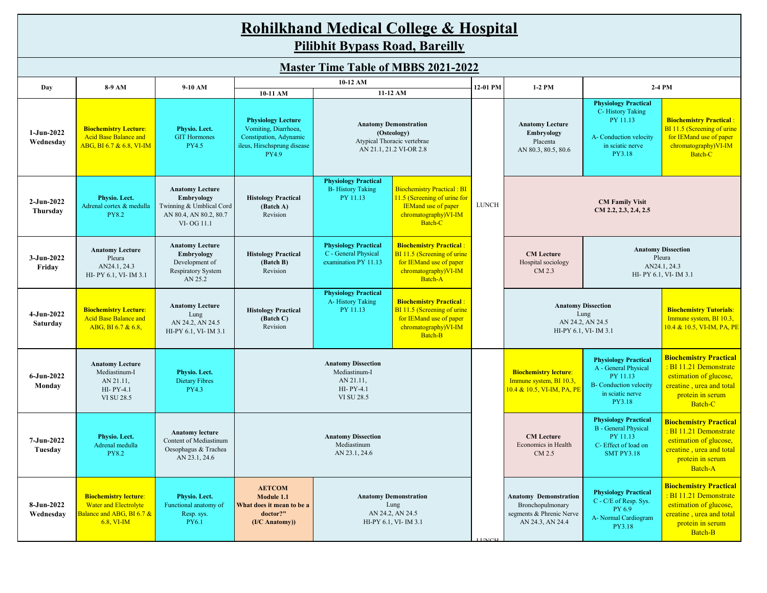|                          | <b>Rohilkhand Medical College &amp; Hospital</b><br><b>Pilibhit Bypass Road, Bareilly</b>               |                                                                                                          |                                                                                                                                                                                                                                                                   |                                                                                                       |                                                                                                                             |          |                                                                                                        |                                                                                                                                |                                                                                                                                              |  |  |  |  |
|--------------------------|---------------------------------------------------------------------------------------------------------|----------------------------------------------------------------------------------------------------------|-------------------------------------------------------------------------------------------------------------------------------------------------------------------------------------------------------------------------------------------------------------------|-------------------------------------------------------------------------------------------------------|-----------------------------------------------------------------------------------------------------------------------------|----------|--------------------------------------------------------------------------------------------------------|--------------------------------------------------------------------------------------------------------------------------------|----------------------------------------------------------------------------------------------------------------------------------------------|--|--|--|--|
|                          | <b>Master Time Table of MBBS 2021-2022</b>                                                              |                                                                                                          |                                                                                                                                                                                                                                                                   |                                                                                                       |                                                                                                                             |          |                                                                                                        |                                                                                                                                |                                                                                                                                              |  |  |  |  |
| Day                      | 8-9 AM                                                                                                  | 9-10 AM                                                                                                  | 10-11 AM                                                                                                                                                                                                                                                          | 10-12 AM                                                                                              | 11-12 AM                                                                                                                    | 12-01 PM | $1-2$ PM                                                                                               | 2-4 PM                                                                                                                         |                                                                                                                                              |  |  |  |  |
| 1-Jun-2022<br>Wednesday  | <b>Biochemistry Lecture:</b><br><b>Acid Base Balance and</b><br>ABG, BI 6.7 & 6.8, VI-IM                | Physio. Lect.<br><b>GIT Hormones</b><br>PY4.5                                                            | <b>Physiology Lecture</b><br>Vomiting, Diarrhoea,<br>Constipation, Adynamic<br>ileus, Hirschsprung disease<br><b>PY4.9</b>                                                                                                                                        | <b>Anatomy Demonstration</b><br>(Osteology)<br>Atypical Thoracic vertebrae<br>AN 21.1, 21.2 VI-OR 2.8 |                                                                                                                             |          | <b>Anatomy Lecture</b><br>Embryology<br>Placenta<br>AN 80.3, 80.5, 80.6                                | <b>Physiology Practical</b><br>C-History Taking<br>PY 11.13<br>A-Conduction velocity<br>in sciatic nerve<br>PY3.18             | <b>Biochemistry Practical:</b><br>BI 11.5 (Screening of urine<br>for IEMand use of paper<br>chromatography)VI-IM<br>Batch-C                  |  |  |  |  |
| $2-Jun-2022$<br>Thursday | Physio. Lect.<br>Adrenal cortex & medulla<br><b>PY8.2</b>                                               | <b>Anatomy Lecture</b><br>Embryology<br>Twinning & Umblical Cord<br>AN 80.4, AN 80.2, 80.7<br>VI-OG 11.1 | <b>Physiology Practical</b><br><b>Biochemistry Practical: BI</b><br><b>B-History Taking</b><br>PY 11.13<br>11.5 (Screening of urine for<br><b>Histology Practical</b><br><b>IEMand use of paper</b><br>(Batch A)<br>Revision<br>chromatography)VI-IM<br>Batch-C   |                                                                                                       |                                                                                                                             |          |                                                                                                        |                                                                                                                                |                                                                                                                                              |  |  |  |  |
| 3-Jun-2022<br>Friday     | <b>Anatomy Lecture</b><br>Pleura<br>AN24.1, 24.3<br>HI- PY 6.1, VI- IM 3.1                              | <b>Anatomy Lecture</b><br>Embryology<br>Development of<br>Respiratory System<br>AN 25.2                  | <b>Biochemistry Practical:</b><br><b>Physiology Practical</b><br>C - General Physical<br>BI 11.5 (Screening of urine<br><b>Histology Practical</b><br>for IEMand use of paper<br>(Batch B)<br>examination PY 11.13<br>Revision<br>chromatography)VI-IM<br>Batch-A |                                                                                                       |                                                                                                                             |          | <b>CM</b> Lecture<br>Hospital sociology<br>CM 2.3                                                      | <b>Anatomy Dissection</b><br>Pleura<br>AN24.1, 24.3<br>HI- PY 6.1, VI- IM 3.1                                                  |                                                                                                                                              |  |  |  |  |
| 4-Jun-2022<br>Saturday   | <b>Biochemistry Lecture:</b><br><b>Acid Base Balance and</b><br>ABG, BI 6.7 & 6.8,                      | <b>Anatomy Lecture</b><br>Lung<br>AN 24.2, AN 24.5<br>HI-PY 6.1, VI- IM 3.1                              | <b>Histology Practical</b><br>(Batch C)<br>Revision                                                                                                                                                                                                               | <b>Physiology Practical</b><br>A-History Taking<br>PY 11.13                                           | <b>Biochemistry Practical:</b><br>BI 11.5 (Screening of urine<br>for IEMand use of paper<br>chromatography)VI-IM<br>Batch-B |          |                                                                                                        | <b>Anatomy Dissection</b><br>Lung<br>AN 24.2, AN 24.5<br>HI-PY 6.1, VI- IM 3.1                                                 | <b>Biochemistry Tutorials:</b><br>Immune system, BI 10.3,<br>10.4 & 10.5, VI-IM, PA, PE                                                      |  |  |  |  |
| 6-Jun-2022<br>Monday     | <b>Anatomy Lecture</b><br>Mediastinum-I<br>AN 21.11,<br>HI-PY-4.1<br>VI SU 28.5                         | Physio. Lect.<br><b>Dietary Fibres</b><br>PY4.3                                                          |                                                                                                                                                                                                                                                                   | <b>Anatomy Dissection</b><br>Mediastinum-I<br>AN 21.11,<br>HI-PY-4.1<br>VI SU 28.5                    |                                                                                                                             |          | <b>Biochemistry lecture:</b><br>Immune system, BI 10.3,<br><mark>10.4 &amp; 10.5, VI-IM, PA, PE</mark> | <b>Physiology Practical</b><br>A - General Physical<br>PY 11.13<br><b>B-</b> Conduction velocity<br>in sciatic nerve<br>PY3.18 | <b>Biochemistry Practical</b><br>: BI 11.21 Demonstrate<br>estimation of glucose,<br>creatine, urea and total<br>protein in serum<br>Batch-C |  |  |  |  |
| 7-Jun-2022<br>Tuesday    | Physio. Lect.<br>Adrenal medulla<br><b>PY8.2</b>                                                        | <b>Anatomy lecture</b><br>Content of Mediastinum<br>Oesophagus & Trachea<br>AN 23.1, 24.6                | <b>Anatomy Dissection</b><br>Mediastinum<br>AN 23.1, 24.6                                                                                                                                                                                                         |                                                                                                       |                                                                                                                             |          | <b>CM</b> Lecture<br>Economics in Health<br>CM 2.5                                                     | <b>Physiology Practical</b><br><b>B</b> - General Physical<br>PY 11.13<br>C- Effect of load on<br><b>SMT PY3.18</b>            | <b>Biochemistry Practical</b><br>: BI 11.21 Demonstrate<br>estimation of glucose,<br>creatine, urea and total<br>protein in serum<br>Batch-A |  |  |  |  |
| 8-Jun-2022<br>Wednesday  | <b>Biochemistry lecture:</b><br><b>Water and Electrolyte</b><br>Balance and ABG, BI 6.7 &<br>6.8, VI-IM | Physio. Lect.<br>Functional anatomy of<br>Resp. sys.<br>PY6.1                                            | <b>AETCOM</b><br><b>Anatomy Demonstration</b><br>Module 1.1<br>Lung<br>What does it mean to be a<br>AN 24.2, AN 24.5<br>doctor?"<br>HI-PY 6.1, VI- IM 3.1<br>(I/C Anatomy))                                                                                       |                                                                                                       |                                                                                                                             |          | <b>Anatomy Demonstration</b><br>Bronchopulmonary<br>segments & Phrenic Nerve<br>AN 24.3, AN 24.4       | <b>Physiology Practical</b><br>C - C/E of Resp. Sys.<br>PY 6.9<br>A- Normal Cardiogram<br>PY3.18                               | <b>Biochemistry Practical</b><br>: BI 11.21 Demonstrate<br>estimation of glucose,<br>creatine, urea and total<br>protein in serum<br>Batch-B |  |  |  |  |

LUNCH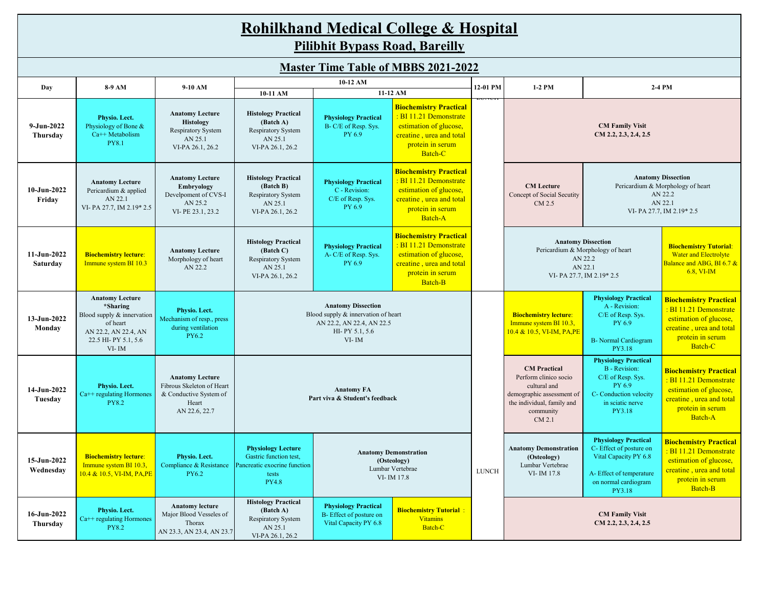|                              | <b>Rohilkhand Medical College &amp; Hospital</b><br><b>Pilibhit Bypass Road, Bareilly</b>                                            |                                                                                                         |                                                                                                                                                                                                                                               |                                                                                                                                                                                                                                                                                                                                                                                                             |                                                                                                                                                                      |          |                                                                                                                                                                                                                             |                                                                                                                                             |                                                                                                                                              |  |  |  |  |
|------------------------------|--------------------------------------------------------------------------------------------------------------------------------------|---------------------------------------------------------------------------------------------------------|-----------------------------------------------------------------------------------------------------------------------------------------------------------------------------------------------------------------------------------------------|-------------------------------------------------------------------------------------------------------------------------------------------------------------------------------------------------------------------------------------------------------------------------------------------------------------------------------------------------------------------------------------------------------------|----------------------------------------------------------------------------------------------------------------------------------------------------------------------|----------|-----------------------------------------------------------------------------------------------------------------------------------------------------------------------------------------------------------------------------|---------------------------------------------------------------------------------------------------------------------------------------------|----------------------------------------------------------------------------------------------------------------------------------------------|--|--|--|--|
|                              | <b>Master Time Table of MBBS 2021-2022</b>                                                                                           |                                                                                                         |                                                                                                                                                                                                                                               |                                                                                                                                                                                                                                                                                                                                                                                                             |                                                                                                                                                                      |          |                                                                                                                                                                                                                             |                                                                                                                                             |                                                                                                                                              |  |  |  |  |
| Day                          | 8-9 AM                                                                                                                               | 9-10 AM                                                                                                 | 10-12 AM                                                                                                                                                                                                                                      |                                                                                                                                                                                                                                                                                                                                                                                                             |                                                                                                                                                                      | 12-01 PM | 1-2 PM                                                                                                                                                                                                                      | 2-4 PM                                                                                                                                      |                                                                                                                                              |  |  |  |  |
| $9 - Jun - 2022$<br>Thursday | Physio. Lect.<br>Physiology of Bone &<br>$Ca++$ Metabolism<br><b>PY8.1</b>                                                           | <b>Anatomy Lecture</b><br><b>Histology</b><br>Respiratory System<br>AN 25.1<br>VI-PA 26.1, 26.2         | 10-11 AM<br><b>Histology Practical</b><br>(Batch A)<br>Respiratory System<br>AN 25.1<br>VI-PA 26.1, 26.2                                                                                                                                      | <b>Physiology Practical</b><br>B- C/E of Resp. Sys.<br>PY 6.9                                                                                                                                                                                                                                                                                                                                               | 11-12 AM<br><b>Biochemistry Practical</b><br><b>BI 11.21 Demonstrate</b><br>estimation of glucose,<br>creatine, urea and total<br>protein in serum<br><b>Batch-C</b> | LUIVUII  | <b>CM Family Visit</b><br>CM 2.2, 2.3, 2.4, 2.5                                                                                                                                                                             |                                                                                                                                             |                                                                                                                                              |  |  |  |  |
| $10 - Jun-2022$<br>Friday    | <b>Anatomy Lecture</b><br>Pericardium & applied<br>AN 22.1<br>VI-PA 27.7, IM 2.19*2.5                                                | <b>Anatomy Lecture</b><br><b>Embryology</b><br>Develpoment of CVS-I<br>AN 25.2<br>VI-PE 23.1, 23.2      | <b>Histology Practical</b><br>(Batch B)<br>Respiratory System<br>AN 25.1<br>VI-PA 26.1, 26.2                                                                                                                                                  | <b>Biochemistry Practical</b><br><b>Anatomy Dissection</b><br>: BI 11.21 Demonstrate<br><b>Physiology Practical</b><br>Pericardium & Morphology of heart<br><b>CM</b> Lecture<br>C - Revision:<br>estimation of glucose,<br>AN 22.2<br>Concept of Social Secutity<br>C/E of Resp. Sys.<br>creatine, urea and total<br>AN 22.1<br>CM 2.5<br>PY 6.9<br>protein in serum<br>VI-PA 27.7, IM 2.19*2.5<br>Batch-A |                                                                                                                                                                      |          |                                                                                                                                                                                                                             |                                                                                                                                             |                                                                                                                                              |  |  |  |  |
| 11-Jun-2022<br>Saturday      | <b>Biochemistry lecture:</b><br>Immune system BI 10.3                                                                                | <b>Anatomy Lecture</b><br>Morphology of heart<br>AN 22.2                                                | <b>Histology Practical</b><br>(Batch C)<br>Respiratory System<br>AN 25.1<br>VI-PA 26.1, 26.2                                                                                                                                                  | <b>Physiology Practical</b><br>A-C/E of Resp. Sys.<br>PY 6.9                                                                                                                                                                                                                                                                                                                                                | <b>Biochemistry Practical</b><br><b>BI 11.21 Demonstrate</b><br>estimation of glucose,<br>creatine, urea and total<br>protein in serum<br><b>Batch-B</b>             |          | <b>Anatomy Dissection</b><br><b>Biochemistry Tutorial:</b><br>Pericardium & Morphology of heart<br><b>Water and Electrolyte</b><br>AN 22.2<br>Balance and ABG, BI 6.7 &<br>AN 22.1<br>6.8. VI-IM<br>VI-PA 27.7, IM 2.19*2.5 |                                                                                                                                             |                                                                                                                                              |  |  |  |  |
| 13-Jun-2022<br>Monday        | <b>Anatomy Lecture</b><br>*Sharing<br>Blood supply & innervation<br>of heart<br>AN 22.2, AN 22.4, AN<br>22.5 HI-PY 5.1, 5.6<br>VI-IM | Physio. Lect.<br>Mechanism of resp., press<br>during ventilation<br><b>PY6.2</b>                        |                                                                                                                                                                                                                                               | <b>Anatomy Dissection</b><br>Blood supply & innervation of heart<br>AN 22.2, AN 22.4, AN 22.5<br>HI-PY 5.1, 5.6<br>$VI$ - IM                                                                                                                                                                                                                                                                                |                                                                                                                                                                      |          | <b>Biochemistry lecture:</b><br>Immune system BI 10.3,<br>10.4 & 10.5, VI-IM, PA, PE                                                                                                                                        | <b>Physiology Practical</b><br>A - Revision:<br>C/E of Resp. Sys.<br>PY 6.9<br><b>B-</b> Normal Cardiogram<br>PY3.18                        | <b>Biochemistry Practical</b><br>: BI 11.21 Demonstrate<br>estimation of glucose,<br>creatine, urea and total<br>protein in serum<br>Batch-C |  |  |  |  |
| 14-Jun-2022<br>Tuesday       | Physio. Lect.<br>Ca++ regulating Hormones<br><b>PY8.2</b>                                                                            | <b>Anatomy Lecture</b><br>Fibrous Skeleton of Heart<br>& Conductive System of<br>Heart<br>AN 22.6, 22.7 |                                                                                                                                                                                                                                               | <b>Anatomy FA</b><br>Part viva & Student's feedback                                                                                                                                                                                                                                                                                                                                                         |                                                                                                                                                                      |          | <b>CM</b> Practical<br>Perform clinico socio<br>cultural and<br>demographic assessment of<br>the individual, family and<br>community<br>CM 2.1                                                                              | <b>Physiology Practical</b><br><b>B</b> - Revision:<br>C/E of Resp. Sys.<br>PY 6.9<br>C- Conduction velocity<br>in sciatic nerve<br>PY3.18  | <b>Biochemistry Practical</b><br>: BI 11.21 Demonstrate<br>estimation of glucose,<br>creatine, urea and total<br>protein in serum<br>Batch-A |  |  |  |  |
| 15-Jun-2022<br>Wednesday     | <b>Biochemistry lecture:</b><br>Immune system BI 10.3,<br>10.4 & 10.5, VI-IM, PA,PE                                                  | Physio. Lect.<br>Compliance & Resistance<br><b>PY6.2</b>                                                | <b>Physiology Lecture</b><br><b>Anatomy Demonstration</b><br>Gastric function test,<br>(Osteology)<br>Pancreatic exocrine function<br>Lumbar Vertebrae<br>tests<br>VI-IM 17.8<br><b>PY4.8</b>                                                 |                                                                                                                                                                                                                                                                                                                                                                                                             |                                                                                                                                                                      |          | <b>Anatomy Demonstration</b><br>(Osteology)<br>Lumbar Vertebrae<br>VI-IM 17.8                                                                                                                                               | <b>Physiology Practical</b><br>C-Effect of posture on<br>Vital Capacity PY 6.8<br>A-Effect of temperature<br>on normal cardiogram<br>PY3.18 | <b>Biochemistry Practical</b><br>: BI 11.21 Demonstrate<br>estimation of glucose,<br>creatine, urea and total<br>protein in serum<br>Batch-B |  |  |  |  |
| 16-Jun-2022<br>Thursday      | Physio. Lect.<br>Ca++ regulating Hormones<br><b>PY8.2</b>                                                                            | <b>Anatomy lecture</b><br>Major Blood Vesseles of<br>Thorax<br>AN 23.3, AN 23.4, AN 23.7                | <b>Histology Practical</b><br><b>Physiology Practical</b><br>(Batch A)<br><b>Biochemistry Tutorial:</b><br>B-Effect of posture on<br>Respiratory System<br><b>Vitamins</b><br>Vital Capacity PY 6.8<br>Batch-C<br>AN 25.1<br>VI-PA 26.1, 26.2 |                                                                                                                                                                                                                                                                                                                                                                                                             |                                                                                                                                                                      |          |                                                                                                                                                                                                                             | <b>CM Family Visit</b><br>CM 2.2, 2.3, 2.4, 2.5                                                                                             |                                                                                                                                              |  |  |  |  |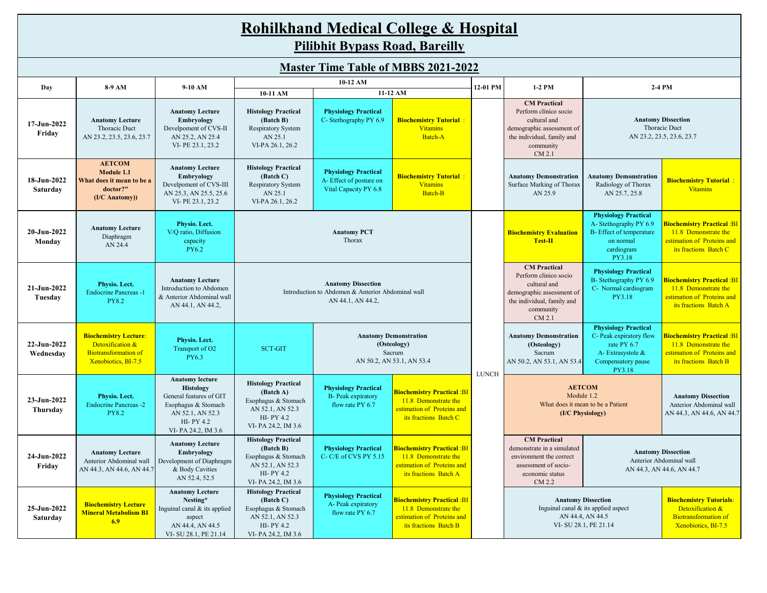|                                            | <b>Rohilkhand Medical College &amp; Hospital</b>                                                       |                                                                                                                                                     |                                                                                                                                                                                                                                                                                                                                                                                                                                       |                                                                                                                                                                                                  |                                                                                                                  |              |                                                                                                                                                |                                                                                                                           |                                                                                                                        |  |  |  |  |
|--------------------------------------------|--------------------------------------------------------------------------------------------------------|-----------------------------------------------------------------------------------------------------------------------------------------------------|---------------------------------------------------------------------------------------------------------------------------------------------------------------------------------------------------------------------------------------------------------------------------------------------------------------------------------------------------------------------------------------------------------------------------------------|--------------------------------------------------------------------------------------------------------------------------------------------------------------------------------------------------|------------------------------------------------------------------------------------------------------------------|--------------|------------------------------------------------------------------------------------------------------------------------------------------------|---------------------------------------------------------------------------------------------------------------------------|------------------------------------------------------------------------------------------------------------------------|--|--|--|--|
|                                            |                                                                                                        |                                                                                                                                                     |                                                                                                                                                                                                                                                                                                                                                                                                                                       | <b>Pilibhit Bypass Road, Bareilly</b>                                                                                                                                                            |                                                                                                                  |              |                                                                                                                                                |                                                                                                                           |                                                                                                                        |  |  |  |  |
| <b>Master Time Table of MBBS 2021-2022</b> |                                                                                                        |                                                                                                                                                     |                                                                                                                                                                                                                                                                                                                                                                                                                                       |                                                                                                                                                                                                  |                                                                                                                  |              |                                                                                                                                                |                                                                                                                           |                                                                                                                        |  |  |  |  |
| Day                                        | 8-9 AM                                                                                                 | 9-10 AM                                                                                                                                             |                                                                                                                                                                                                                                                                                                                                                                                                                                       | 10-12 AM                                                                                                                                                                                         |                                                                                                                  | 12-01 PM     | 1-2 PM                                                                                                                                         | 2-4 PM                                                                                                                    |                                                                                                                        |  |  |  |  |
|                                            |                                                                                                        |                                                                                                                                                     | 10-11 AM                                                                                                                                                                                                                                                                                                                                                                                                                              |                                                                                                                                                                                                  | 11-12 AM                                                                                                         |              |                                                                                                                                                |                                                                                                                           |                                                                                                                        |  |  |  |  |
| $17 - Jun - 2022$<br>Friday                | <b>Anatomy Lecture</b><br>Thoracic Duct<br>AN 23.2, 23.5, 23.6, 23.7                                   | <b>Anatomy Lecture</b><br>Embryology<br>Develpoment of CVS-II<br>AN 25.2, AN 25.4<br>VI-PE 23.1, 23.2                                               | <b>Histology Practical</b><br><b>Physiology Practical</b><br>(Batch B)<br>C- Stethography PY 6.9<br><b>Biochemistry Tutorial:</b><br><b>Vitamins</b><br>Respiratory System<br>AN 25.1<br><b>Batch-A</b><br>VI-PA 26.1, 26.2                                                                                                                                                                                                           |                                                                                                                                                                                                  |                                                                                                                  |              | <b>CM</b> Practical<br>Perform clinico socio<br>cultural and<br>demographic assessment of<br>the individual, family and<br>community<br>CM 2.1 |                                                                                                                           | <b>Anatomy Dissection</b><br>Thoracic Duct<br>AN 23.2, 23.5, 23.6, 23.7                                                |  |  |  |  |
| 18-Jun-2022<br>Saturday                    | <b>AETCOM</b><br>Module 1.1<br>What does it mean to be a<br>doctor?"<br>(I/C Anatomy))                 | <b>Anatomy Lecture</b><br>Embryology<br>Develpoment of CVS-III<br>AN 25.3, AN 25.5, 25.6<br>VI-PE 23.1, 23.2                                        | <b>Histology Practical</b><br>(Batch C)<br>Respiratory System<br>AN 25.1<br>VI-PA 26.1, 26.2                                                                                                                                                                                                                                                                                                                                          | <b>Physiology Practical</b><br>A-Effect of posture on<br>Vital Capacity PY 6.8                                                                                                                   | <b>Biochemistry Tutorial:</b><br><b>Vitamins</b><br>Batch-B                                                      |              | <b>Anatomy Demonstration</b><br>Surface Marking of Thorax<br>AN 25.9                                                                           | <b>Anatomy Demonstration</b><br>Radiology of Thorax<br>AN 25.7, 25.8                                                      | <b>Biochemistry Tutorial:</b><br><b>Vitamins</b>                                                                       |  |  |  |  |
| 20-Jun-2022<br>Monday                      | <b>Anatomy Lecture</b><br>Diaphragm<br>AN 24.4                                                         | Physio. Lect.<br>V/Q ratio, Diffusion<br>capacity<br><b>PY6.2</b>                                                                                   |                                                                                                                                                                                                                                                                                                                                                                                                                                       | <b>Anatomy PCT</b><br>Thorax                                                                                                                                                                     |                                                                                                                  |              | <b>Biochemistry Evaluation</b><br>Test-II                                                                                                      | <b>Physiology Practical</b><br>A-Stethography PY 6.9<br>B- Effect of temperature<br>on normal<br>cardiogram<br>PY3.18     | <mark>Biochemistry Practical :BI</mark><br>11.8 Demonstrate the<br>estimation of Proteins and<br>its fractions Batch C |  |  |  |  |
| 21-Jun-2022<br>Tuesday                     | Physio. Lect.<br><b>Endocrine Pancreas -1</b><br><b>PY8.2</b>                                          | <b>Anatomy Lecture</b><br>Introduction to Abdomen<br>& Anterior Abdominal wall<br>AN 44.1, AN 44.2,                                                 |                                                                                                                                                                                                                                                                                                                                                                                                                                       | <b>Anatomy Dissection</b><br>Introduction to Abdomen & Anterior Abdominal wall<br>AN 44.1, AN 44.2,                                                                                              |                                                                                                                  |              | <b>CM</b> Practical<br>Perform clinico socio<br>cultural and<br>demographic assessment of<br>the individual, family and<br>community<br>CM 2.1 | <b>Physiology Practical</b><br>B-Stethography PY 6.9<br>C- Normal cardiogram<br>PY3.18                                    | Biochemistry Practical :BI<br>11.8 Demonstrate the<br>estimation of Proteins and<br>its fractions Batch A              |  |  |  |  |
| 22-Jun-2022<br>Wednesday                   | <b>Biochemistry Lecture:</b><br>Detoxification &<br><b>Biotransformation of</b><br>Xenobiotics, BI-7.5 | Physio. Lect.<br>Transport of O2<br><b>PY6.3</b>                                                                                                    | <b>SCT-GIT</b>                                                                                                                                                                                                                                                                                                                                                                                                                        |                                                                                                                                                                                                  | <b>Anatomy Demonstration</b><br>(Osteology)<br>Sacrum<br>AN 50.2, AN 53.1, AN 53.4                               | <b>LUNCH</b> | <b>Anatomy Demonstration</b><br>(Osteology)<br>Sacrum<br>AN 50.2, AN 53.1, AN 53.4                                                             | <b>Physiology Practical</b><br>C- Peak expiratory flow<br>rate PY 6.7<br>A-Extrasystole &<br>Compensatory pause<br>PY3.18 | Biochemistry Practical :BI<br>11.8 Demonstrate the<br>estimation of Proteins and<br>its fractions Batch B              |  |  |  |  |
| 23-Jun-2022<br>Thursday                    | Physio. Lect.<br><b>Endocrine Pancreas -2</b><br><b>PY8.2</b>                                          | <b>Anatomy lecture</b><br><b>Histology</b><br>General features of GIT<br>Esophagus & Stomach<br>AN 52.1, AN 52.3<br>HI-PY 4.2<br>VI-PA 24.2, IM 3.6 | <b>Histology Practical</b><br>(Batch A)<br>Esophagus & Stomach<br>AN 52.1, AN 52.3<br>HI-PY 4.2<br>VI-PA 24.2, IM 3.6                                                                                                                                                                                                                                                                                                                 | <b>Physiology Practical</b><br><b>Biochemistry Practical: Bl</b><br><b>B-</b> Peak expiratory<br>11.8 Demonstrate the<br>flow rate PY 6.7<br>estimation of Proteins and<br>its fractions Batch C |                                                                                                                  |              | <b>AETCOM</b><br>Module 1.2<br>(I/C Physiology)                                                                                                | What does it mean to be a Patient                                                                                         | <b>Anatomy Dissection</b><br>Anterior Abdominal wall<br>AN 44.3, AN 44.6, AN 44.7                                      |  |  |  |  |
| 24-Jun-2022<br>Friday                      | <b>Anatomy Lecture</b><br>Anterior Abdominal wall<br>AN 44.3, AN 44.6, AN 44.7                         | <b>Anatomy Lecture</b><br>Embryology<br>Development of Diaphragm<br>& Body Cavities<br>AN 52.4, 52.5                                                | <b>CM</b> Practical<br><b>Histology Practical</b><br>(Batch B)<br><b>Biochemistry Practical :BI</b><br><b>Physiology Practical</b><br>demonstrate in a simulated<br>C-C/E of CVS PY 5.15<br>11.8 Demonstrate the<br>Esophagus & Stomach<br>environment the correct<br>AN 52.1, AN 52.3<br>estimation of Proteins and<br>assessment of socio-<br>HI-PY 4.2<br>its fractions Batch A<br>economic status<br>VI-PA 24.2, IM 3.6<br>CM 2.2 |                                                                                                                                                                                                  |                                                                                                                  |              | <b>Anatomy Dissection</b><br>Anterior Abdominal wall<br>AN 44.3, AN 44.6, AN 44.7                                                              |                                                                                                                           |                                                                                                                        |  |  |  |  |
| 25-Jun-2022<br>Saturday                    | <b>Biochemistry Lecture</b><br>Mineral Metabolism BI<br>6.9                                            | <b>Anatomy Lecture</b><br>Nesting*<br>Inguinal canal & its applied<br>aspect<br>AN 44.4, AN 44.5<br>VI-SU 28.1, PE 21.14                            | <b>Histology Practical</b><br>(Batch C)<br>Esophagus & Stomach<br>AN 52.1, AN 52.3<br>HI-PY 4.2<br>VI-PA 24.2, IM 3.6                                                                                                                                                                                                                                                                                                                 | <b>Physiology Practical</b><br>A- Peak expiratory<br>flow rate PY 6.7                                                                                                                            | <b>Biochemistry Practical: BI</b><br>11.8 Demonstrate the<br>estimation of Proteins and<br>its fractions Batch B |              | <b>Anatomy Dissection</b>                                                                                                                      | Inguinal canal & its applied aspect<br>AN 44.4, AN 44.5<br>VI-SU 28.1, PE 21.14                                           | <b>Biochemistry Tutorials:</b><br>Detoxification &<br><b>Biotransformation of</b><br>Xenobiotics, BI-7.5               |  |  |  |  |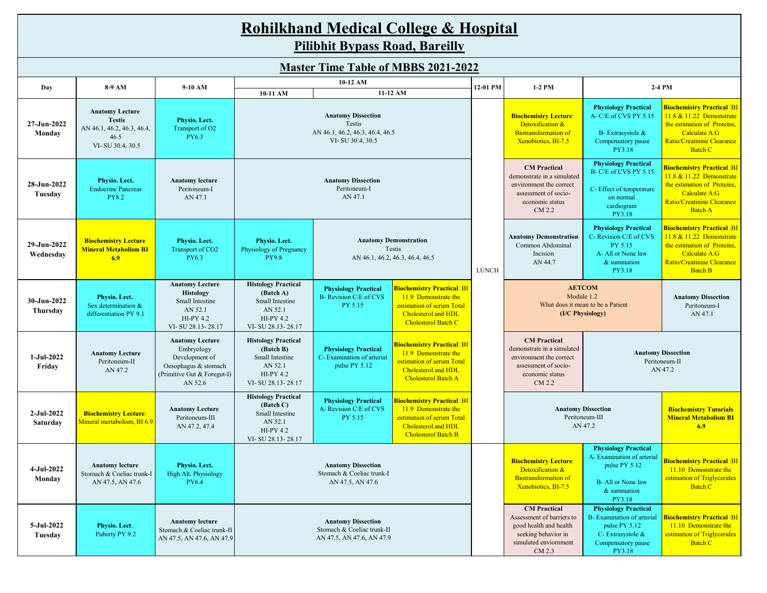## **Rohilkhand Medical College & Hospital Pilibhit Bypass Road, Bareilly**

|                          |                                                                                                   |                                                                                                                          | 10-12 AM                                                                                                       |                                                                                                                                                                                                                        |                                                                                                                                             |              |                                                                                                                                      |                                                                                                                                        |                                                                                                                                                                     |
|--------------------------|---------------------------------------------------------------------------------------------------|--------------------------------------------------------------------------------------------------------------------------|----------------------------------------------------------------------------------------------------------------|------------------------------------------------------------------------------------------------------------------------------------------------------------------------------------------------------------------------|---------------------------------------------------------------------------------------------------------------------------------------------|--------------|--------------------------------------------------------------------------------------------------------------------------------------|----------------------------------------------------------------------------------------------------------------------------------------|---------------------------------------------------------------------------------------------------------------------------------------------------------------------|
| Day                      | 8-9 AM                                                                                            | 9-10 AM                                                                                                                  | 10-11 AM                                                                                                       |                                                                                                                                                                                                                        | 11-12 AM                                                                                                                                    | 12-01 PM     | 1-2 PM                                                                                                                               |                                                                                                                                        | 2-4 PM                                                                                                                                                              |
| 27-Jun-2022<br>Monday    | <b>Anatomy Lecture</b><br><b>Testis</b><br>AN 46.1, 46.2, 46.3, 46.4,<br>46.5<br>VI-SU 30.4, 30.5 | Physio. Lect.<br>Transport of O2<br>PY6.3                                                                                | <b>Anatomy Dissection</b><br>Testis<br>AN 46.1, 46.2, 46.3, 46.4, 46.5<br>VI-SU 30.4, 30.5                     |                                                                                                                                                                                                                        |                                                                                                                                             |              | <b>Biochemistry Lecture:</b><br>Detoxification &<br><b>Biotransformation of</b><br>Xenobiotics, BI-7.5                               | <b>Physiology Practical</b><br>A-C/E of CVS PY 5.15<br>B-Extrasystole &<br>Compensatory pause<br>PY3.18                                | Biochemistry Practical :BI<br>11.8 & 11.22 Demonstrate<br>the estimation of Proteins,<br>Calculate A:G<br>Ratio/Creatinine Clearance<br><b>Batch C</b>              |
| 28-Jun-2022<br>Tuesday   | Physio. Lect.<br><b>Endocrine Pancreas</b><br><b>PY8.2</b>                                        | <b>Anatomy lecture</b><br>Peritoneum-I<br>AN 47.1                                                                        | <b>Anatomy Dissection</b><br>Peritoneum-I<br>AN 47.1                                                           |                                                                                                                                                                                                                        |                                                                                                                                             |              | <b>CM</b> Practical<br>demonstrate in a simulated<br>environment the correct<br>assessment of socio-<br>economic status<br>CM 2.2    | <b>Physiology Practical</b><br>B-C/E of CVS PY 5.15<br>C- Effect of temperature<br>on normal<br>cardiogram<br>PY3.18                   | <mark>Biochemistry Practical :BI</mark><br>11.8 & 11.22 Demonstrate<br>the estimation of Proteins,<br>Calculate A:G<br>Ratio/Creatinine Clearance<br><b>Batch A</b> |
| 29-Jun-2022<br>Wednesday | <b>Biochemistry Lecture</b><br><b>Mineral Metabolism BI</b><br>6.9                                | Physio. Lect.<br>Transport of CO2<br>PY6.3                                                                               | Physio. Lect.<br>Physiology of Pregnancy<br><b>PY9.8</b>                                                       | <b>Anatomy Demonstration</b><br>Testis<br>AN 46.1, 46.2, 46.3, 46.4, 46.5                                                                                                                                              |                                                                                                                                             | <b>LUNCH</b> | <b>Anatomy Demonstration</b><br>Common Abdominal<br>Incision<br>AN 44.7                                                              | <b>Physiology Practical</b><br>C- Revision C/E of CVS<br>PY 5.15<br>A-All or None law<br>& summation<br>PY3.18                         | <b>Biochemistry Practical :BI</b><br>11.8 & 11.22 Demonstrate<br>the estimation of Proteins,<br>Calculate A:G<br>Ratio/Creatinine Clearance<br><b>Batch B</b>       |
| 30-Jun-2022<br>Thursday  | Physio. Lect.<br>Sex determination &<br>differentiation PY 9.1                                    | <b>Anatomy Lecture</b><br><b>Histology</b><br>Small Intestine<br>AN 52.1<br><b>HI-PY 4.2</b><br>VI-SU 28.13-28.17        | <b>Histology Practical</b><br>(Batch A)<br>Small Intestine<br>AN 52.1<br><b>HI-PY 4.2</b><br>VI-SU 28.13-28.17 | <b>Biochemistry Practical :BI</b><br><b>Physiology Practical</b><br><b>B-</b> Revision C/E of CVS<br>11.9 Demonstrate the<br>PY 5.15<br>estimation of serum Total<br>Cholesterol and HDL<br><b>Cholesterol Batch C</b> |                                                                                                                                             |              |                                                                                                                                      | <b>AETCOM</b><br>Module 1.2<br>What does it mean to be a Patient<br>(I/C Physiology)                                                   |                                                                                                                                                                     |
| $1-Jul-2022$<br>Friday   | <b>Anatomy Lecture</b><br>Peritoneum-II<br>AN 47.2                                                | <b>Anatomy Lecture</b><br>Embryology<br>Development of<br>Oesophagus & stomach<br>(Primitive Gut & Foregut-I)<br>AN 52.6 | <b>Histology Practical</b><br>(Batch B)<br>Small Intestine<br>AN 52.1<br>HI-PY 4.2<br>VI-SU 28.13-28.17        | <b>Physiology Practical</b><br>C- Examination of arterial<br>pulse PY 5.12                                                                                                                                             | <b>Biochemistry Practical :BI</b><br>11.9 Demonstrate the<br>estimation of serum Total<br>Cholesterol and HDL<br>Cholesterol Batch A        |              | <b>CM</b> Practical<br>demonstrate in a simulated<br>environment the correct<br>assessment of socio-<br>economic status<br>CM 2.2    |                                                                                                                                        | <b>Anatomy Dissection</b><br>Peritoneum-II<br>AN 47.2                                                                                                               |
| $2-Jul-2022$<br>Saturday | <b>Biochemistry Lecture:</b><br>Mineral mertabolism, BI 6.9                                       | <b>Anatomy Lecture</b><br>Peritoneum-III<br>AN 47.2, 47.4                                                                | <b>Histology Practical</b><br>(Batch C)<br>Small Intestine<br>AN 52.1<br>HI-PY 4.2<br>VI-SU 28.13-28.17        | <b>Physiology Practical</b><br>A-Revision C/E of CVS<br>PY 5.15                                                                                                                                                        | <b>Biochemistry Practical: BI</b><br>11.9 Demonstrate the<br>estimation of serum Total<br>Cholesterol and HDL<br><b>Cholesterol Batch B</b> |              | <b>Anatomy Dissection</b>                                                                                                            | Peritoneum-III<br>AN 47.2                                                                                                              | <b>Biochemistry Tutorials</b><br><b>Mineral Metabolism BI</b><br>6.9                                                                                                |
| $4-Jul-2022$<br>Monday   | <b>Anatomy lecture</b><br>Stomach & Coeliac trunk-I<br>AN 47.5, AN 47.6                           | Physio. Lect.<br>High Alt. Physiology<br><b>PY6.4</b>                                                                    | <b>Anatomy Dissection</b><br>Stomach & Coeliac trunk-I<br>AN 47.5, AN 47.6                                     |                                                                                                                                                                                                                        |                                                                                                                                             |              | <b>Biochemistry Lecture:</b><br>Detoxification &<br><b>Biotransformation of</b><br>Xenobiotics, BI-7.5                               | <b>Physiology Practical</b><br>A- Examination of arterial<br>pulse PY 5.12<br><b>B-All or None law</b><br>& summation<br>PY3.18        | Biochemistry Practical :BI<br>11.10 Demonstrate the<br>estimation of Triglycerides<br><b>Batch C</b>                                                                |
| 5-Jul-2022<br>Tuesday    | Physio. Lect.<br>Puberty PY 9.2                                                                   | <b>Anatomy lecture</b><br>Stomach & Coeliac trunk-II<br>AN 47.5, AN 47.6, AN 47.9                                        |                                                                                                                | <b>Anatomy Dissection</b><br>Stomach & Coeliac trunk-II<br>AN 47.5, AN 47.6, AN 47.9                                                                                                                                   |                                                                                                                                             |              | <b>CM</b> Practical<br>Assessment of barriers to<br>good health and health<br>seeking behavior in<br>simulated enviornment<br>CM 2.3 | <b>Physiology Practical</b><br><b>B-</b> Examination of arterial<br>pulse PY 5.12<br>C- Extrasystole &<br>Compensatory pause<br>PY3.18 | <b>Biochemistry Practical: BI</b><br>11.10 Demonstrate the<br>estimation of Triglycerides<br><b>Batch C</b>                                                         |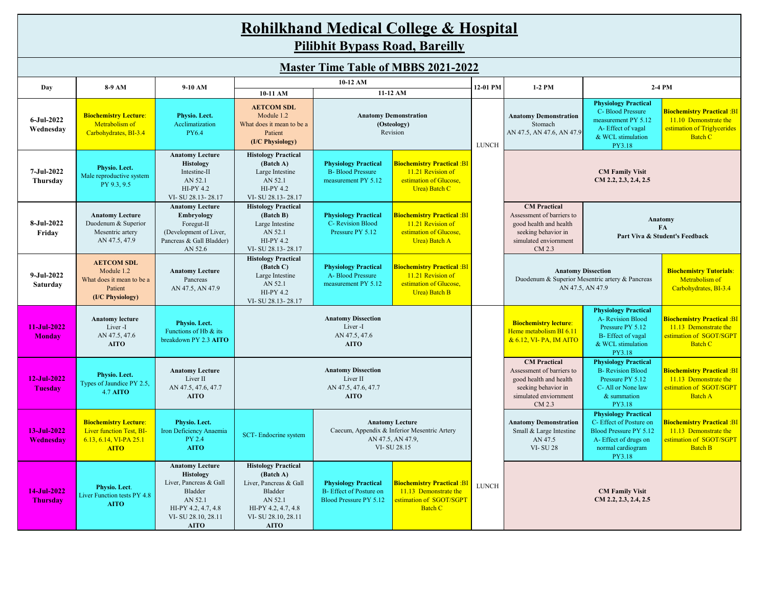|                                | <b>Rohilkhand Medical College &amp; Hospital</b><br><b>Pilibhit Bypass Road, Bareilly</b>                  |                                                                                                                                                        |                                                                                                                                                                                                                                                                                      |                                                                                                                                                                             |                                                                                                         |              |                                                                                                                                      |                                                                                                                                                |                                                                                                                   |  |  |
|--------------------------------|------------------------------------------------------------------------------------------------------------|--------------------------------------------------------------------------------------------------------------------------------------------------------|--------------------------------------------------------------------------------------------------------------------------------------------------------------------------------------------------------------------------------------------------------------------------------------|-----------------------------------------------------------------------------------------------------------------------------------------------------------------------------|---------------------------------------------------------------------------------------------------------|--------------|--------------------------------------------------------------------------------------------------------------------------------------|------------------------------------------------------------------------------------------------------------------------------------------------|-------------------------------------------------------------------------------------------------------------------|--|--|
|                                |                                                                                                            |                                                                                                                                                        |                                                                                                                                                                                                                                                                                      |                                                                                                                                                                             | <b>Master Time Table of MBBS 2021-2022</b>                                                              |              |                                                                                                                                      |                                                                                                                                                |                                                                                                                   |  |  |
| Day                            | 8-9 AM                                                                                                     | 9-10 AM                                                                                                                                                |                                                                                                                                                                                                                                                                                      | 10-12 AM                                                                                                                                                                    |                                                                                                         | 12-01 PM     | 1-2 PM                                                                                                                               |                                                                                                                                                | 2-4 PM                                                                                                            |  |  |
| 6-Jul-2022<br>Wednesday        | <b>Biochemistry Lecture:</b><br>Metrabolism of<br>Carbohydrates, BI-3.4                                    | Physio. Lect.<br>Acclimatization<br>PY6.4                                                                                                              | 10-11 AM<br><b>AETCOM SDL</b><br>Module 1.2<br>What does it mean to be a<br>Patient<br>(I/C Physiology)                                                                                                                                                                              | 11-12 AM<br><b>Anatomy Demonstration</b><br>(Osteology)<br>Revision                                                                                                         |                                                                                                         |              | <b>Anatomy Demonstration</b><br>Stomach<br>AN 47.5, AN 47.6, AN 47.9                                                                 | <b>Physiology Practical</b><br>C-Blood Pressure<br>measurement PY 5.12<br>A-Effect of vagal<br>& WCL stimulation<br>PY3.18                     | <mark>Biochemistry Practical :BI</mark><br>11.10 Demonstrate the<br>estimation of Triglycerides<br><b>Batch C</b> |  |  |
| 7-Jul-2022<br>Thursday         | Physio. Lect.<br>Male reproductive system<br>PY 9.3, 9.5                                                   | <b>Anatomy Lecture</b><br><b>Histology</b><br>Intestine-II<br>AN 52.1<br><b>HI-PY 4.2</b><br>VI-SU 28.13-28.17                                         | <b>Histology Practical</b><br>(Batch A)<br>Large Intestine<br>AN 52.1<br><b>HI-PY 4.2</b><br>VI-SU 28.13-28.17                                                                                                                                                                       | <b>Physiology Practical</b><br><b>B-</b> Blood Pressure<br>measurement PY 5.12                                                                                              | <b>Biochemistry Practical: BI</b><br>11.21 Revision of<br>estimation of Glucose,<br>Urea) Batch C       |              |                                                                                                                                      |                                                                                                                                                |                                                                                                                   |  |  |
| 8-Jul-2022<br>Friday           | <b>Anatomy Lecture</b><br>Duodenum & Superior<br>Mesentric artery<br>AN 47.5, 47.9                         | <b>Anatomy Lecture</b><br>Embryology<br>Foregut-II<br>(Development of Liver,<br>Pancreas & Gall Bladder)<br>AN 52.6                                    | <b>Histology Practical</b><br>(Batch B)<br><b>Biochemistry Practical: BI</b><br><b>Physiology Practical</b><br>Large Intestine<br>C- Revision Blood<br>11.21 Revision of<br>AN 52.1<br>Pressure PY 5.12<br>estimation of Glucose,<br>HI-PY 4.2<br>Urea) Batch A<br>VI-SU 28.13-28.17 |                                                                                                                                                                             |                                                                                                         |              | <b>CM</b> Practical<br>Assessment of barriers to<br>good health and health<br>seeking behavior in<br>simulated enviornment<br>CM 2.3 | Anatomy<br>FA<br>Part Viva & Student's Feedback                                                                                                |                                                                                                                   |  |  |
| 9-Jul-2022<br>Saturday         | <b>AETCOM SDL</b><br>Module 1.2<br>What does it mean to be a<br>Patient<br>(I/C Physiology)                | <b>Anatomy Lecture</b><br>Pancreas<br>AN 47.5, AN 47.9                                                                                                 | <b>Histology Practical</b><br>(Batch C)<br>Large Intestine<br>AN 52.1<br>HI-PY 4.2<br>VI-SU 28.13-28.17                                                                                                                                                                              | <b>Biochemistry Practical: BI</b><br><b>Physiology Practical</b><br>11.21 Revision of<br>A-Blood Pressure<br>estimation of Glucose,<br>measurement PY 5.12<br>Urea) Batch B |                                                                                                         |              |                                                                                                                                      | <b>Anatomy Dissection</b><br>Duodenum & Superior Mesentric artery & Pancreas<br>AN 47.5, AN 47.9                                               | <b>Biochemistry Tutorials:</b><br>Metrabolism of<br>Carbohydrates, BI-3.4                                         |  |  |
| $11-Jul-2022$<br><b>Monday</b> | <b>Anatomy lecture</b><br>Liver-I<br>AN 47.5, 47.6<br><b>AITO</b>                                          | Physio. Lect.<br>Functions of Hb & its<br>breakdown PY 2.3 AITO                                                                                        |                                                                                                                                                                                                                                                                                      | <b>Anatomy Dissection</b><br>Liver <sub>-I</sub><br>AN 47.5, 47.6<br><b>AITO</b>                                                                                            |                                                                                                         |              | <b>Biochemistry lecture:</b><br>Heme metabolism BI 6.11<br>& 6.12, VI- PA, IM AITO                                                   | <b>Physiology Practical</b><br>A- Revision Blood<br>Pressure PY 5.12<br>B-Effect of vagal<br>& WCL stimulation<br>PY3.18                       | <mark>Biochemistry Practical :BI</mark><br>11.13 Demonstrate the<br>estimation of SGOT/SGPT<br><b>Batch C</b>     |  |  |
| 12-Jul-2022<br><b>Tuesday</b>  | Physio. Lect.<br>Types of Jaundice PY 2.5,<br><b>4.7 AITO</b>                                              | <b>Anatomy Lecture</b><br>Liver II<br>AN 47.5, 47.6, 47.7<br><b>AITO</b>                                                                               |                                                                                                                                                                                                                                                                                      | <b>Anatomy Dissection</b><br>Liver II<br>AN 47.5, 47.6, 47.7<br><b>AITO</b>                                                                                                 |                                                                                                         |              | <b>CM</b> Practical<br>Assessment of barriers to<br>good health and health<br>seeking behavior in<br>simulated enviornment<br>CM 2.3 | <b>Physiology Practical</b><br><b>B-</b> Revision Blood<br>Pressure PY 5.12<br>C- All or None law<br>& summation<br>PY3.18                     | <b>Biochemistry Practical :BI</b><br>11.13 Demonstrate the<br>estimation of SGOT/SGPT<br><b>Batch A</b>           |  |  |
| 13-Jul-2022<br>Wednesday       | <b>Biochemistry Lecture:</b><br><b>Liver function Test, BI-</b><br>$6.13, 6.14, VI-PA$ 25.1<br><b>AITO</b> | Physio. Lect.<br>Iron Deficiency Anaemia<br>PY 2.4<br><b>AITO</b>                                                                                      | SCT-Endocrine system                                                                                                                                                                                                                                                                 | <b>Anatomy Lecture</b><br>Caecum, Appendix & Inferior Mesentric Artery<br>AN 47.5, AN 47.9,<br>VI-SU 28.15                                                                  |                                                                                                         |              | <b>Anatomy Demonstration</b><br>Small & Large Intestine<br>AN 47.5<br><b>VI-SU 28</b>                                                | <b>Physiology Practical</b><br>C- Effect of Posture on<br><b>Blood Pressure PY 5.12</b><br>A-Effect of drugs on<br>normal cardiogram<br>PY3.18 | <b>Biochemistry Practical :BI</b><br>11.13 Demonstrate the<br>estimation of SGOT/SGPT<br>Batch B                  |  |  |
| 14-Jul-2022<br><b>Thursday</b> | Physio. Lect.<br>Liver Function tests PY 4.8<br><b>AITO</b>                                                | <b>Anatomy Lecture</b><br><b>Histology</b><br>Liver, Pancreas & Gall<br>Bladder<br>AN 52.1<br>HI-PY 4.2, 4.7, 4.8<br>VI-SU 28.10, 28.11<br><b>AITO</b> | <b>Histology Practical</b><br>(Batch A)<br>Liver, Pancreas & Gall<br>Bladder<br>AN 52.1<br>HI-PY 4.2, 4.7, 4.8<br>VI-SU 28.10, 28.11<br><b>AITO</b>                                                                                                                                  | <b>Physiology Practical</b><br>B- Effect of Posture on<br><b>Blood Pressure PY 5.12</b>                                                                                     | <b>Biochemistry Practical :Bl</b><br>11.13 Demonstrate the<br>estimation of SGOT/SGPT<br><b>Batch C</b> | <b>LUNCH</b> |                                                                                                                                      | <b>CM Family Visit</b><br>$CM$ 2.2, 2.3, 2.4, 2.5                                                                                              |                                                                                                                   |  |  |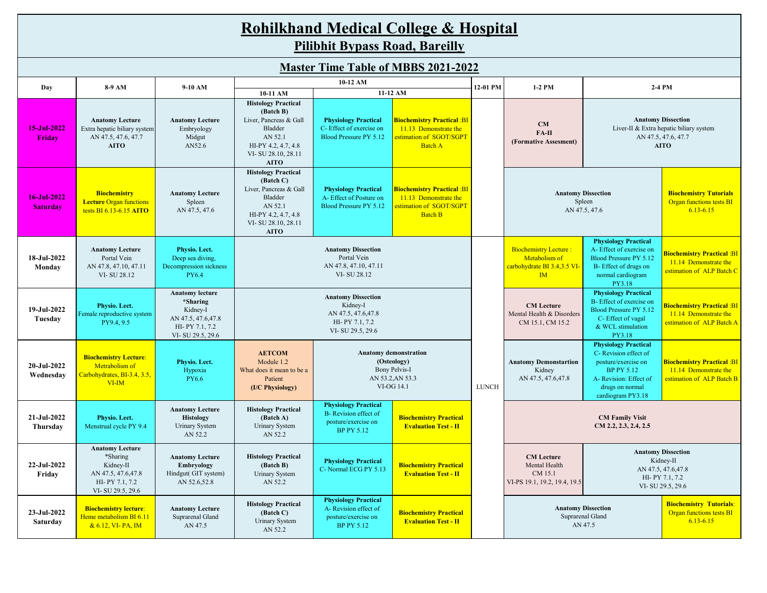| <b>Rohilkhand Medical College &amp; Hospital</b> |  |
|--------------------------------------------------|--|
| <b>Pilibhit Bypass Road, Bareilly</b>            |  |

| <b>Master Time Table of MBBS 2021-2022</b> |                                                                                                              |                                                                                                             |                                                                                                                                                                                                                                                                                                                                                           |                                                                                                                                                                  |                                                                                                         |              |                                                                                           |                                                                                                                                                                  |                                                                                                            |
|--------------------------------------------|--------------------------------------------------------------------------------------------------------------|-------------------------------------------------------------------------------------------------------------|-----------------------------------------------------------------------------------------------------------------------------------------------------------------------------------------------------------------------------------------------------------------------------------------------------------------------------------------------------------|------------------------------------------------------------------------------------------------------------------------------------------------------------------|---------------------------------------------------------------------------------------------------------|--------------|-------------------------------------------------------------------------------------------|------------------------------------------------------------------------------------------------------------------------------------------------------------------|------------------------------------------------------------------------------------------------------------|
| Day                                        | 8-9 AM                                                                                                       | 9-10 AM                                                                                                     | 10-11 AM                                                                                                                                                                                                                                                                                                                                                  | 10-12 AM                                                                                                                                                         | 11-12 AM                                                                                                | 12-01 PM     | 1-2 PM                                                                                    |                                                                                                                                                                  | 2-4 PM                                                                                                     |
| 15-Jul-2022<br>Fridav                      | <b>Anatomy Lecture</b><br>Extra hepatic biliary system<br>AN 47.5, 47.6, 47.7<br><b>AITO</b>                 | <b>Anatomy Lecture</b><br>Embryology<br>Midgut<br>AN52.6                                                    | <b>Histology Practical</b><br>(Batch B)<br>Liver, Pancreas & Gall<br><b>Biochemistry Practical :BI</b><br><b>Physiology Practical</b><br>Bladder<br>C-Effect of exercise on<br>11.13 Demonstrate the<br>AN 52.1<br><b>Blood Pressure PY 5.12</b><br>estimation of SGOT/SGPT<br><b>Batch A</b><br>HI-PY 4.2, 4.7, 4.8<br>VI-SU 28.10, 28.11<br><b>AITO</b> |                                                                                                                                                                  |                                                                                                         |              | CM<br>$FA-II$<br>(Formative Assesment)                                                    |                                                                                                                                                                  | <b>Anatomy Dissection</b><br>Liver-II & Extra hepatic biliary system<br>AN 47.5, 47.6, 47.7<br><b>AITO</b> |
| 16-Jul-2022<br><b>Saturday</b>             | <b>Biochemistry</b><br><b>Lecture Organ functions</b><br>tests BI 6.13-6.15 AITO                             | <b>Anatomy Lecture</b><br>Spleen<br>AN 47.5, 47.6                                                           | <b>Histology Practical</b><br>(Batch C)<br>Liver, Pancreas & Gall<br>Bladder<br>AN 52.1<br>HI-PY 4.2, 4.7, 4.8<br>VI-SU 28.10, 28.11<br><b>AITO</b>                                                                                                                                                                                                       | <b>Physiology Practical</b><br>A-Effect of Posture on<br><b>Blood Pressure PY 5.12</b>                                                                           | <b>Biochemistry Practical :BI</b><br>11.13 Demonstrate the<br>estimation of SGOT/SGPT<br><b>Batch B</b> |              | <b>Anatomy Dissection</b>                                                                 | Spleen<br>AN 47.5, 47.6                                                                                                                                          | <b>Biochemistry Tutorials</b><br><b>Organ functions tests BI</b><br>$6.13 - 6.15$                          |
| 18-Jul-2022<br>Monday                      | <b>Anatomy Lecture</b><br>Portal Vein<br>AN 47.8, 47.10, 47.11<br>VI-SU 28.12                                | Physio. Lect.<br>Deep sea diving,<br>Decompression sickness<br>PY6.4                                        | <b>Anatomy Dissection</b><br>Portal Vein<br>AN 47.8, 47.10, 47.11<br>VI-SU 28.12                                                                                                                                                                                                                                                                          |                                                                                                                                                                  |                                                                                                         |              | <b>Biochemistry Lecture:</b><br>Metabolism of<br>carbohydrate BI 3.4,3.5 VI-<br><b>IM</b> | <b>Physiology Practical</b><br>A-Effect of exercise on<br><b>Blood Pressure PY 5.12</b><br>B-Effect of drugs on<br>normal cardiogram<br>PY3.18                   | <b>Biochemistry Practical: BI</b><br>11.14 Demonstrate the<br>estimation of ALP Batch C                    |
| 19-Jul-2022<br>Tuesday                     | Physio. Lect.<br>Female reproductive system<br>PY9.4, 9.5                                                    | <b>Anatomy lecture</b><br>*Sharing<br>Kidney-I<br>AN 47.5, 47.6, 47.8<br>HI-PY 7.1, 7.2<br>VI-SU 29.5, 29.6 |                                                                                                                                                                                                                                                                                                                                                           | <b>Anatomy Dissection</b><br>Kidney-I<br>AN 47.5, 47.6, 47.8<br>HI-PY 7.1, 7.2<br>VI-SU 29.5, 29.6                                                               |                                                                                                         |              | <b>CM</b> Lecture<br>Mental Health & Disorders<br>CM 15.1, CM 15.2                        | <b>Physiology Practical</b><br>B- Effect of exercise on<br><b>Blood Pressure PY 5.12</b><br>C-Effect of vagal<br>& WCL stimulation<br>PY3.18                     | <b>Biochemistry Practical: BI</b><br>11.14 Demonstrate the<br>estimation of ALP Batch A                    |
| 20-Jul-2022<br>Wednesday                   | <b>Biochemistry Lecture:</b><br>Metrabolism of<br>Carbohydrates, BI-3.4, 3.5,<br>$VI$ -IM                    | Physio. Lect.<br>Hypoxia<br>PY6.6                                                                           | <b>AETCOM</b><br>Module 1.2<br>What does it mean to be a<br>Patient<br>(I/C Physiology)                                                                                                                                                                                                                                                                   |                                                                                                                                                                  | <b>Anatomy demonstration</b><br>(Osteology)<br>Bony Pelvis-I<br>AN 53.2, AN 53.3<br>VI-OG 14.1          | <b>LUNCH</b> | <b>Anatomy Demonstartion</b><br>Kidney<br>AN 47.5, 47.6, 47.8                             | <b>Physiology Practical</b><br>C-Revision effect of<br>posture/exercise on<br><b>BP PY 5.12</b><br>A-Revision: Effect of<br>drugs on normal<br>cardiogram PY3.18 | <b>Biochemistry Practical :BI</b><br>11.14 Demonstrate the<br>estimation of ALP Batch B                    |
| 21-Jul-2022<br>Thursday                    | Physio. Lect.<br>Menstrual cycle PY 9.4                                                                      | <b>Anatomy Lecture</b><br><b>Histology</b><br>Urinary System<br>AN 52.2                                     | <b>Histology Practical</b><br>(Batch A)<br>Urinary System<br>AN 52.2                                                                                                                                                                                                                                                                                      | <b>Physiology Practical</b><br>B- Revision effect of<br><b>Biochemistry Practical</b><br>posture/exercise on<br><b>Evaluation Test - II</b><br><b>BP PY 5.12</b> |                                                                                                         |              |                                                                                           | <b>CM Family Visit</b><br>CM 2.2, 2.3, 2.4, 2.5                                                                                                                  |                                                                                                            |
| 22-Jul-2022<br>Friday                      | <b>Anatomy Lecture</b><br>*Sharing<br>Kidney-II<br>AN 47.5, 47.6, 47.8<br>HI-PY 7.1, 7.2<br>VI-SU 29.5, 29.6 | <b>Anatomy Lecture</b><br>Embryology<br>Hindgut(GIT system)<br>AN 52.6,52.8                                 | <b>Histology Practical</b><br>(Batch B)<br>Urinary System<br>AN 52.2                                                                                                                                                                                                                                                                                      | <b>Physiology Practical</b><br><b>Biochemistry Practical</b><br>C-Normal ECG PY 5.13<br><b>Evaluation Test - II</b>                                              |                                                                                                         |              | <b>CM</b> Lecture<br>Mental Health<br>CM 15.1<br>VI-PS 19.1, 19.2, 19.4, 19.5             |                                                                                                                                                                  | <b>Anatomy Dissection</b><br>Kidney-II<br>AN 47.5, 47.6, 47.8<br>HI-PY 7.1, 7.2<br>VI-SU 29.5, 29.6        |
| 23-Jul-2022<br>Saturday                    | <b>Biochemistry lecture:</b><br>Heme metabolism BI 6.11<br>$0.612 \text{ }\text{M}$ DA IM                    | <b>Anatomy Lecture</b><br>Suprarenal Gland<br>ANI $475$                                                     | <b>Histology Practical</b><br>(Batch C)<br><b>Urinary System</b>                                                                                                                                                                                                                                                                                          | <b>Physiology Practical</b><br>A- Revision effect of<br>posture/exercise on<br>DD DV $\epsilon$ 10                                                               | <b>Biochemistry Practical</b><br><b>Evaluation Test - II</b>                                            |              | <b>Anatomy Dissection</b>                                                                 | Suprarenal Gland<br>ANI $475$                                                                                                                                    | <b>Biochemistry Tutorials:</b><br><b>Organ functions tests BI</b><br>$6.13 - 6.15$                         |

BP PY 5.12

& 6.12, VI- PA, IM

AN 47.5

AN 52.2

AN 47.5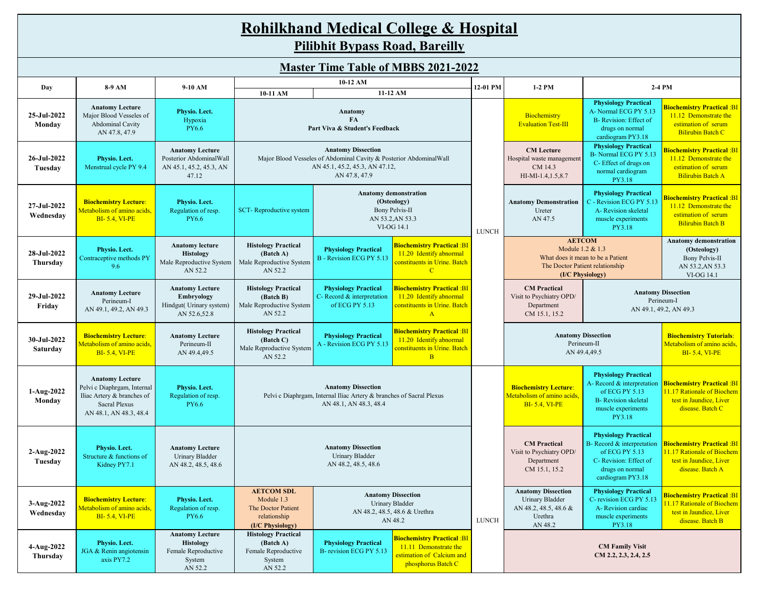| <b>Rohilkhand Medical College &amp; Hospital</b> |
|--------------------------------------------------|
| <b>Pilibhit Bypass Road, Bareilly</b>            |

|                          | 8-9 AM                                                                                                                                | 9-10 AM                                                                               |                                                                                                                                                                                                                                                                               |                                                                                                                                                                                 | 12-01 PM                                                                                                     | 1-2 PM                                                                                      |                                                                                                             | 2-4 PM                                                                                                                                       |                                                                                                                     |
|--------------------------|---------------------------------------------------------------------------------------------------------------------------------------|---------------------------------------------------------------------------------------|-------------------------------------------------------------------------------------------------------------------------------------------------------------------------------------------------------------------------------------------------------------------------------|---------------------------------------------------------------------------------------------------------------------------------------------------------------------------------|--------------------------------------------------------------------------------------------------------------|---------------------------------------------------------------------------------------------|-------------------------------------------------------------------------------------------------------------|----------------------------------------------------------------------------------------------------------------------------------------------|---------------------------------------------------------------------------------------------------------------------|
| Day                      |                                                                                                                                       |                                                                                       | 10-11 AM                                                                                                                                                                                                                                                                      |                                                                                                                                                                                 | 11-12 AM                                                                                                     |                                                                                             |                                                                                                             |                                                                                                                                              |                                                                                                                     |
| 25-Jul-2022<br>Monday    | <b>Anatomy Lecture</b><br>Major Blood Vesseles of<br>Abdominal Cavity<br>AN 47.8, 47.9                                                | Physio. Lect.<br>Hypoxia<br>PY6.6                                                     |                                                                                                                                                                                                                                                                               | Anatomy<br>FA<br>Part Viva & Student's Feedback                                                                                                                                 |                                                                                                              |                                                                                             | Biochemistry<br><b>Evaluation Test-III</b>                                                                  | <b>Physiology Practical</b><br>A-Normal ECG PY 5.13<br>B- Revision: Effect of<br>drugs on normal<br>cardiogram PY3.18                        | <mark>Biochemistry Practical :BI</mark><br>11.12 Demonstrate the<br>estimation of serum<br><b>Bilirubin Batch C</b> |
| 26-Jul-2022<br>Tuesday   | Physio. Lect.<br>Menstrual cycle PY 9.4                                                                                               | <b>Anatomy Lecture</b><br>Posterior AbdominalWall<br>AN 45.1, 45.2, 45.3, AN<br>47.12 | <b>Anatomy Dissection</b><br>Major Blood Vesseles of Abdominal Cavity & Posterior AbdominalWall<br>AN 45.1, 45.2, 45.3, AN 47.12,<br>AN 47.8, 47.9                                                                                                                            |                                                                                                                                                                                 |                                                                                                              |                                                                                             | <b>CM</b> Lecture<br>Hospital waste management<br>CM 14.3<br>HI-MI-1.4, 1.5, 8.7                            | <b>Physiology Practical</b><br>B-Normal ECG PY 5.13<br>C-Effect of drugs on<br>normal cardiogram<br>PY3.18                                   | <mark>Biochemistry Practical :BI</mark><br>11.12 Demonstrate the<br>estimation of serum<br><b>Bilirubin Batch A</b> |
| 27-Jul-2022<br>Wednesday | <b>Biochemistry Lecture:</b><br>Metabolism of amino acids,<br><b>BI-5.4, VI-PE</b>                                                    | Physio. Lect.<br>Regulation of resp.<br><b>PY6.6</b>                                  | <b>Anatomy demonstration</b><br>(Osteology)<br><b>Bony Pelvis-II</b><br>SCT-Reproductive system<br>AN 53.2, AN 53.3<br>VI-OG 14.1<br><b>LUNCH</b>                                                                                                                             |                                                                                                                                                                                 |                                                                                                              |                                                                                             | <b>Anatomy Demonstration</b><br>Ureter<br>AN 47.5                                                           | <b>Physiology Practical</b><br>C - Revision ECG PY 5.13<br>A- Revision skeletal<br>muscle experiments<br>PY3.18                              | Biochemistry Practical :Bl<br>11.12 Demonstrate the<br>estimation of serum<br><b>Bilirubin Batch B</b>              |
| 28-Jul-2022<br>Thursday  | Physio. Lect.<br>Contraceptive methods PY<br>9.6                                                                                      | <b>Anatomy lecture</b><br><b>Histology</b><br>Male Reproductive System<br>AN 52.2     | <b>Histology Practical</b><br>(Batch A)<br>Male Reproductive System<br>AN 52.2                                                                                                                                                                                                | <b>Biochemistry Practical: Bl</b><br><b>Physiology Practical</b><br>11.20 Identify abnormal<br><b>B</b> - Revision ECG PY 5.13<br>constituents in Urine. Batch<br>$\mathcal{C}$ |                                                                                                              |                                                                                             | <b>AETCOM</b><br>Module 1.2 & 1.3<br>The Doctor Patient relationship                                        | What does it mean to be a Patient<br>(I/C Physiology)                                                                                        | <b>Anatomy demonstration</b><br>(Osteology)<br><b>Bony Pelvis-II</b><br>AN 53.2, AN 53.3<br>VI-OG 14.1              |
| 29-Jul-2022<br>Friday    | <b>Anatomy Lecture</b><br>Perineum-I<br>AN 49.1, 49.2, AN 49.3                                                                        | <b>Anatomy Lecture</b><br>Embryology<br>Hindgut( Urinary system)<br>AN 52.6,52.8      | <b>Biochemistry Practical: BI</b><br><b>Histology Practical</b><br><b>Physiology Practical</b><br>C- Record & interpretation<br>11.20 Identify abnormal<br>(Batch B)<br>Male Reproductive System<br>of ECG PY 5.13<br>constituents in Urine. Batch<br>AN 52.2<br>$\mathbf{A}$ |                                                                                                                                                                                 |                                                                                                              |                                                                                             | <b>CM</b> Practical<br>Visit to Psychiatry OPD/<br>Department<br>CM 15.1, 15.2                              |                                                                                                                                              | <b>Anatomy Dissection</b><br>Perineum-I<br>AN 49.1, 49.2, AN 49.3                                                   |
| 30-Jul-2022<br>Saturday  | <b>Biochemistry Lecture:</b><br>Metabolism of amino acids,<br><b>BI-5.4, VI-PE</b>                                                    | <b>Anatomy Lecture</b><br>Perineum-II<br>AN 49.4,49.5                                 | <b>Histology Practical</b><br>(Batch C)<br>Male Reproductive System<br>AN 52.2                                                                                                                                                                                                | <b>Physiology Practical</b><br>A - Revision ECG PY 5.13                                                                                                                         | <b>Biochemistry Practical: BI</b><br>11.20 Identify abnormal<br>constituents in Urine. Batch<br>$\mathbf{B}$ |                                                                                             |                                                                                                             | <b>Anatomy Dissection</b><br>Perineum-II<br>AN 49.4,49.5                                                                                     | <b>Biochemistry Tutorials:</b><br>Metabolism of amino acids,<br><b>BI-5.4, VI-PE</b>                                |
| 1-Aug-2022<br>Monday     | <b>Anatomy Lecture</b><br>Pelvi c Diaphrgam, Internal<br>Iliac Artery & branches of<br><b>Sacral Plexus</b><br>AN 48.1, AN 48.3, 48.4 | Physio. Lect.<br>Regulation of resp.<br><b>PY6.6</b>                                  |                                                                                                                                                                                                                                                                               | <b>Anatomy Dissection</b><br>Pelvi c Diaphrgam, Internal Iliac Artery & branches of Sacral Plexus<br>AN 48.1, AN 48.3, 48.4                                                     |                                                                                                              |                                                                                             | <b>Biochemistry Lecture:</b><br>Metabolism of amino acids,<br><b>BI-5.4, VI-PE</b>                          | <b>Physiology Practical</b><br>A-Record & interpretation<br>of ECG PY 5.13<br><b>B-</b> Revision skeletal<br>muscle experiments<br>PY3.18    | <b>Biochemistry Practical: BI</b><br>11.17 Rationale of Biochem<br>test in Jaundice, Liver<br>disease. Batch C      |
| 2-Aug-2022<br>Tuesday    | Physio. Lect.<br>Structure & functions of<br>Kidney PY7.1                                                                             | <b>Anatomy Lecture</b><br>Urinary Bladder<br>AN 48.2, 48.5, 48.6                      | <b>Anatomy Dissection</b><br>Urinary Bladder<br>AN 48.2, 48.5, 48.6                                                                                                                                                                                                           |                                                                                                                                                                                 |                                                                                                              |                                                                                             | <b>CM</b> Practical<br>Visit to Psychiatry OPD/<br>Department<br>CM 15.1, 15.2                              | <b>Physiology Practical</b><br>B- Record & interpretation<br>of ECG PY 5.13<br>C-Revision: Effect of<br>drugs on normal<br>cardiogram PY3.18 | <b>Biochemistry Practical: BI</b><br>11.17 Rationale of Biochem<br>test in Jaundice, Liver<br>disease. Batch A      |
| 3-Aug-2022<br>Wednesday  | <b>Biochemistry Lecture:</b><br>Aetabolism of amino acids,<br><b>BI-5.4, VI-PE</b>                                                    | Physio. Lect.<br>Regulation of resp.<br>PY6.6                                         | <b>AETCOM SDL</b><br><b>Anatomy Dissection</b><br>Module 1.3<br><b>Urinary Bladder</b><br>The Doctor Patient<br>AN 48.2, 48.5, 48.6 & Urethra<br>relationship<br>AN 48.2<br>(I/C Physiology)                                                                                  |                                                                                                                                                                                 | <b>LUNCH</b>                                                                                                 | <b>Anatomy Dissection</b><br>Urinary Bladder<br>AN 48.2, 48.5, 48.6 &<br>Urethra<br>AN 48.2 | <b>Physiology Practical</b><br>C-revision ECG PY 5.13<br>A-Revision cardiac<br>muscle experiments<br>PY3.18 | Biochemistry Practical :BI<br>1.17 Rationale of Biochem<br>test in Jaundice, Liver<br>disease. Batch B                                       |                                                                                                                     |
| 4-Aug-2022<br>Thursday   | Physio. Lect.<br>JGA & Renin angiotensin<br>axis PY7.2                                                                                | <b>Anatomy Lecture</b><br>Histology<br>Female Reproductive<br>System<br>AN 52.2       | <b>Histology Practical</b><br><b>Biochemistry Practical: BI</b><br>(Batch A)<br><b>Physiology Practical</b><br>11.11 Demonstrate the<br>B-revision ECG PY 5.13<br>Female Reproductive<br>estimation of Calcium and<br>System<br>phosphorus Batch C<br>AN 52.2                 |                                                                                                                                                                                 |                                                                                                              |                                                                                             |                                                                                                             | <b>CM Family Visit</b><br>CM 2.2, 2.3, 2.4, 2.5                                                                                              |                                                                                                                     |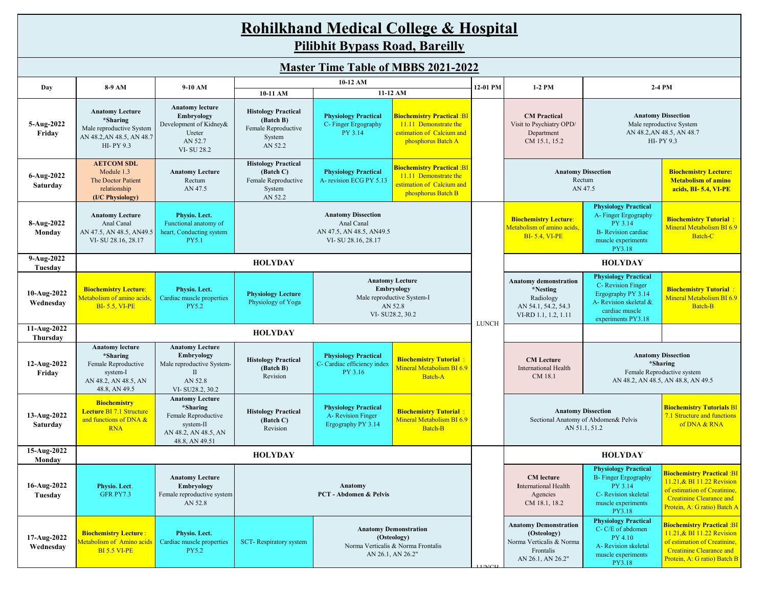|                                            | <b>Rohilkhand Medical College &amp; Hospital</b><br><b>Pilibhit Bypass Road, Bareilly</b>                      |                                                                                                                  |                                                                                                                                                                                                                                                               |                                                                                                  |                                                                                                               |                                                                                                                              |                                                                                                                                                                                   |                                                                                                                                          |                                                                                                                                                                          |  |  |  |  |
|--------------------------------------------|----------------------------------------------------------------------------------------------------------------|------------------------------------------------------------------------------------------------------------------|---------------------------------------------------------------------------------------------------------------------------------------------------------------------------------------------------------------------------------------------------------------|--------------------------------------------------------------------------------------------------|---------------------------------------------------------------------------------------------------------------|------------------------------------------------------------------------------------------------------------------------------|-----------------------------------------------------------------------------------------------------------------------------------------------------------------------------------|------------------------------------------------------------------------------------------------------------------------------------------|--------------------------------------------------------------------------------------------------------------------------------------------------------------------------|--|--|--|--|
| <b>Master Time Table of MBBS 2021-2022</b> |                                                                                                                |                                                                                                                  |                                                                                                                                                                                                                                                               |                                                                                                  |                                                                                                               |                                                                                                                              |                                                                                                                                                                                   |                                                                                                                                          |                                                                                                                                                                          |  |  |  |  |
| 10-12 AM                                   |                                                                                                                |                                                                                                                  |                                                                                                                                                                                                                                                               |                                                                                                  |                                                                                                               |                                                                                                                              |                                                                                                                                                                                   |                                                                                                                                          |                                                                                                                                                                          |  |  |  |  |
| Day                                        | 8-9 AM                                                                                                         | 9-10 AM                                                                                                          | 10-11 AM                                                                                                                                                                                                                                                      |                                                                                                  | 11-12 AM                                                                                                      | 12-01 PM                                                                                                                     | $1-2$ PM                                                                                                                                                                          |                                                                                                                                          | 2-4 PM                                                                                                                                                                   |  |  |  |  |
| 5-Aug-2022<br>Friday                       | <b>Anatomy Lecture</b><br>*Sharing<br>Male reproductive System<br>AN 48.2, AN 48.5, AN 48.7<br>HI-PY 9.3       | <b>Anatomy lecture</b><br>Embryology<br>Development of Kidney&<br>Ureter<br>AN 52.7<br>VI-SU 28.2                | <b>Histology Practical</b><br>(Batch B)<br>Female Reproductive<br>System<br>AN 52.2                                                                                                                                                                           | <b>Physiology Practical</b><br>C- Finger Ergography<br>PY 3.14                                   | <b>Biochemistry Practical: BI</b><br>11.11 Demonstrate the<br>estimation of Calcium and<br>phosphorus Batch A |                                                                                                                              | <b>CM</b> Practical<br><b>Anatomy Dissection</b><br>Male reproductive System<br>Visit to Psychiatry OPD/<br>AN 48.2, AN 48.5, AN 48.7<br>Department<br>HI-PY 9.3<br>CM 15.1, 15.2 |                                                                                                                                          |                                                                                                                                                                          |  |  |  |  |
| 6-Aug-2022<br>Saturday                     | <b>AETCOM SDL</b><br>Module 1.3<br>The Doctor Patient<br>relationship<br>(I/C Physiology)                      | <b>Anatomy Lecture</b><br>Rectum<br>AN 47.5                                                                      | <b>Histology Practical</b><br><b>Biochemistry Practical: BI</b><br>(Batch C)<br><b>Physiology Practical</b><br>11.11 Demonstrate the<br>A-revision ECG PY 5.13<br>Female Reproductive<br>estimation of Calcium and<br>System<br>phosphorus Batch B<br>AN 52.2 |                                                                                                  |                                                                                                               |                                                                                                                              |                                                                                                                                                                                   | <b>Anatomy Dissection</b><br>Rectum<br>AN 47.5                                                                                           | <b>Biochemistry Lecture:</b><br><b>Metabolism of amino</b><br>acids, BI-5.4, VI-PE                                                                                       |  |  |  |  |
| 8-Aug-2022<br>Monday                       | <b>Anatomy Lecture</b><br>Anal Canal<br>AN 47.5, AN 48.5, AN49.5<br>VI-SU 28.16, 28.17                         | Physio. Lect.<br>Functional anatomy of<br>heart, Conducting system<br><b>PY5.1</b>                               |                                                                                                                                                                                                                                                               |                                                                                                  | <b>Biochemistry Lecture:</b><br>Metabolism of amino acids.<br><b>BI-5.4, VI-PE</b>                            | <b>Physiology Practical</b><br>A- Finger Ergography<br>PY 3.14<br><b>B-</b> Revision cardiac<br>muscle experiments<br>PY3.18 | <b>Biochemistry Tutorial:</b><br>Mineral Metabolism BI 6.9<br>Batch-C                                                                                                             |                                                                                                                                          |                                                                                                                                                                          |  |  |  |  |
| 9-Aug-2022<br>Tuesday                      |                                                                                                                |                                                                                                                  | <b>HOLYDAY</b>                                                                                                                                                                                                                                                |                                                                                                  |                                                                                                               |                                                                                                                              | <b>HOLYDAY</b>                                                                                                                                                                    |                                                                                                                                          |                                                                                                                                                                          |  |  |  |  |
| 10-Aug-2022<br>Wednesday                   | <b>Biochemistry Lecture:</b><br>Metabolism of amino acids,<br><b>BI-5.5, VI-PE</b>                             | Physio. Lect.<br>Cardiac muscle properties<br><b>PY5.2</b>                                                       | <b>Physiology Lecture</b><br>Physiology of Yoga                                                                                                                                                                                                               | <b>Anatomy Lecture</b><br>Embryology<br>Male reproductive System-I<br>AN 52.8<br>VI-SU28.2, 30.2 |                                                                                                               |                                                                                                                              |                                                                                                                                                                                   | <b>Physiology Practical</b><br>C-Revision Finger<br>Ergography PY 3.14<br>A- Revision skeletal &<br>cardiac muscle<br>experiments PY3.18 | <b>Biochemistry Tutorial:</b><br><b>Mineral Metabolism BI 6.9</b><br>Batch-B                                                                                             |  |  |  |  |
| 11-Aug-2022<br>Thursday                    |                                                                                                                |                                                                                                                  | <b>HOLYDAY</b>                                                                                                                                                                                                                                                |                                                                                                  |                                                                                                               | <b>LUNCH</b>                                                                                                                 |                                                                                                                                                                                   |                                                                                                                                          |                                                                                                                                                                          |  |  |  |  |
| 12-Aug-2022<br>Friday                      | <b>Anatomy lecture</b><br>*Sharing<br>Female Reproductive<br>system-I<br>AN 48.2, AN 48.5, AN<br>48.8, AN 49.5 | <b>Anatomy Lecture</b><br>Embryology<br>Male reproductive System-<br>$\rm{II}$<br>AN 52.8<br>VI-SU28.2, 30.2     | <b>Histology Practical</b><br>(Batch B)<br>Revision                                                                                                                                                                                                           | <b>Physiology Practical</b><br>C- Cardiac efficiency index<br>PY 3.16                            | <b>Biochemistry Tutorial:</b><br>Mineral Metabolism BI 6.9<br><b>Batch-A</b>                                  |                                                                                                                              | <b>CM</b> Lecture<br><b>International Health</b><br>CM 18.1                                                                                                                       |                                                                                                                                          | <b>Anatomy Dissection</b><br>*Sharing<br>Female Reproductive system<br>AN 48.2, AN 48.5, AN 48.8, AN 49.5                                                                |  |  |  |  |
| 13-Aug-2022<br>Saturday                    | <b>Biochemistry</b><br>Lecture BI 7.1 Structure<br>and functions of DNA &<br><b>RNA</b>                        | <b>Anatomy Lecture</b><br>*Sharing<br>Female Reproductive<br>system-II<br>AN 48.2, AN 48.5, AN<br>48.8, AN 49.51 | <b>Physiology Practical</b><br><b>Histology Practical</b><br><b>Biochemistry Tutorial:</b><br>A-Revision Finger<br>Mineral Metabolism BI 6.9<br>(Batch C)<br>Ergography PY 3.14<br><b>Batch-B</b><br>Revision                                                 |                                                                                                  |                                                                                                               |                                                                                                                              |                                                                                                                                                                                   | <b>Anatomy Dissection</b><br>Sectional Anatomy of Abdomen& Pelvis<br>AN 51.1, 51.2                                                       | <b>Biochemistry Tutorials BI</b><br>7.1 Structure and functions<br>of DNA & RNA                                                                                          |  |  |  |  |
| 15-Aug-2022<br>Monday                      |                                                                                                                |                                                                                                                  | <b>HOLYDAY</b>                                                                                                                                                                                                                                                |                                                                                                  |                                                                                                               |                                                                                                                              |                                                                                                                                                                                   | <b>HOLYDAY</b>                                                                                                                           |                                                                                                                                                                          |  |  |  |  |
| 16-Aug-2022<br>Tuesday                     | Physio. Lect.<br>GFR PY7.3                                                                                     | <b>Anatomy Lecture</b><br>Embryology<br>Female reproductive system<br>AN 52.8                                    | Anatomy<br><b>PCT</b> - Abdomen & Pelvis                                                                                                                                                                                                                      |                                                                                                  |                                                                                                               |                                                                                                                              | <b>CM</b> lecture<br><b>International Health</b><br>Agencies<br>CM 18.1, 18.2                                                                                                     | <b>Physiology Practical</b><br><b>B-</b> Finger Ergography<br>PY 3.14<br>C- Revision skeletal<br>muscle experiments<br>PY3.18            | <mark>Biochemistry Practical :BI</mark><br>11.21, & BI 11.22 Revision<br>of estimation of Creatinine,<br><b>Creatinine Clearance and</b><br>Protein, A: G ratio) Batch A |  |  |  |  |
| 17-Aug-2022<br>Wednesday                   | <b>Biochemistry Lecture:</b><br>Aetabolism of Amino acids<br><b>BI 5.5 VI-PE</b>                               | Physio. Lect.<br>Cardiac muscle properties<br><b>PY5.2</b>                                                       | <b>Anatomy Demonstration</b><br>(Osteology)<br>SCT-Respiratory system<br>Norma Verticalis & Norma Frontalis<br>AN 26.1, AN 26.2"                                                                                                                              |                                                                                                  |                                                                                                               | <b>INCU</b>                                                                                                                  | <b>Anatomy Demonstration</b><br>(Osteology)<br>Norma Verticalis & Norma<br>Frontalis<br>AN 26.1, AN 26.2"                                                                         | <b>Physiology Practical</b><br>C-C/E of abdomen<br>PY 4.10<br>A-Revision skeletal<br>muscle experiments<br>PY3.18                        | <b>Biochemistry Practical :BI</b><br>11.21,& BI 11.22 Revision<br>of estimation of Creatinine,<br><b>Creatinine Clearance and</b><br>Protein, A: G ratio) Batch B        |  |  |  |  |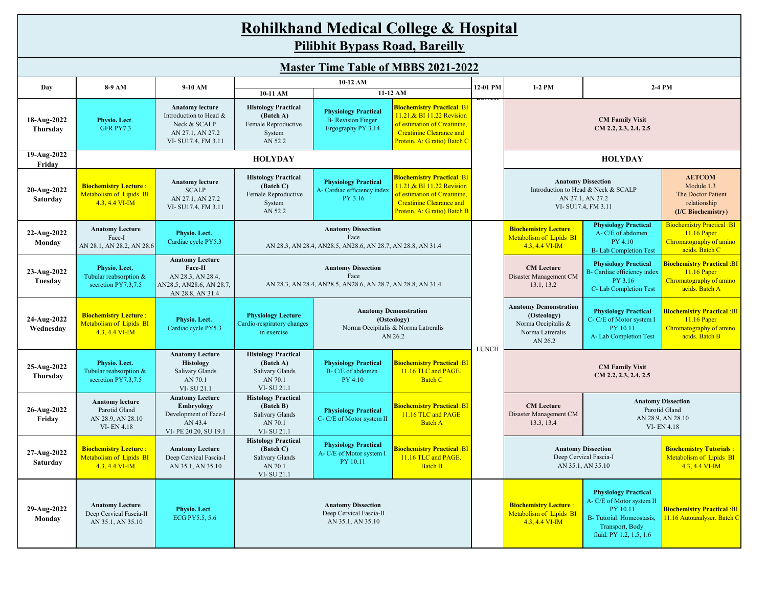| <b>Rohilkhand Medical College &amp; Hospital</b> |                                                                                   |                                                                                                            |                                                                                                                                                                                                                                          |                                                                                                    |                                                                                                                                                                                |               |                                                                                                                                                                                                  |                                                                                                                                                |                                                                                               |  |  |  |  |
|--------------------------------------------------|-----------------------------------------------------------------------------------|------------------------------------------------------------------------------------------------------------|------------------------------------------------------------------------------------------------------------------------------------------------------------------------------------------------------------------------------------------|----------------------------------------------------------------------------------------------------|--------------------------------------------------------------------------------------------------------------------------------------------------------------------------------|---------------|--------------------------------------------------------------------------------------------------------------------------------------------------------------------------------------------------|------------------------------------------------------------------------------------------------------------------------------------------------|-----------------------------------------------------------------------------------------------|--|--|--|--|
|                                                  | <b>Pilibhit Bypass Road, Bareilly</b>                                             |                                                                                                            |                                                                                                                                                                                                                                          |                                                                                                    |                                                                                                                                                                                |               |                                                                                                                                                                                                  |                                                                                                                                                |                                                                                               |  |  |  |  |
| <b>Master Time Table of MBBS 2021-2022</b>       |                                                                                   |                                                                                                            |                                                                                                                                                                                                                                          |                                                                                                    |                                                                                                                                                                                |               |                                                                                                                                                                                                  |                                                                                                                                                |                                                                                               |  |  |  |  |
| Day                                              | 8-9 AM                                                                            | 9-10 AM                                                                                                    |                                                                                                                                                                                                                                          | 10-12 AM                                                                                           |                                                                                                                                                                                | 12-01 PM      | 1-2 PM                                                                                                                                                                                           |                                                                                                                                                | 2-4 PM                                                                                        |  |  |  |  |
| 18-Aug-2022<br>Thursday                          | Physio. Lect.<br>GFR PY7.3                                                        | <b>Anatomy lecture</b><br>Introduction to Head &<br>Neck & SCALP<br>AN 27.1, AN 27.2<br>VI-SU17.4, FM 3.11 | 10-11 AM<br><b>Histology Practical</b><br>(Batch A)<br>Female Reproductive<br>System<br>AN 52.2                                                                                                                                          | <b>Physiology Practical</b><br><b>B-</b> Revision Finger<br>Ergography PY 3.14                     | 11-12 AM<br><b>Biochemistry Practical: BI</b><br>11.21, & BI 11.22 Revision<br>of estimation of Creatinine,<br><b>Creatinine Clearance and</b><br>Protein, A: G ratio) Batch C | <b>LUIVEN</b> | <b>CM Family Visit</b><br>CM 2.2, 2.3, 2.4, 2.5                                                                                                                                                  |                                                                                                                                                |                                                                                               |  |  |  |  |
| 19-Aug-2022<br>Friday                            |                                                                                   |                                                                                                            | <b>HOLYDAY</b>                                                                                                                                                                                                                           |                                                                                                    |                                                                                                                                                                                |               |                                                                                                                                                                                                  | <b>HOLYDAY</b>                                                                                                                                 |                                                                                               |  |  |  |  |
| 20-Aug-2022<br>Saturday                          | <b>Biochemistry Lecture:</b><br>Metabolism of Lipids BI<br>4.3, 4.4 VI-IM         | <b>Anatomy lecture</b><br><b>SCALP</b><br>AN 27.1, AN 27.2<br>VI-SU17.4, FM 3.11                           | <b>Histology Practical</b><br>(Batch C)<br>Female Reproductive<br>System<br>AN 52.2                                                                                                                                                      | <b>Physiology Practical</b><br>A- Cardiac efficiency index<br>PY 3.16                              | <b>Biochemistry Practical: BI</b><br>11.21, & BI 11.22 Revision<br>of estimation of Creatinine,<br><b>Creatinine Clearance and</b><br>Protein, A: G ratio) Batch B             |               | <b>Anatomy Dissection</b><br>Introduction to Head & Neck & SCALP<br>AN 27.1, AN 27.2<br>VI-SU17.4, FM 3.11                                                                                       | <b>AETCOM</b><br>Module 1.3<br>The Doctor Patient<br>relationship<br>(I/C Biochemistry)                                                        |                                                                                               |  |  |  |  |
| 22-Aug-2022<br>Monday                            | <b>Anatomy Lecture</b><br>Face-I<br>AN 28.1, AN 28.2, AN 28.6                     | Physio. Lect.<br>Cardiac cycle PY5.3                                                                       |                                                                                                                                                                                                                                          | <b>Anatomy Dissection</b><br>Face<br>AN 28.3, AN 28.4, AN 28.5, AN 28.6, AN 28.7, AN 28.8, AN 31.4 |                                                                                                                                                                                |               | <b>Biochemistry Lecture:</b><br>Metabolism of Lipids BI<br>$4.3, 4.4$ VI-IM                                                                                                                      | <b>Physiology Practical</b><br>A-C/E of abdomen<br>PY 4.10<br><b>B-Lab Completion Test</b>                                                     | <b>Biochemistry Practical :BI</b><br>11.16 Paper<br>Chromatography of amino<br>acids. Batch C |  |  |  |  |
| 23-Aug-2022<br>Tuesday                           | Physio. Lect.<br>Tubular reabsorption &<br>secretion PY7.3,7.5                    | <b>Anatomy Lecture</b><br>Face-II<br>AN 28.3, AN 28.4,<br>AN28.5, AN28.6, AN 28.7,<br>AN 28.8, AN 31.4     | <b>Anatomy Dissection</b><br>Face<br>AN 28.3, AN 28.4, AN 28.5, AN 28.6, AN 28.7, AN 28.8, AN 31.4                                                                                                                                       |                                                                                                    |                                                                                                                                                                                |               | <b>CM</b> Lecture<br>Disaster Management CM<br>13.1, 13.2                                                                                                                                        | <b>Physiology Practical</b><br>B- Cardiac efficiency index<br>PY 3.16<br>C- Lab Completion Test                                                | <b>Biochemistry Practical: BI</b><br>11.16 Paper<br>Chromatography of amino<br>acids. Batch A |  |  |  |  |
| 24-Aug-2022<br>Wednesday                         | <b>Biochemistry Lecture:</b><br>Metabolism of Lipids BI<br>4.3, 4.4 VI-IM         | Physio. Lect.<br>Cardiac cycle PY5.3                                                                       | <b>Physiology Lecture</b><br>Cardio-respiratory changes<br>in exercise                                                                                                                                                                   |                                                                                                    | <b>Anatomy Demonstration</b><br>(Osteology)<br>Norma Occipitalis & Norma Latreralis<br>AN 26.2                                                                                 | <b>LUNCH</b>  | <b>Anatomy Demonstration</b><br><b>Physiology Practical</b><br>(Osteology)<br>C-C/E of Motor system I<br>Norma Occipitalis &<br>PY 10.11<br>Norma Latreralis<br>A-Lab Completion Test<br>AN 26.2 |                                                                                                                                                | <b>Biochemistry Practical :BI</b><br>11.16 Paper<br>Chromatography of amino<br>acids. Batch B |  |  |  |  |
| 25-Aug-2022<br>Thursday                          | Physio. Lect.<br>Tubular reabsorption &<br>secretion PY7.3,7.5                    | <b>Anatomy Lecture</b><br><b>Histology</b><br>Salivary Glands<br>AN 70.1<br>VI-SU 21.1                     | <b>Histology Practical</b><br>(Batch A)<br><b>Salivary Glands</b><br>AN 70.1<br>VI-SU 21.1                                                                                                                                               | <b>Physiology Practical</b><br>B-C/E of abdomen<br>PY 4.10                                         | <b>Biochemistry Practical: BI</b><br>11.16 TLC and PAGE.<br><b>Batch C</b>                                                                                                     |               |                                                                                                                                                                                                  | <b>CM Family Visit</b><br>CM 2.2, 2.3, 2.4, 2.5                                                                                                |                                                                                               |  |  |  |  |
| 26-Aug-2022<br>Friday                            | <b>Anatomy lecture</b><br>Parotid Gland<br>AN 28.9, AN 28.10<br><b>VI-EN 4.18</b> | <b>Anatomy Lecture</b><br><b>Embryology</b><br>Development of Face-I<br>AN 43.4<br>VI-PE 20.20, SU 19.1    | <b>Histology Practical</b><br>(Batch B)<br>Salivary Glands<br>AN 70.1<br>VI-SU 21.1                                                                                                                                                      | <b>Physiology Practical</b><br>C- C/E of Motor system II                                           | <b>Biochemistry Practical: BI</b><br>11.16 TLC and PAGE<br><b>Batch A</b>                                                                                                      |               | <b>CM</b> Lecture<br>Disaster Management CM<br>13.3, 13.4                                                                                                                                        |                                                                                                                                                | <b>Anatomy Dissection</b><br>Parotid Gland<br>AN 28.9, AN 28.10<br>VI-EN 4.18                 |  |  |  |  |
| 27-Aug-2022<br>Saturday                          | <b>Biochemistry Lecture:</b><br><b>Metabolism of Lipids BI</b><br>4.3, 4.4 VI-IM  | <b>Anatomy Lecture</b><br>Deep Cervical Fascia-I<br>AN 35.1, AN 35.10                                      | <b>Histology Practical</b><br><b>Physiology Practical</b><br>(Batch C)<br><b>Biochemistry Practical: BI</b><br>A- C/E of Motor system I<br>Salivary Glands<br>11.16 TLC and PAGE.<br>PY 10.11<br><b>Batch B</b><br>AN 70.1<br>VI-SU 21.1 |                                                                                                    |                                                                                                                                                                                |               |                                                                                                                                                                                                  | <b>Anatomy Dissection</b><br>Deep Cervical Fascia-I<br>AN 35.1, AN 35.10                                                                       | <b>Biochemistry Tutorials:</b><br>Metabolism of Lipids BI<br>4.3, 4.4 VI-IM                   |  |  |  |  |
| 29-Aug-2022<br>Monday                            | <b>Anatomy Lecture</b><br>Deep Cervical Fascia-II<br>AN 35.1, AN 35.10            | Physio. Lect.<br>ECG PY5.5, 5.6                                                                            |                                                                                                                                                                                                                                          | <b>Anatomy Dissection</b><br>Deep Cervical Fascia-II<br>AN 35.1, AN 35.10                          |                                                                                                                                                                                |               | <b>Biochemistry Lecture:</b><br>Metabolism of Lipids BI<br>4.3, 4.4 VI-IM                                                                                                                        | <b>Physiology Practical</b><br>A- C/E of Motor system II<br>PY 10.11<br>B-Tutorial: Homeostasis.<br>Transport, Body<br>fluid. PY 1.2, 1.5, 1.6 | <b>Biochemistry Practical :BI</b><br>11.16 Autoanalyser. Batch C                              |  |  |  |  |

**Contract Contract Contract Contract**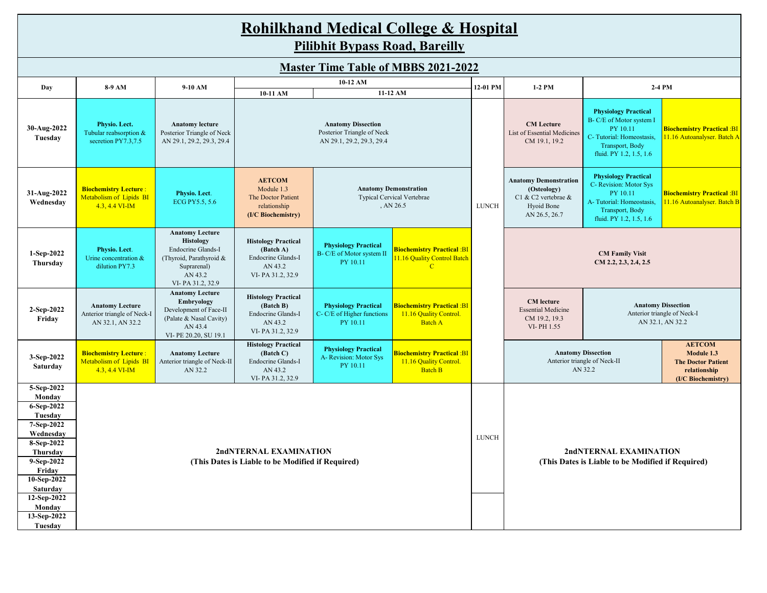# **Rohilkhand Medical College & Hospital Pilibhit Bypass Road, Bareilly Master Time Table of MBBS 2021-2022**

| Masivi Time Table of Middle 2021-2022                                                                                                                                                                       |                                                                           |                                                                                                                                           |                                                                                                                                                                           |                                                                       |                                                                                          |                                                                             |                                                                                                   |                                                                                                                                               |                                                                                                |  |  |
|-------------------------------------------------------------------------------------------------------------------------------------------------------------------------------------------------------------|---------------------------------------------------------------------------|-------------------------------------------------------------------------------------------------------------------------------------------|---------------------------------------------------------------------------------------------------------------------------------------------------------------------------|-----------------------------------------------------------------------|------------------------------------------------------------------------------------------|-----------------------------------------------------------------------------|---------------------------------------------------------------------------------------------------|-----------------------------------------------------------------------------------------------------------------------------------------------|------------------------------------------------------------------------------------------------|--|--|
| Day                                                                                                                                                                                                         | 8-9 AM                                                                    | $9-10$ AM                                                                                                                                 |                                                                                                                                                                           | 10-12 AM                                                              |                                                                                          | 12-01 PM                                                                    | $1-2$ PM                                                                                          |                                                                                                                                               | 2-4 PM                                                                                         |  |  |
|                                                                                                                                                                                                             |                                                                           |                                                                                                                                           | 10-11 AM                                                                                                                                                                  |                                                                       | 11-12 AM                                                                                 |                                                                             |                                                                                                   |                                                                                                                                               |                                                                                                |  |  |
| 30-Aug-2022<br>Tuesday                                                                                                                                                                                      | Physio. Lect.<br>Tubular reabsorption &<br>secretion PY7.3,7.5            | <b>Anatomy lecture</b><br>Posterior Triangle of Neck<br>AN 29.1, 29.2, 29.3, 29.4                                                         | <b>Anatomy Dissection</b><br>Posterior Triangle of Neck<br>AN 29.1, 29.2, 29.3, 29.4                                                                                      |                                                                       |                                                                                          |                                                                             | <b>CM</b> Lecture<br>List of Essential Medicines<br>CM 19.1, 19.2                                 | <b>Physiology Practical</b><br>B- C/E of Motor system I<br>PY 10.11<br>C-Tutorial: Homeostasis,<br>Transport, Body<br>fluid. PY 1.2, 1.5, 1.6 | <b>Biochemistry Practical: BI</b><br>11.16 Autoanalyser. Batch A                               |  |  |
| 31-Aug-2022<br>Wednesday                                                                                                                                                                                    | <b>Biochemistry Lecture:</b><br>Metabolism of Lipids BI<br>4.3, 4.4 VI-IM | Physio. Lect.<br>ECG PY5.5, 5.6                                                                                                           | <b>AETCOM</b><br>Module 1.3<br><b>Anatomy Demonstration</b><br><b>Typical Cervical Vertebrae</b><br>The Doctor Patient<br>, AN 26.5<br>relationship<br>(I/C Biochemistry) |                                                                       |                                                                                          | <b>LUNCH</b>                                                                | <b>Anatomy Demonstration</b><br>(Osteology)<br>C1 & C2 vertebrae &<br>Hyoid Bone<br>AN 26.5, 26.7 | <b>Physiology Practical</b><br>C- Revision: Motor Sys<br>PY 10.11<br>A-Tutorial: Homeostasis,<br>Transport, Body<br>fluid. PY 1.2, 1.5, 1.6   | <b>Biochemistry Practical :BI</b><br>11.16 Autoanalyser. Batch B                               |  |  |
| 1-Sep-2022<br>Thursday                                                                                                                                                                                      | Physio. Lect.<br>Urine concentration &<br>dilution PY7.3                  | <b>Anatomy Lecture</b><br><b>Histology</b><br>Endocrine Glands-I<br>(Thyroid, Parathyroid &<br>Suprarenal)<br>AN 43.2<br>VI-PA 31.2, 32.9 | <b>Histology Practical</b><br>(Batch A)<br>Endocrine Glands-I<br>AN 43.2<br>VI-PA 31.2, 32.9                                                                              | <b>Physiology Practical</b><br>B- C/E of Motor system II<br>PY 10.11  | <mark>Biochemistry Practical :BI</mark><br>11.16 Quality Control Batch<br>$\overline{C}$ |                                                                             |                                                                                                   | <b>CM Family Visit</b><br>CM 2.2, 2.3, 2.4, 2.5                                                                                               |                                                                                                |  |  |
| 2-Sep-2022<br>Friday                                                                                                                                                                                        | <b>Anatomy Lecture</b><br>Anterior triangle of Neck-I<br>AN 32.1, AN 32.2 | <b>Anatomy Lecture</b><br>Embryology<br>Development of Face-II<br>(Palate & Nasal Cavity)<br>AN 43.4<br>VI-PE 20.20, SU 19.1              | <b>Histology Practical</b><br>(Batch B)<br>Endocrine Glands-I<br>AN 43.2<br>VI-PA 31.2, 32.9                                                                              | <b>Physiology Practical</b><br>C- C/E of Higher functions<br>PY 10.11 | <mark>Biochemistry Practical :BI</mark><br>11.16 Quality Control.<br><b>Batch A</b>      |                                                                             | <b>CM</b> lecture<br><b>Essential Medicine</b><br>CM 19.2, 19.3<br>VI-PH 1.55                     | <b>Anatomy Dissection</b><br>Anterior triangle of Neck-I<br>AN 32.1, AN 32.2                                                                  |                                                                                                |  |  |
| 3-Sep-2022<br>Saturday                                                                                                                                                                                      | <b>Biochemistry Lecture:</b><br>Metabolism of Lipids BI<br>4.3, 4.4 VI-IM | <b>Anatomy Lecture</b><br>Anterior triangle of Neck-II<br>AN 32.2                                                                         | <b>Histology Practical</b><br>(Batch C)<br>Endocrine Glands-I<br>AN 43.2<br>VI-PA 31.2, 32.9                                                                              | <b>Physiology Practical</b><br>A-Revision: Motor Sys<br>PY 10.11      | <mark>Biochemistry Practical :BI</mark><br>11.16 Quality Control.<br><b>Batch B</b>      |                                                                             |                                                                                                   | <b>Anatomy Dissection</b><br>Anterior triangle of Neck-II<br>AN 32.2                                                                          | <b>AETCOM</b><br>Module 1.3<br><b>The Doctor Patient</b><br>relationship<br>(I/C Biochemistry) |  |  |
| 5-Sep-2022<br>Monday<br>$6-$ Sep-2022<br>Tuesday<br>7-Sep-2022<br>Wednesday<br>8-Sep-2022<br>Thursday<br>9-Sep-2022<br>Friday<br>10-Sep-2022<br>Saturday<br>12-Sep-2022<br>Monday<br>13-Sep-2022<br>Tuesday |                                                                           |                                                                                                                                           | 2ndNTERNAL EXAMINATION<br>(This Dates is Liable to be Modified if Required)                                                                                               | <b>LUNCH</b>                                                          |                                                                                          | 2ndNTERNAL EXAMINATION<br>(This Dates is Liable to be Modified if Required) |                                                                                                   |                                                                                                                                               |                                                                                                |  |  |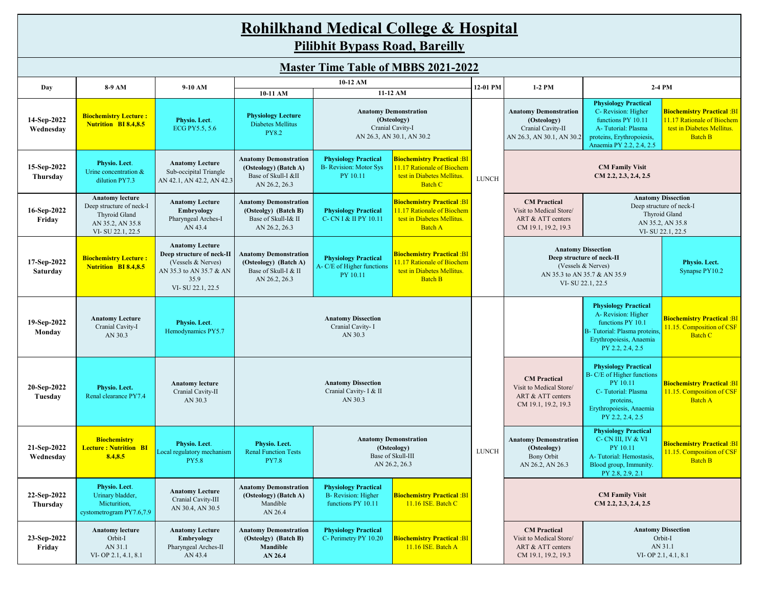| <b>Rohilkhand Medical College &amp; Hospital</b><br><b>Pilibhit Bypass Road, Bareilly</b> |                                                                                                             |                                                                                                                                  |                                                                                                |                                                                                                                                            |                                                                                                                       |              |                                                                                               |                                                                                                                                                         |                                                                                                                 |  |  |
|-------------------------------------------------------------------------------------------|-------------------------------------------------------------------------------------------------------------|----------------------------------------------------------------------------------------------------------------------------------|------------------------------------------------------------------------------------------------|--------------------------------------------------------------------------------------------------------------------------------------------|-----------------------------------------------------------------------------------------------------------------------|--------------|-----------------------------------------------------------------------------------------------|---------------------------------------------------------------------------------------------------------------------------------------------------------|-----------------------------------------------------------------------------------------------------------------|--|--|
| <b>Master Time Table of MBBS 2021-2022</b>                                                |                                                                                                             |                                                                                                                                  |                                                                                                |                                                                                                                                            |                                                                                                                       |              |                                                                                               |                                                                                                                                                         |                                                                                                                 |  |  |
|                                                                                           | 10-12 AM<br>12-01 PM<br>8-9 AM<br>9-10 AM<br>$1-2$ PM<br>2-4 PM<br>Day                                      |                                                                                                                                  |                                                                                                |                                                                                                                                            |                                                                                                                       |              |                                                                                               |                                                                                                                                                         |                                                                                                                 |  |  |
|                                                                                           |                                                                                                             |                                                                                                                                  | 11-12 AM<br>10-11 AM                                                                           |                                                                                                                                            |                                                                                                                       |              |                                                                                               | <b>Physiology Practical</b>                                                                                                                             |                                                                                                                 |  |  |
| 14-Sep-2022<br>Wednesday                                                                  | <b>Biochemistry Lecture:</b><br><b>Nutrition BI 8.4,8.5</b>                                                 | Physio. Lect.<br>ECG PY5.5, 5.6                                                                                                  | <b>Physiology Lecture</b><br>Diabetes Mellitus<br><b>PY8.2</b>                                 |                                                                                                                                            | <b>Anatomy Demonstration</b><br>(Osteology)<br>Cranial Cavity-I<br>AN 26.3, AN 30.1, AN 30.2                          |              | <b>Anatomy Demonstration</b><br>(Osteology)<br>Cranial Cavity-II<br>AN 26.3, AN 30.1, AN 30.2 | C- Revision: Higher<br>functions PY 10.11<br>A-Tutorial: Plasma<br>proteins, Erythropoiesis,<br>Anaemia PY 2.2, 2.4, 2.5                                | <b>Biochemistry Practical :BI</b><br>11.17 Rationale of Biochem<br>test in Diabetes Mellitus.<br><b>Batch B</b> |  |  |
| 15-Sep-2022<br>Thursday                                                                   | Physio. Lect.<br>Urine concentration &<br>dilution PY7.3                                                    | <b>Anatomy Lecture</b><br>Sub-occipital Triangle<br>AN 42.1, AN 42.2, AN 42.3                                                    | <b>Anatomy Demonstration</b><br>(Osteology) (Batch A)<br>Base of Skull-I &II<br>AN 26.2, 26.3  | <b>Physiology Practical</b><br><b>B-</b> Revision: Motor Sys<br>PY 10.11                                                                   | <b>Biochemistry Practical :BI</b><br>11.17 Rationale of Biochem<br>test in Diabetes Mellitus.<br><b>Batch C</b>       | <b>LUNCH</b> | <b>CM Family Visit</b><br>CM 2.2, 2.3, 2.4, 2.5                                               |                                                                                                                                                         |                                                                                                                 |  |  |
| 16-Sep-2022<br>Friday                                                                     | <b>Anatomy lecture</b><br>Deep structure of neck-I<br>Thyroid Gland<br>AN 35.2, AN 35.8<br>VI-SU 22.1, 22.5 | <b>Anatomy Lecture</b><br>Embryology<br>Pharyngeal Arches-I<br>AN 43.4                                                           | <b>Anatomy Demonstration</b><br>(Osteolgy) (Batch B)<br>Base of Skull-I& II<br>AN 26.2, 26.3   | <b>Physiology Practical</b><br>C- CN I & II PY 10.11                                                                                       | <mark>Biochemistry Practical :BI</mark><br>11.17 Rationale of Biochem<br>test in Diabetes Mellitus.<br><b>Batch A</b> |              | <b>CM</b> Practical<br>Visit to Medical Store/<br>ART & ATT centers<br>CM 19.1, 19.2, 19.3    |                                                                                                                                                         | <b>Anatomy Dissection</b><br>Deep structure of neck-I<br>Thyroid Gland<br>AN 35.2, AN 35.8<br>VI-SU 22.1, 22.5  |  |  |
| 17-Sep-2022<br>Saturday                                                                   | <b>Biochemistry Lecture:</b><br><b>Nutrition BI 8.4,8.5</b>                                                 | <b>Anatomy Lecture</b><br>Deep structure of neck-II<br>(Vessels & Nerves)<br>AN 35.3 to AN 35.7 & AN<br>35.9<br>VI-SU 22.1, 22.5 | <b>Anatomy Demonstration</b><br>(Osteology) (Batch A)<br>Base of Skull-I & II<br>AN 26.2, 26.3 | <b>Physiology Practical</b><br>A- C/E of Higher functions<br>PY 10.11                                                                      | <mark>Biochemistry Practical :BI</mark><br>11.17 Rationale of Biochem<br>test in Diabetes Mellitus.<br><b>Batch B</b> |              |                                                                                               | <b>Anatomy Dissection</b><br>Deep structure of neck-II<br>(Vessels & Nerves)<br>AN 35.3 to AN 35.7 & AN 35.9<br>VI-SU 22.1, 22.5                        | Physio. Lect.<br>Synapse PY10.2                                                                                 |  |  |
| 19-Sep-2022<br>Monday                                                                     | <b>Anatomy Lecture</b><br>Cranial Cavity-I<br>AN 30.3                                                       | Physio. Lect.<br>Hemodynamics PY5.7                                                                                              |                                                                                                | <b>Anatomy Dissection</b><br>Cranial Cavity- I<br>AN 30.3                                                                                  |                                                                                                                       |              |                                                                                               | <b>Physiology Practical</b><br>A- Revision: Higher<br>functions PY 10.1<br>B- Tutorial: Plasma proteins<br>Erythropoiesis, Anaemia<br>PY 2.2, 2.4, 2.5  | <b>Biochemistry Practical :BI</b><br>11.15. Composition of CSF<br><b>Batch C</b>                                |  |  |
| 20-Sep-2022<br>Tuesday                                                                    | Physio. Lect.<br>Renal clearance PY7.4                                                                      | <b>Anatomy lecture</b><br>Cranial Cavity-II<br>AN 30.3                                                                           |                                                                                                | <b>Anatomy Dissection</b><br>Cranial Cavity- I & II<br>AN 30.3                                                                             |                                                                                                                       |              | <b>CM</b> Practical<br>Visit to Medical Store/<br>ART & ATT centers<br>CM 19.1, 19.2, 19.3    | <b>Physiology Practical</b><br>B- C/E of Higher functions<br>PY 10.11<br>C-Tutorial: Plasma<br>proteins,<br>Erythropoiesis, Anaemia<br>PY 2.2, 2.4, 2.5 | <b>Biochemistry Practical :BI</b><br>11.15. Composition of CSF<br><b>Batch A</b>                                |  |  |
| 21-Sep-2022<br>Wednesday                                                                  | <b>Biochemistry</b><br><b>Lecture: Nutrition BI</b><br>8.4,8.5                                              | Physio. Lect.<br>Local regulatory mechanism<br><b>PY5.8</b>                                                                      | Physio. Lect.<br><b>Renal Function Tests</b><br><b>PY7.8</b>                                   | <b>Anatomy Demonstration</b><br>(Osteology)<br>Base of Skull-III<br>AN 26.2, 26.3                                                          |                                                                                                                       | LUNCH        | <b>Anatomy Demonstration</b><br>(Osteology)<br>Bony Orbit<br>AN 26.2, AN 26.3                 | <b>Physiology Practical</b><br>C- CN III, IV & VI<br>PY 10.11<br>A-Tutorial: Hemostasis,<br>Blood group, Immunity.<br>PY 2.8, 2.9, 2.1                  | <b>Biochemistry Practical :BI</b><br>11.15. Composition of CSF<br><b>Batch B</b>                                |  |  |
| 22-Sep-2022<br>Thursday                                                                   | Physio. Lect.<br>Urinary bladder,<br>Micturition,<br>cystometrogram PY7.6,7.9                               | <b>Anatomy Lecture</b><br>Cranial Cavity-III<br>AN 30.4, AN 30.5                                                                 | <b>Anatomy Demonstration</b><br>(Osteology) (Batch A)<br>Mandible<br>AN 26.4                   | <b>Physiology Practical</b><br><b>B-</b> Revision: Higher<br><b>Biochemistry Practical :BI</b><br>functions PY 10.11<br>11.16 ISE. Batch C |                                                                                                                       |              |                                                                                               | <b>CM Family Visit</b><br>CM 2.2, 2.3, 2.4, 2.5                                                                                                         |                                                                                                                 |  |  |
| 23-Sep-2022<br>Friday                                                                     | <b>Anatomy lecture</b><br>Orbit-I<br>AN 31.1<br>VI-OP 2.1, 4.1, 8.1                                         | <b>Anatomy Lecture</b><br>Embryology<br>Pharyngeal Arches-II<br>AN 43.4                                                          | <b>Anatomy Demonstration</b><br>(Osteolgy) (Batch B)<br>Mandible<br>AN 26.4                    | <b>Physiology Practical</b><br>C- Perimetry PY 10.20                                                                                       | <b>Biochemistry Practical :BI</b><br>$11.16$ ISE. Batch A                                                             |              | <b>CM</b> Practical<br>Visit to Medical Store/<br>ART & ATT centers<br>CM 19.1, 19.2, 19.3    |                                                                                                                                                         | <b>Anatomy Dissection</b><br>Orbit-I<br>AN 31.1<br>VI-OP 2.1, 4.1, 8.1                                          |  |  |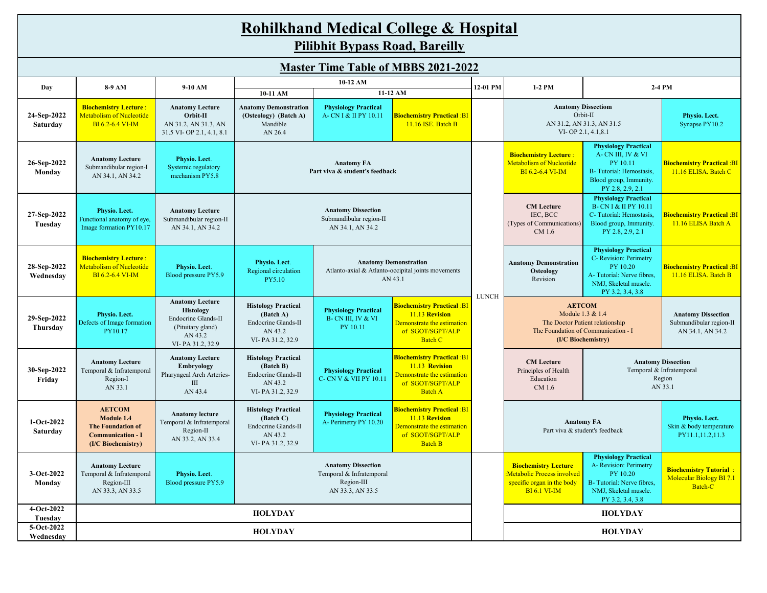| <b>Rohilkhand Medical College &amp; Hospital</b> |  |
|--------------------------------------------------|--|
| P''''<br>$\mathbf{R}$ in the set of $\mathbf{R}$ |  |

**Pilibhit Bypass Road, Bareilly**

| <b>Master Time Table of MBBS 2021-2022</b> |                                                                                                           |                                                                                                                |                                                                                                                                                  |                                                                                                                                                                                         |                                                                                                                               |                                                              |                                                                                                                                                |                                                                                                                                             |                                                                             |
|--------------------------------------------|-----------------------------------------------------------------------------------------------------------|----------------------------------------------------------------------------------------------------------------|--------------------------------------------------------------------------------------------------------------------------------------------------|-----------------------------------------------------------------------------------------------------------------------------------------------------------------------------------------|-------------------------------------------------------------------------------------------------------------------------------|--------------------------------------------------------------|------------------------------------------------------------------------------------------------------------------------------------------------|---------------------------------------------------------------------------------------------------------------------------------------------|-----------------------------------------------------------------------------|
| Day                                        | 8-9 AM                                                                                                    | 9-10 AM                                                                                                        |                                                                                                                                                  | 10-12 AM                                                                                                                                                                                |                                                                                                                               | 12-01 PM                                                     | 1-2 PM                                                                                                                                         |                                                                                                                                             | 2-4 PM                                                                      |
|                                            |                                                                                                           |                                                                                                                | 10-11 AM                                                                                                                                         |                                                                                                                                                                                         | 11-12 AM                                                                                                                      |                                                              |                                                                                                                                                |                                                                                                                                             |                                                                             |
| 24-Sep-2022<br>Saturday                    | <b>Biochemistry Lecture:</b><br>Metabolism of Nucleotide<br>BI 6.2-6.4 VI-IM                              | <b>Anatomy Lecture</b><br>Orbit-II<br>AN 31.2, AN 31.3, AN<br>31.5 VI-OP 2.1, 4.1, 8.1                         | <b>Anatomy Demonstration</b><br>(Osteology) (Batch A)<br>Mandible<br>AN 26.4                                                                     | <b>Physiology Practical</b><br>A- CN I & II PY 10.11                                                                                                                                    | <b>Biochemistry Practical: BI</b><br>11.16 ISE. Batch B                                                                       |                                                              | <b>Anatomy Dissectiom</b><br>Orbit-II<br>AN 31.2, AN 31.3, AN 31.5<br>VI-OP 2.1, 4.1, 8.1                                                      |                                                                                                                                             | Physio. Lect.<br>Synapse PY10.2                                             |
| 26-Sep-2022<br>Monday                      | <b>Anatomy Lecture</b><br>Submandibular region-I<br>AN 34.1, AN 34.2                                      | Physio. Lect.<br>Systemic regulatory<br>mechanism PY5.8                                                        |                                                                                                                                                  | <b>Anatomy FA</b><br>Part viva & student's feedback                                                                                                                                     |                                                                                                                               |                                                              | <b>Biochemistry Lecture:</b><br>Metabolism of Nucleotide<br>BI 6.2-6.4 VI-IM                                                                   | <b>Physiology Practical</b><br>A-CN III, IV & VI<br>PY 10.11<br>B- Tutorial: Hemostasis,<br>Blood group, Immunity.<br>PY 2.8, 2.9, 2.1      | <b>Biochemistry Practical: BI</b><br>11.16 ELISA. Batch C                   |
| 27-Sep-2022<br>Tuesday                     | Physio. Lect.<br>Functional anatomy of eye,<br>Image formation PY10.17                                    | <b>Anatomy Lecture</b><br>Submandibular region-II<br>AN 34.1, AN 34.2                                          |                                                                                                                                                  | <b>Anatomy Dissection</b><br>Submandibular region-II<br>AN 34.1, AN 34.2                                                                                                                |                                                                                                                               |                                                              | <b>CM</b> Lecture<br>IEC, BCC<br>(Types of Communications)<br>CM 1.6                                                                           | <b>Physiology Practical</b><br><b>B-CNI &amp; II PY 10.11</b><br>C-Tutorial: Hemostasis,<br>Blood group, Immunity.<br>PY 2.8, 2.9, 2.1      | <b>Biochemistry Practical: BI</b><br>11.16 ELISA Batch A                    |
| 28-Sep-2022<br>Wednesday                   | <b>Biochemistry Lecture:</b><br><b>Metabolism of Nucleotide</b><br><b>BI</b> 6.2-6.4 VI-IM                | Physio. Lect.<br>Blood pressure PY5.9                                                                          | <b>Anatomy Demonstration</b><br>Physio. Lect.<br>Atlanto-axial & Atlanto-occipital joints movements<br>Regional circulation<br>AN 43.1<br>PY5.10 |                                                                                                                                                                                         | <b>LUNCH</b>                                                                                                                  | <b>Anatomy Demonstration</b><br><b>Osteology</b><br>Revision | <b>Physiology Practical</b><br>C- Revision: Perimetry<br>PY 10.20<br>A-Tutorial: Nerve fibres,<br>NMJ, Skeletal muscle.<br>PY 3.2, 3.4, 3.8    | <b>Biochemistry Practical: BI</b><br>11.16 ELISA. Batch B                                                                                   |                                                                             |
| 29-Sep-2022<br>Thursday                    | Physio. Lect.<br>Defects of Image formation<br>PY10.17                                                    | <b>Anatomy Lecture</b><br>Histology<br>Endocrine Glands-II<br>(Pituitary gland)<br>AN 43.2<br>VI-PA 31.2, 32.9 | <b>Histology Practical</b><br>(Batch A)<br>Endocrine Glands-II<br>AN 43.2<br>VI-PA 31.2, 32.9                                                    | <b>Biochemistry Practical :BI</b><br><b>Physiology Practical</b><br>11.13 Revision<br>B-CN III. IV & VI<br>Demonstrate the estimation<br>PY 10.11<br>of SGOT/SGPT/ALP<br><b>Batch C</b> |                                                                                                                               |                                                              | <b>AETCOM</b>                                                                                                                                  | Module 1.3 & 1.4<br>The Doctor Patient relationship<br>The Foundation of Communication - I<br>(I/C Biochemistry)                            | <b>Anatomy Dissection</b><br>Submandibular region-II<br>AN 34.1, AN 34.2    |
| 30-Sep-2022<br>Friday                      | <b>Anatomy Lecture</b><br>Temporal & Infratemporal<br>Region-I<br>AN 33.1                                 | <b>Anatomy Lecture</b><br>Embryology<br>Pharyngeal Arch Arteries-<br>Ш<br>AN 43.4                              | <b>Histology Practical</b><br>(Batch B)<br>Endocrine Glands-II<br>AN 43.2<br>VI-PA 31.2, 32.9                                                    | <b>Physiology Practical</b><br>C- CN V & VII PY 10.11                                                                                                                                   | <b>Biochemistry Practical: BI</b><br>11.13 Revision<br>Demonstrate the estimation<br>of SGOT/SGPT/ALP<br><b>Batch A</b>       |                                                              | <b>CM</b> Lecture<br><b>Anatomy Dissection</b><br>Temporal & Infratemporal<br>Principles of Health<br>Education<br>Region<br>AN 33.1<br>CM 1.6 |                                                                                                                                             |                                                                             |
| $1-Oct-2022$<br>Saturday                   | <b>AETCOM</b><br>Module 1.4<br><b>The Foundation of</b><br><b>Communication - I</b><br>(I/C Biochemistry) | <b>Anatomy lecture</b><br>Temporal & Infratemporal<br>Region-II<br>AN 33.2, AN 33.4                            | <b>Histology Practical</b><br>(Batch C)<br>Endocrine Glands-II<br>AN 43.2<br>VI-PA 31.2, 32.9                                                    | <b>Physiology Practical</b><br>A- Perimetry PY 10.20                                                                                                                                    | <mark>Biochemistry Practical :BI</mark><br>11.13 Revision<br>Demonstrate the estimation<br>of SGOT/SGPT/ALP<br><b>Batch B</b> |                                                              | <b>Anatomy FA</b><br>Part viva & student's feedback                                                                                            |                                                                                                                                             | Physio. Lect.<br>Skin & body temperature<br>PY11.1,11.2,11.3                |
| 3-Oct-2022<br>Monday                       | <b>Anatomy Lecture</b><br>Temporal & Infratemporal<br>Region-III<br>AN 33.3, AN 33.5                      | Physio. Lect.<br>Blood pressure PY5.9                                                                          |                                                                                                                                                  | <b>Anatomy Dissection</b><br>Temporal & Infratemporal<br>Region-III<br>AN 33.3, AN 33.5                                                                                                 |                                                                                                                               |                                                              | <b>Biochemistry Lecture</b><br>Metabolic Process involved<br>specific organ in the body<br><b>BI 6.1 VI-IM</b>                                 | <b>Physiology Practical</b><br>A- Revision: Perimetry<br>PY 10.20<br>B-Tutorial: Nerve fibres.<br>NMJ, Skeletal muscle.<br>PY 3.2, 3.4, 3.8 | <b>Biochemistry Tutorial:</b><br><b>Molecular Biology BI 7.1</b><br>Batch-C |
| 4-Oct-2022<br>Tuesday                      |                                                                                                           |                                                                                                                | <b>HOLYDAY</b>                                                                                                                                   |                                                                                                                                                                                         |                                                                                                                               |                                                              |                                                                                                                                                | <b>HOLYDAY</b>                                                                                                                              |                                                                             |
| 5-Oct-2022                                 |                                                                                                           |                                                                                                                | <b>HOLYDAY</b>                                                                                                                                   |                                                                                                                                                                                         |                                                                                                                               |                                                              |                                                                                                                                                | <b>HOLYDAY</b>                                                                                                                              |                                                                             |
| Wednesday                                  |                                                                                                           |                                                                                                                |                                                                                                                                                  |                                                                                                                                                                                         |                                                                                                                               |                                                              |                                                                                                                                                |                                                                                                                                             |                                                                             |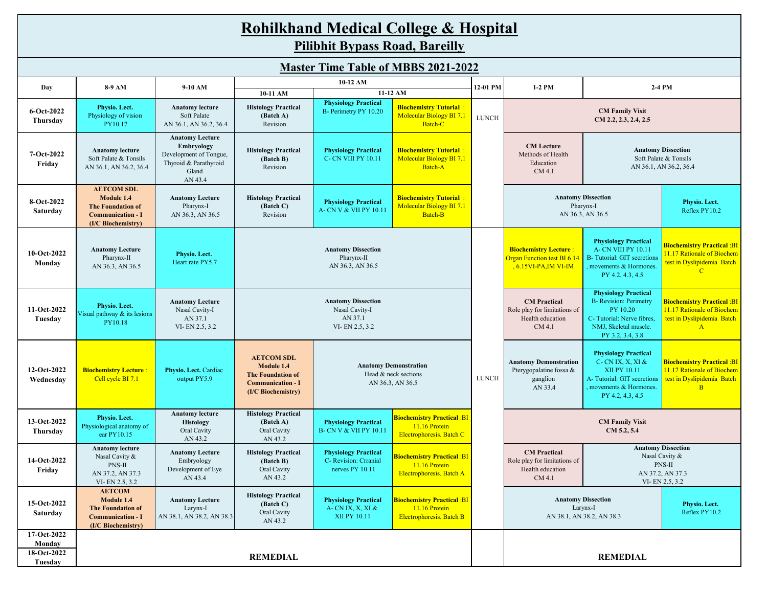|                          |                                                                                                               |                                                                                                             |                                                                                                               |                                                                          | <b>Rohilkhand Medical College &amp; Hospital</b>                                      |                                                                                                |                                                                                                                                                                                  |                                                                                                                                                    |                                                                                                                 |  |
|--------------------------|---------------------------------------------------------------------------------------------------------------|-------------------------------------------------------------------------------------------------------------|---------------------------------------------------------------------------------------------------------------|--------------------------------------------------------------------------|---------------------------------------------------------------------------------------|------------------------------------------------------------------------------------------------|----------------------------------------------------------------------------------------------------------------------------------------------------------------------------------|----------------------------------------------------------------------------------------------------------------------------------------------------|-----------------------------------------------------------------------------------------------------------------|--|
|                          | <b>Pilibhit Bypass Road, Bareilly</b>                                                                         |                                                                                                             |                                                                                                               |                                                                          |                                                                                       |                                                                                                |                                                                                                                                                                                  |                                                                                                                                                    |                                                                                                                 |  |
|                          |                                                                                                               |                                                                                                             |                                                                                                               |                                                                          | <b>Master Time Table of MBBS 2021-2022</b>                                            |                                                                                                |                                                                                                                                                                                  |                                                                                                                                                    |                                                                                                                 |  |
|                          | 8-9 AM                                                                                                        | 9-10 AM                                                                                                     |                                                                                                               | 10-12 AM                                                                 |                                                                                       | 12-01 PM                                                                                       | 1-2 PM                                                                                                                                                                           |                                                                                                                                                    |                                                                                                                 |  |
| Day                      |                                                                                                               |                                                                                                             | 10-11 AM                                                                                                      |                                                                          | 11-12 AM                                                                              |                                                                                                | 2-4 PM                                                                                                                                                                           |                                                                                                                                                    |                                                                                                                 |  |
| 6-Oct-2022<br>Thursday   | Physio. Lect.<br>Physiology of vision<br>PY10.17                                                              | <b>Anatomy lecture</b><br>Soft Palate<br>AN 36.1, AN 36.2, 36.4                                             | <b>Histology Practical</b><br>(Batch A)<br>Revision                                                           | <b>Physiology Practical</b><br>B- Perimetry PY 10.20                     | <b>Biochemistry Tutorial:</b><br><b>Molecular Biology BI 7.1</b><br>Batch-C           | <b>LUNCH</b>                                                                                   | <b>CM Family Visit</b><br>CM 2.2, 2.3, 2.4, 2.5                                                                                                                                  |                                                                                                                                                    |                                                                                                                 |  |
| 7-Oct-2022<br>Friday     | <b>Anatomy lecture</b><br>Soft Palate & Tonsils<br>AN 36.1, AN 36.2, 36.4                                     | <b>Anatomy Lecture</b><br>Embryology<br>Development of Tongue,<br>Thyroid & Parathyroid<br>Gland<br>AN 43.4 | <b>Histology Practical</b><br>(Batch B)<br>Revision                                                           | <b>Physiology Practical</b><br><b>C- CN VIII PY 10.11</b>                | <b>Biochemistry Tutorial:</b><br>Molecular Biology BI 7.1<br>Batch-A                  |                                                                                                | <b>CM</b> Lecture<br>Methods of Health<br>Education<br>CM 4.1                                                                                                                    |                                                                                                                                                    | <b>Anatomy Dissection</b><br>Soft Palate & Tonsils<br>AN 36.1, AN 36.2, 36.4                                    |  |
| 8-Oct-2022<br>Saturday   | <b>AETCOM SDL</b><br>Module 1.4<br><b>The Foundation of</b><br><b>Communication - I</b><br>(I/C Biochemistry) | <b>Anatomy Lecture</b><br>Pharynx-I<br>AN 36.3, AN 36.5                                                     | <b>Histology Practical</b><br>(Batch C)<br>Revision                                                           | <b>Physiology Practical</b><br>A- CN V & VII PY 10.11                    | <b>Biochemistry Tutorial:</b><br><b>Molecular Biology BI 7.1</b><br>Batch-B           |                                                                                                |                                                                                                                                                                                  | <b>Anatomy Dissection</b><br>Pharynx-I<br>AN 36.3, AN 36.5                                                                                         | Physio. Lect.<br>Reflex PY10.2                                                                                  |  |
| 10-Oct-2022<br>Monday    | <b>Anatomy Lecture</b><br>Pharynx-II<br>AN 36.3, AN 36.5                                                      | Physio. Lect.<br>Heart rate PY5.7                                                                           | <b>Anatomy Dissection</b><br>Pharynx-II<br>AN 36.3, AN 36.5                                                   |                                                                          |                                                                                       |                                                                                                | <b>Biochemistry Lecture:</b><br><b>Organ Function test BI 6.14</b><br>$, 6.15VI-PA, IMVI-IM$                                                                                     | <b>Physiology Practical</b><br><b>A- CN VIII PY 10.11</b><br>B- Tutorial: GIT secretions<br>, movements & Hormones.<br>PY 4.2, 4.3, 4.5            | <b>Biochemistry Practical: BI</b><br>11.17 Rationale of Biochem<br>test in Dyslipidemia Batch<br>$\overline{C}$ |  |
| 11-Oct-2022<br>Tuesday   | Physio. Lect.<br>Visual pathway & its lesions<br>PY10.18                                                      | <b>Anatomy Lecture</b><br>Nasal Cavity-I<br>AN 37.1<br>VI-EN 2.5, 3.2                                       | <b>Anatomy Dissection</b><br>Nasal Cavity-I<br>AN 37.1<br>VI-EN 2.5, 3.2                                      |                                                                          |                                                                                       |                                                                                                | <b>CM</b> Practical<br>Role play for limitations of<br>Health education<br>CM 4.1                                                                                                | <b>Physiology Practical</b><br><b>B-</b> Revision: Perimetry<br>PY 10.20<br>C-Tutorial: Nerve fibres.<br>NMJ, Skeletal muscle.<br>PY 3.2, 3.4, 3.8 | <b>Biochemistry Practical: BI</b><br>11.17 Rationale of Biochem<br>test in Dyslipidemia Batch<br>$\mathbf{A}$   |  |
| 12-Oct-2022<br>Wednesday | <b>Biochemistry Lecture:</b><br>Cell cycle BI 7.1                                                             | Physio. Lect. Cardiac<br>output PY5.9                                                                       | <b>AETCOM SDL</b><br>Module 1.4<br><b>The Foundation of</b><br><b>Communication - I</b><br>(I/C Biochemistry) | <b>Anatomy Demonstration</b><br>Head & neck sections<br>AN 36.3, AN 36.5 |                                                                                       | <b>Anatomy Demonstration</b><br>Pterygopalatine fossa &<br><b>LUNCH</b><br>ganglion<br>AN 33.4 |                                                                                                                                                                                  | <b>Physiology Practical</b><br>$C$ - CN IX, X, XI &<br>XII PY 10.11<br>A-Tutorial: GIT secretions<br>movements & Hormones.<br>PY 4.2, 4.3, 4.5     | <b>Biochemistry Practical: BI</b><br>11.17 Rationale of Biochem<br>test in Dyslipidemia Batch<br>$\mathbf{B}$   |  |
| 13-Oct-2022<br>Thursday  | Physio. Lect.<br>Physiological anatomy of<br>ear PY10.15                                                      | <b>Anatomy lecture</b><br><b>Histology</b><br>Oral Cavity<br>AN 43.2                                        | <b>Histology Practical</b><br>(Batch A)<br>Oral Cavity<br>AN 43.2                                             | <b>Physiology Practical</b><br><b>B- CN V &amp; VII PY 10.11</b>         | <b>Biochemistry Practical :BI</b><br>11.16 Protein<br>Electrophoresis. Batch C        |                                                                                                |                                                                                                                                                                                  | <b>CM Family Visit</b><br>CM 5.2, 5.4                                                                                                              |                                                                                                                 |  |
| 14-Oct-2022<br>Friday    | <b>Anatomy lecture</b><br>Nasal Cavity &<br>PNS-II<br>AN 37.2, AN 37.3<br>VI-EN 2.5, 3.2                      | <b>Anatomy Lecture</b><br>Embryology<br>Development of Eye<br>AN 43.4                                       | <b>Histology Practical</b><br>(Batch B)<br>Oral Cavity<br>AN 43.2                                             | <b>Physiology Practical</b><br>C- Revision: Crranial<br>nerves PY 10.11  | <b>Biochemistry Practical :BI</b><br>11.16 Protein<br>Electrophoresis. Batch A        |                                                                                                | <b>Anatomy Dissection</b><br><b>CM</b> Practical<br>Nasal Cavity &<br>Role play for limitations of<br>PNS-II<br>Health education<br>AN 37.2, AN 37.3<br>CM 4.1<br>VI-EN 2.5, 3.2 |                                                                                                                                                    |                                                                                                                 |  |
| 15-Oct-2022<br>Saturday  | <b>AETCOM</b><br>Module 1.4<br><b>The Foundation of</b><br><b>Communication - I</b><br>(I/C Biochemistry)     | <b>Anatomy Lecture</b><br>Larynx-I<br>AN 38.1, AN 38.2, AN 38.3                                             | <b>Histology Practical</b><br>(Batch C)<br>Oral Cavity<br>AN 43.2                                             | <b>Physiology Practical</b><br>A- CN IX, X, XI &<br>XII PY 10.11         | <b>Biochemistry Practical: BI</b><br>11.16 Protein<br><b>Electrophoresis. Batch B</b> |                                                                                                |                                                                                                                                                                                  | <b>Anatomy Dissection</b><br>Larynx-I<br>AN 38.1, AN 38.2, AN 38.3                                                                                 | Physio. Lect.<br>Reflex PY10.2                                                                                  |  |
| 17-Oct-2022<br>Monday    |                                                                                                               |                                                                                                             |                                                                                                               |                                                                          |                                                                                       |                                                                                                |                                                                                                                                                                                  |                                                                                                                                                    |                                                                                                                 |  |
| 18-Oct-2022<br>Tuesday   |                                                                                                               |                                                                                                             | <b>REMEDIAL</b>                                                                                               |                                                                          |                                                                                       |                                                                                                |                                                                                                                                                                                  | <b>REMEDIAL</b>                                                                                                                                    |                                                                                                                 |  |

Г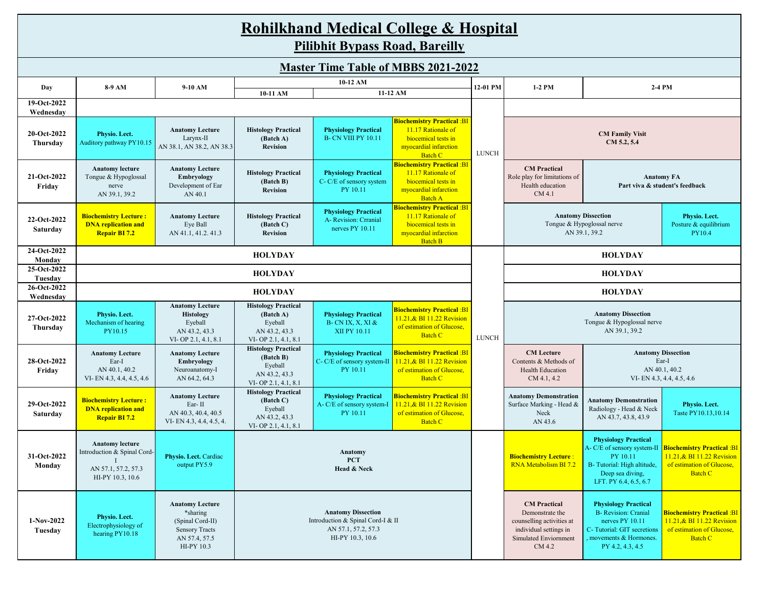# **Rohilkhand Medical College & Hospital**

**Pilibhit Bypass Road, Bareilly**

| <b>Master Time Table of MBBS 2021-2022</b> |                                                                                                  |                                                                                                                |                                                                                            |                                                                                                           |                                                                                                                                 |              |                                                                                                                                  |                                                                                                                                                          |                                                                                                                |  |
|--------------------------------------------|--------------------------------------------------------------------------------------------------|----------------------------------------------------------------------------------------------------------------|--------------------------------------------------------------------------------------------|-----------------------------------------------------------------------------------------------------------|---------------------------------------------------------------------------------------------------------------------------------|--------------|----------------------------------------------------------------------------------------------------------------------------------|----------------------------------------------------------------------------------------------------------------------------------------------------------|----------------------------------------------------------------------------------------------------------------|--|
| Day                                        | 8-9 AM                                                                                           | 9-10 AM                                                                                                        |                                                                                            | 10-12 AM                                                                                                  |                                                                                                                                 | 12-01 PM     | 1-2 PM                                                                                                                           | 2-4 PM                                                                                                                                                   |                                                                                                                |  |
|                                            |                                                                                                  |                                                                                                                | 10-11 AM                                                                                   | 11-12 AM                                                                                                  |                                                                                                                                 |              |                                                                                                                                  |                                                                                                                                                          |                                                                                                                |  |
| 19-Oct-2022<br>Wednesday                   |                                                                                                  |                                                                                                                |                                                                                            |                                                                                                           |                                                                                                                                 |              |                                                                                                                                  |                                                                                                                                                          |                                                                                                                |  |
| 20-Oct-2022<br>Thursday                    | Physio. Lect.<br>Auditory pathway PY10.15                                                        | <b>Anatomy Lecture</b><br>Larynx-II<br>AN 38.1, AN 38.2, AN 38.3                                               | <b>Histology Practical</b><br>(Batch A)<br><b>Revision</b>                                 | <b>Physiology Practical</b><br><b>B- CN VIII PY 10.11</b>                                                 | <mark>Biochemistry Practical :BI</mark><br>11.17 Rationale of<br>biocemical tests in<br>myocardial infarction<br><b>Batch C</b> | <b>LUNCH</b> | <b>CM Family Visit</b><br>CM 5.2, 5.4                                                                                            |                                                                                                                                                          |                                                                                                                |  |
| 21-Oct-2022<br>Fridav                      | <b>Anatomy lecture</b><br>Tongue & Hypoglossal<br>nerve<br>AN 39.1, 39.2                         | <b>Anatomy Lecture</b><br>Embryology<br>Development of Ear<br>AN 40.1                                          | <b>Histology Practical</b><br>(Batch B)<br><b>Revision</b>                                 | <b>Physiology Practical</b><br>C-C/E of sensory system<br>PY 10.11                                        | <mark>Biochemistry Practical :BI</mark><br>11.17 Rationale of<br>biocemical tests in<br>myocardial infarction<br><b>Batch A</b> |              | <b>CM</b> Practical<br>Role play for limitations of<br>Health education<br>CM 4.1                                                | <b>Anatomy FA</b><br>Part viva & student's feedback                                                                                                      |                                                                                                                |  |
| 22-Oct-2022<br><b>Saturday</b>             | <b>Biochemistry Lecture:</b><br><b>DNA</b> replication and<br><b>Repair BI 7.2</b>               | <b>Anatomy Lecture</b><br>Eye Ball<br>AN 41.1, 41.2, 41.3                                                      | <b>Histology Practical</b><br>(Batch C)<br><b>Revision</b>                                 | <b>Physiology Practical</b><br>A- Revision: Crranial<br>nerves PY 10.11                                   | <mark>Biochemistry Practical :BI</mark><br>11.17 Rationale of<br>biocemical tests in<br>myocardial infarction<br><b>Batch B</b> |              | <b>Anatomy Dissection</b>                                                                                                        | Tongue & Hypoglossal nerve<br>AN 39.1, 39.2                                                                                                              | Physio. Lect.<br>Posture & equilibrium<br>PY10.4                                                               |  |
| 24-Oct-2022<br>Monday                      |                                                                                                  |                                                                                                                | <b>HOLYDAY</b>                                                                             |                                                                                                           |                                                                                                                                 |              |                                                                                                                                  | <b>HOLYDAY</b>                                                                                                                                           |                                                                                                                |  |
| 25-Oct-2022<br>Tuesday                     | <b>HOLYDAY</b>                                                                                   |                                                                                                                |                                                                                            |                                                                                                           |                                                                                                                                 |              | <b>HOLYDAY</b>                                                                                                                   |                                                                                                                                                          |                                                                                                                |  |
| 26-Oct-2022<br>Wednesday                   | <b>HOLYDAY</b>                                                                                   |                                                                                                                |                                                                                            |                                                                                                           |                                                                                                                                 |              | <b>HOLYDAY</b>                                                                                                                   |                                                                                                                                                          |                                                                                                                |  |
| 27-Oct-2022<br>Thursday                    | Physio. Lect.<br>Mechanism of hearing<br>PY10.15                                                 | <b>Anatomy Lecture</b><br>Histology<br>Eyeball<br>AN 43.2, 43.3<br>VI-OP 2.1, 4.1, 8.1                         | <b>Histology Practical</b><br>(Batch A)<br>Eyeball<br>AN 43.2, 43.3<br>VI-OP 2.1, 4.1, 8.1 | <b>Physiology Practical</b><br><b>B-CNIX, X, XI &amp;</b><br>XII PY 10.11                                 | <mark>Biochemistry Practical :BI</mark><br>11.21, & BI 11.22 Revision<br>of estimation of Glucose,<br><b>Batch C</b>            | <b>LUNCH</b> | <b>Anatomy Dissection</b><br>Tongue & Hypoglossal nerve<br>AN 39.1, 39.2                                                         |                                                                                                                                                          |                                                                                                                |  |
| 28-Oct-2022<br>Friday                      | <b>Anatomy Lecture</b><br>Ear-I<br>AN 40.1, 40.2<br>VI-EN 4.3, 4.4, 4.5, 4.6                     | <b>Anatomy Lecture</b><br>Embryology<br>Neuroanatomy-I<br>AN 64.2, 64.3                                        | <b>Histology Practical</b><br>(Batch B)<br>Eyeball<br>AN 43.2, 43.3<br>VI-OP 2.1, 4.1, 8.1 | <b>Physiology Practical</b><br>C- C/E of sensory system-II<br>PY 10.11                                    | <mark>Biochemistry Practical :BI</mark><br>11.21, & BI 11.22 Revision<br>of estimation of Glucose,<br><b>Batch C</b>            |              | <b>CM</b> Lecture<br>Contents & Methods of<br><b>Health Education</b><br>CM 4.1, 4.2                                             | <b>Anatomy Dissection</b>                                                                                                                                | Ear-I<br>AN 40.1, 40.2<br>VI-EN 4.3, 4.4, 4.5, 4.6                                                             |  |
| 29-Oct-2022<br>Saturday                    | <b>Biochemistry Lecture:</b><br><b>DNA</b> replication and<br><b>Repair BI 7.2</b>               | <b>Anatomy Lecture</b><br>Ear-II<br>AN 40.3, 40.4, 40.5<br>VI-EN 4.3, 4.4, 4.5, 4.                             | <b>Histology Practical</b><br>(Batch C)<br>Eyeball<br>AN 43.2, 43.3<br>VI-OP 2.1, 4.1, 8.1 | <b>Physiology Practical</b><br>A- C/E of sensory system-I<br>PY 10.11                                     | <mark>Biochemistry Practical :BI</mark><br>11.21, & BI 11.22 Revision<br>of estimation of Glucose,<br><b>Batch C</b>            |              | <b>Anatomy Demonstration</b><br>Surface Marking - Head &<br>Neck<br>AN 43.6                                                      | <b>Anatomy Demonstration</b><br>Radiology - Head & Neck<br>AN 43.7, 43.8, 43.9                                                                           | Physio. Lect.<br>Taste PY10.13.10.14                                                                           |  |
| 31-Oct-2022<br>Monday                      | <b>Anatomy lecture</b><br>Introduction & Spinal Cord-<br>AN 57.1, 57.2, 57.3<br>HI-PY 10.3, 10.6 | Physio. Lect. Cardiac<br>output PY5.9                                                                          | <b>Anatomy</b><br><b>PCT</b><br>Head & Neck                                                |                                                                                                           |                                                                                                                                 |              | <b>Biochemistry Lecture:</b><br>RNA Metabolism BI 7.2                                                                            | <b>Physiology Practical</b><br>A-C/E of sensory system-II<br>PY 10.11<br>B-Tutorial: High altitude,<br>Deep sea diving,<br>LFT. PY 6.4, 6.5, 6.7         | <b>Biochemistry Practical :BI</b><br>11.21, & BI 11.22 Revision<br>of estimation of Glucose,<br><b>Batch C</b> |  |
| 1-Nov-2022<br>Tuesday                      | Physio. Lect.<br>Electrophysiology of<br>hearing PY10.18                                         | <b>Anatomy Lecture</b><br>*sharing<br>(Spinal Cord-II)<br><b>Sensory Tracts</b><br>AN 57.4, 57.5<br>HI-PY 10.3 |                                                                                            | <b>Anatomy Dissection</b><br>Introduction & Spinal Cord-I & II<br>AN 57.1, 57.2, 57.3<br>HI-PY 10.3, 10.6 |                                                                                                                                 |              | <b>CM</b> Practical<br>Demonstrate the<br>counselling activities at<br>individual settings in<br>Simulated Enviornment<br>CM 4.2 | <b>Physiology Practical</b><br><b>B-</b> Revision: Cranial<br>nerves PY 10.11<br>C-Tutorial: GIT secretions<br>movements & Hormones.<br>PY 4.2, 4.3, 4.5 | <b>Biochemistry Practical: BI</b><br>11.21,& BI 11.22 Revision<br>of estimation of Glucose,<br><b>Batch C</b>  |  |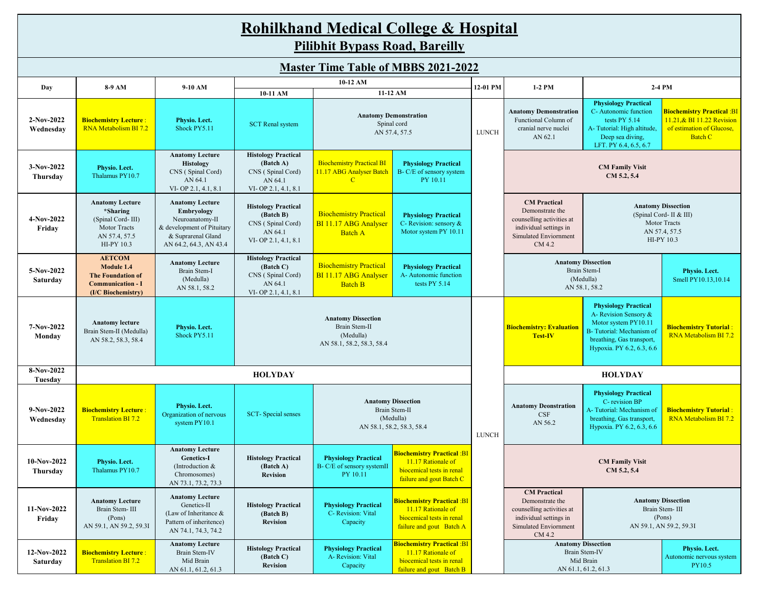| <b>Rohilkhand Medical College &amp; Hospital</b><br><b>Pilibhit Bypass Road, Bareilly</b> |                                                                                                           |                                                                                                                                       |                                                                                                    |                                                                              |                                                                                                                        |              |                                                                                                                                                                                                             |                                                                                                                                                                    |                                                                                                                |  |
|-------------------------------------------------------------------------------------------|-----------------------------------------------------------------------------------------------------------|---------------------------------------------------------------------------------------------------------------------------------------|----------------------------------------------------------------------------------------------------|------------------------------------------------------------------------------|------------------------------------------------------------------------------------------------------------------------|--------------|-------------------------------------------------------------------------------------------------------------------------------------------------------------------------------------------------------------|--------------------------------------------------------------------------------------------------------------------------------------------------------------------|----------------------------------------------------------------------------------------------------------------|--|
| <b>Master Time Table of MBBS 2021-2022</b>                                                |                                                                                                           |                                                                                                                                       |                                                                                                    |                                                                              |                                                                                                                        |              |                                                                                                                                                                                                             |                                                                                                                                                                    |                                                                                                                |  |
|                                                                                           | 10-12 AM<br>12-01 PM<br>8-9 AM<br>9-10 AM<br>$1-2$ PM<br>2-4 PM<br>Day                                    |                                                                                                                                       |                                                                                                    |                                                                              |                                                                                                                        |              |                                                                                                                                                                                                             |                                                                                                                                                                    |                                                                                                                |  |
|                                                                                           |                                                                                                           |                                                                                                                                       | 10-11 AM                                                                                           |                                                                              | 11-12 AM                                                                                                               |              |                                                                                                                                                                                                             | <b>Physiology Practical</b>                                                                                                                                        |                                                                                                                |  |
| $2-Nov-2022$<br>Wednesday                                                                 | <b>Biochemistry Lecture:</b><br>RNA Metabolism BI 7.2                                                     | Physio. Lect.<br>Shock PY5.11                                                                                                         | <b>SCT</b> Renal system                                                                            | <b>Anatomy Demonstration</b><br>Spinal cord<br>AN 57.4, 57.5                 |                                                                                                                        | <b>LUNCH</b> | C-Autonomic function<br><b>Anatomy Demonstration</b><br>Functional Column of<br>tests PY 5.14<br>cranial nerve nuclei<br>A-Tutorial: High altitude,<br>AN 62.1<br>Deep sea diving,<br>LFT. PY 6.4, 6.5, 6.7 |                                                                                                                                                                    | <b>Biochemistry Practical :BI</b><br>11.21, & BI 11.22 Revision<br>of estimation of Glucose,<br><b>Batch C</b> |  |
| 3-Nov-2022<br>Thursday                                                                    | Physio. Lect.<br>Thalamus PY10.7                                                                          | <b>Anatomy Lecture</b><br><b>Histology</b><br>CNS (Spinal Cord)<br>AN 64.1<br>VI-OP 2.1, 4.1, 8.1                                     | <b>Histology Practical</b><br>(Batch A)<br>CNS (Spinal Cord)<br>AN 64.1<br>VI-OP 2.1, 4.1, 8.1     | <b>Biochemistry Practical BI</b><br>11.17 ABG Analyser Batch<br>$\mathbf{C}$ | <b>Physiology Practical</b><br>B- C/E of sensory system<br>PY 10.11                                                    |              |                                                                                                                                                                                                             | <b>CM Family Visit</b><br>CM 5.2, 5.4                                                                                                                              |                                                                                                                |  |
| 4-Nov-2022<br>Friday                                                                      | <b>Anatomy Lecture</b><br>*Sharing<br>(Spinal Cord-III)<br>Motor Tracts<br>AN 57.4, 57.5<br>HI-PY 10.3    | <b>Anatomy Lecture</b><br>Embryology<br>Neuroanatomy-II<br>& development of Pituitary<br>& Suprarenal Gland<br>AN 64.2, 64.3, AN 43.4 | <b>Histology Practical</b><br>(Batch B)<br>CNS (Spinal Cord)<br>AN 64.1<br>VI-OP 2.1, 4.1, 8.1     | <b>Biochemistry Practical</b><br>BI 11.17 ABG Analyser<br><b>Batch A</b>     | <b>Physiology Practical</b><br>C- Revision: sensory &<br>Motor system PY 10.11                                         |              | <b>CM</b> Practical<br>Demonstrate the<br>counselling activities at<br>individual settings in<br><b>Simulated Enviornment</b><br>CM 4.2                                                                     |                                                                                                                                                                    | <b>Anatomy Dissection</b><br>(Spinal Cord- II & III)<br>Motor Tracts<br>AN 57.4, 57.5<br>HI-PY 10.3            |  |
| 5-Nov-2022<br>Saturday                                                                    | <b>AETCOM</b><br>Module 1.4<br><b>The Foundation of</b><br><b>Communication - I</b><br>(I/C Biochemistry) | <b>Anatomy Lecture</b><br>Brain Stem-I<br>(Medulla)<br>AN 58.1, 58.2                                                                  | <b>Histology Practical</b><br>(Batch C)<br>CNS (Spinal Cord)<br>AN 64.1<br>$VI$ - OP 2.1, 4.1, 8.1 | <b>Biochemistry Practical</b><br>BI 11.17 ABG Analyser<br><b>Batch B</b>     | <b>Physiology Practical</b><br>A- Autonomic function<br>tests PY 5.14                                                  |              | <b>Anatomy Dissection</b><br>Brain Stem-I<br>(Medulla)<br>AN 58.1, 58.2                                                                                                                                     |                                                                                                                                                                    | Physio. Lect.<br>Smell PY10.13,10.14                                                                           |  |
| 7-Nov-2022<br>Monday                                                                      | <b>Anatomy lecture</b><br>Brain Stem-II (Medulla)<br>AN 58.2, 58.3, 58.4                                  | Physio. Lect.<br>Shock PY5.11                                                                                                         | <b>Anatomy Dissection</b><br>Brain Stem-II<br>(Medulla)<br>AN 58.1, 58.2, 58.3, 58.4               |                                                                              |                                                                                                                        |              | <b>Biochemistry: Evaluation</b><br><b>Test-IV</b>                                                                                                                                                           | <b>Physiology Practical</b><br>A- Revision Sensory &<br>Motor system PY10.11<br>B-Tutorial: Mechanism of<br>breathing, Gas transport,<br>Hypoxia. PY 6.2, 6.3, 6.6 | <b>Biochemistry Tutorial:</b><br>RNA Metabolism BI 7.2                                                         |  |
| 8-Nov-2022<br>Tuesday                                                                     |                                                                                                           |                                                                                                                                       | <b>HOLYDAY</b>                                                                                     |                                                                              |                                                                                                                        |              |                                                                                                                                                                                                             | <b>HOLYDAY</b>                                                                                                                                                     |                                                                                                                |  |
| $9-Nov-2022$<br>Wednesdav                                                                 | <b>Biochemistry Lecture :</b><br><b>Translation BI 7.2</b>                                                | Physio. Lect.<br>Organization of nervous<br>system PY10.1                                                                             | SCT-Special senses                                                                                 |                                                                              | <b>Anatomy Dissection</b><br>Brain Stem-II<br>(Medulla)<br>AN 58.1, 58.2, 58.3, 58.4                                   | <b>LUNCH</b> | <b>Anatomy Deonstration</b><br>CSF<br>AN 56.2                                                                                                                                                               | <b>Physiology Practical</b><br>C-revision BP<br>A-Tutorial: Mechanism of<br>breathing, Gas transport,<br>Hypoxia. PY 6.2, 6.3, 6.6                                 | <b>Biochemistry Tutorial:</b><br>RNA Metabolism BI 7.2                                                         |  |
| $10-Nov-2022$<br>Thursday                                                                 | Physio. Lect.<br>Thalamus PY10.7                                                                          | <b>Anatomy Lecture</b><br><b>Genetics-I</b><br>(Introduction &<br>Chromosomes)<br>AN 73.1, 73.2, 73.3                                 | <b>Histology Practical</b><br>(Batch A)<br><b>Revision</b>                                         | <b>Physiology Practical</b><br>B- C/E of sensory systemII<br>PY 10.11        | <mark>Biochemistry Practical :BI</mark><br>11.17 Rationale of<br>biocemical tests in renal<br>failure and gout Batch C |              | <b>CM Family Visit</b><br>CM 5.2, 5.4                                                                                                                                                                       |                                                                                                                                                                    |                                                                                                                |  |
| 11-Nov-2022<br>Friday                                                                     | <b>Anatomy Lecture</b><br>Brain Stem-III<br>(Pons)<br>AN 59.1, AN 59.2, 59.31                             | <b>Anatomy Lecture</b><br>Genetics-II<br>(Law of Inheritance &<br>Pattern of inheritence)<br>AN 74.1, 74.3, 74.2                      | <b>Histology Practical</b><br>(Batch B)<br><b>Revision</b>                                         | <b>Physiology Practical</b><br>C- Revision: Vital<br>Capacity                | <mark>Biochemistry Practical :BI</mark><br>11.17 Rationale of<br>biocemical tests in renal<br>failure and gout Batch A |              | <b>CM</b> Practical<br>Demonstrate the<br>counselling activities at<br>individual settings in<br>Simulated Enviornment<br>CM 4.2                                                                            |                                                                                                                                                                    | <b>Anatomy Dissection</b><br>Brain Stem-III<br>(Pons)<br>AN 59.1, AN 59.2, 59.3I                               |  |
| 12-Nov-2022<br>Saturday                                                                   | <b>Biochemistry Lecture:</b><br><b>Translation BI 7.2</b>                                                 | <b>Anatomy Lecture</b><br>Brain Stem-IV<br>Mid Brain<br>AN 61.1, 61.2, 61.3                                                           | <b>Histology Practical</b><br>(Batch C)<br><b>Revision</b>                                         | <b>Physiology Practical</b><br>A- Revision: Vital<br>Capacity                | <b>Biochemistry Practical :BI</b><br>11.17 Rationale of<br>biocemical tests in renal<br>failure and gout Batch B       |              |                                                                                                                                                                                                             | <b>Anatomy Dissection</b><br>Brain Stem-IV<br>Mid Brain<br>AN 61.1, 61.2, 61.3                                                                                     | Physio. Lect.<br>Autonomic nervous system<br>PY10.5                                                            |  |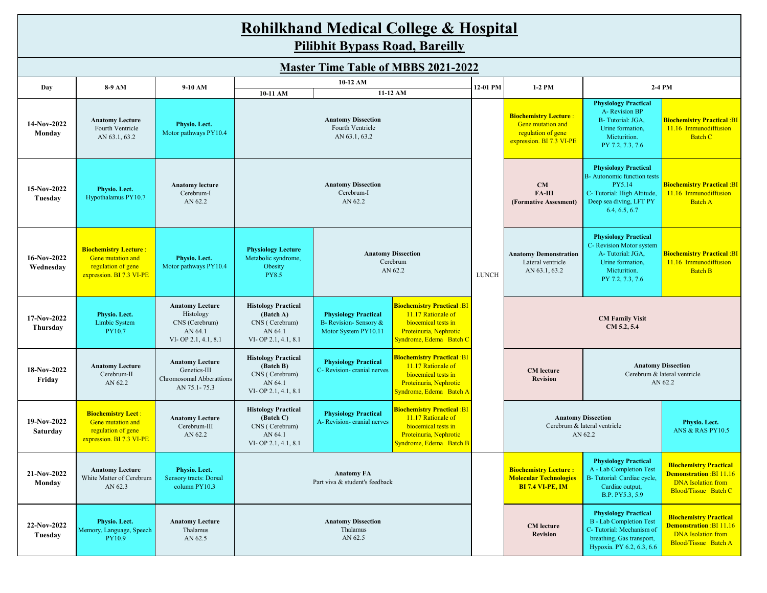# **Rohilkhand Medical College & Hospital**

**Pilibhit Bypass Road, Bareilly**

|                          |                                                                                                     |                                                                                         |                                                                                                                                                                                                                                                                                                                     | 10-12 AM                                                   |                                                                                                                                     |                                                                                                     |                                                                                                                                                |                                                                                                                                                     |                                                                                                                      |
|--------------------------|-----------------------------------------------------------------------------------------------------|-----------------------------------------------------------------------------------------|---------------------------------------------------------------------------------------------------------------------------------------------------------------------------------------------------------------------------------------------------------------------------------------------------------------------|------------------------------------------------------------|-------------------------------------------------------------------------------------------------------------------------------------|-----------------------------------------------------------------------------------------------------|------------------------------------------------------------------------------------------------------------------------------------------------|-----------------------------------------------------------------------------------------------------------------------------------------------------|----------------------------------------------------------------------------------------------------------------------|
| Day                      | 8-9 AM                                                                                              | 9-10 AM                                                                                 | 10-11 AM                                                                                                                                                                                                                                                                                                            |                                                            | 11-12 AM                                                                                                                            | 12-01 PM                                                                                            | 1-2 PM                                                                                                                                         | 2-4 PM                                                                                                                                              |                                                                                                                      |
| 14-Nov-2022<br>Monday    | <b>Anatomy Lecture</b><br>Fourth Ventricle<br>AN 63.1, 63.2                                         | Physio. Lect.<br>Motor pathways PY10.4                                                  | <b>Anatomy Dissection</b><br>Fourth Ventricle<br>AN 63.1, 63.2                                                                                                                                                                                                                                                      |                                                            |                                                                                                                                     | <b>Biochemistry Lecture:</b><br>Gene mutation and<br>regulation of gene<br>expression. BI 7.3 VI-PE | <b>Physiology Practical</b><br>A-Revision BP<br>B-Tutorial: JGA,<br>Urine formation,<br>Micturition.<br>PY 7.2, 7.3, 7.6                       | <b>Biochemistry Practical :BI</b><br>11.16 Immunodiffusion<br><b>Batch C</b>                                                                        |                                                                                                                      |
| 15-Nov-2022<br>Tuesday   | Physio. Lect.<br>Hypothalamus PY10.7                                                                | <b>Anatomy lecture</b><br>Cerebrum-I<br>AN 62.2                                         | <b>Anatomy Dissection</b><br>Cerebrum-I<br>AN 62.2                                                                                                                                                                                                                                                                  |                                                            |                                                                                                                                     | CM<br>FA-III<br>(Formative Assesment)                                                               | <b>Physiology Practical</b><br>B- Autonomic function tests<br>PY5.14<br>C-Tutorial: High Altitude,<br>Deep sea diving, LFT PY<br>6.4, 6.5, 6.7 | <b>Biochemistry Practical :BI</b><br>11.16 Immunodiffusion<br><b>Batch A</b>                                                                        |                                                                                                                      |
| 16-Nov-2022<br>Wednesday | <b>Biochemistry Lecture:</b><br>Gene mutation and<br>regulation of gene<br>expression. BI 7.3 VI-PE | Physio. Lect.<br>Motor pathways PY10.4                                                  | <b>Physiology Lecture</b><br>Metabolic syndrome,<br>Obesity<br><b>PY8.5</b>                                                                                                                                                                                                                                         | <b>Anatomy Dissection</b><br>Cerebrum<br>AN 62.2           |                                                                                                                                     | <b>LUNCH</b>                                                                                        | <b>Anatomy Demonstration</b><br>Lateral ventricle<br>AN 63.1, 63.2                                                                             | <b>Physiology Practical</b><br>C- Revision Motor system<br>A-Tutorial: JGA,<br>Urine formation,<br>Micturition.<br>PY 7.2, 7.3, 7.6                 | <b>Biochemistry Practical: BI</b><br>11.16 Immunodiffusion<br><b>Batch B</b>                                         |
| 17-Nov-2022<br>Thursday  | Physio. Lect.<br><b>Limbic System</b><br>PY10.7                                                     | <b>Anatomy Lecture</b><br>Histology<br>CNS (Cerebrum)<br>AN 64.1<br>VI-OP 2.1, 4.1, 8.1 | <b>Histology Practical</b><br><b>Biochemistry Practical :BI</b><br>11.17 Rationale of<br>(Batch A)<br><b>Physiology Practical</b><br>biocemical tests in<br>CNS (Cerebrum)<br>B- Revision- Sensory &<br>Proteinuria, Nephrotic<br>AN 64.1<br>Motor System PY10.11<br>Syndrome, Edema Batch C<br>VI-OP 2.1, 4.1, 8.1 |                                                            |                                                                                                                                     |                                                                                                     | <b>CM Family Visit</b><br>CM 5.2, 5.4                                                                                                          |                                                                                                                                                     |                                                                                                                      |
| 18-Nov-2022<br>Friday    | <b>Anatomy Lecture</b><br>Cerebrum-II<br>AN 62.2                                                    | <b>Anatomy Lecture</b><br>Genetics-III<br>Chromosomal Abberattions<br>AN 75.1-75.3      | <b>Histology Practical</b><br>(Batch B)<br>CNS (Cerebrum)<br>AN 64.1<br>VI-OP 2.1, 4.1, 8.1                                                                                                                                                                                                                         | <b>Physiology Practical</b><br>C- Revision- cranial nerves | <b>Biochemistry Practical :BI</b><br>11.17 Rationale of<br>biocemical tests in<br>Proteinuria, Nephrotic<br>Syndrome, Edema Batch A |                                                                                                     | <b>Anatomy Dissection</b><br><b>CM</b> lecture<br>Cerebrum & lateral ventricle<br><b>Revision</b><br>AN 62.2                                   |                                                                                                                                                     |                                                                                                                      |
| 19-Nov-2022<br>Saturday  | <b>Biochemistry Lect:</b><br>Gene mutation and<br>regulation of gene<br>expression. BI 7.3 VI-PE    | <b>Anatomy Lecture</b><br>Cerebrum-III<br>AN 62.2                                       | <b>Histology Practical</b><br>(Batch C)<br>CNS (Cerebrum)<br>AN 64.1<br>VI-OP 2.1, 4.1, 8.1                                                                                                                                                                                                                         | <b>Physiology Practical</b><br>A-Revision- cranial nerves  | <b>Biochemistry Practical :BI</b><br>11.17 Rationale of<br>biocemical tests in<br>Proteinuria, Nephrotic<br>Syndrome, Edema Batch B |                                                                                                     | <b>Anatomy Dissection</b><br>Cerebrum & lateral ventricle<br>AN 62.2                                                                           |                                                                                                                                                     | Physio. Lect.<br><b>ANS &amp; RAS PY10.5</b>                                                                         |
| 21-Nov-2022<br>Monday    | <b>Anatomy Lecture</b><br>White Matter of Cerebrum<br>AN 62.3                                       | Physio. Lect.<br>Sensory tracts: Dorsal<br>column PY10.3                                | <b>Anatomy FA</b><br>Part viva & student's feedback                                                                                                                                                                                                                                                                 |                                                            |                                                                                                                                     | <b>Biochemistry Lecture:</b><br><b>Molecular Technologies</b><br><b>BI 7.4 VI-PE, IM</b>            | <b>Physiology Practical</b><br>A - Lab Completion Test<br>B- Tutorial: Cardiac cycle,<br>Cardiac output,<br>B.P. PY5.3, 5.9                    | <b>Biochemistry Practical</b><br><b>Demonstration: BI 11.16</b><br><b>DNA</b> Isolation from<br>Blood/Tissue Batch C                                |                                                                                                                      |
| 22-Nov-2022<br>Tuesday   | Physio. Lect.<br>Memory, Language, Speech<br>PY10.9                                                 | <b>Anatomy Lecture</b><br>Thalamus<br>AN 62.5                                           | <b>Anatomy Dissection</b><br>Thalamus<br>AN 62.5                                                                                                                                                                                                                                                                    |                                                            |                                                                                                                                     |                                                                                                     | <b>CM</b> lecture<br><b>Revision</b>                                                                                                           | <b>Physiology Practical</b><br><b>B</b> - Lab Completion Test<br>C-Tutorial: Mechanism of<br>breathing, Gas transport,<br>Hypoxia. PY 6.2, 6.3, 6.6 | <b>Biochemistry Practical</b><br><b>Demonstration: BI 11.16</b><br><b>DNA</b> Isolation from<br>Blood/Tissue Batch A |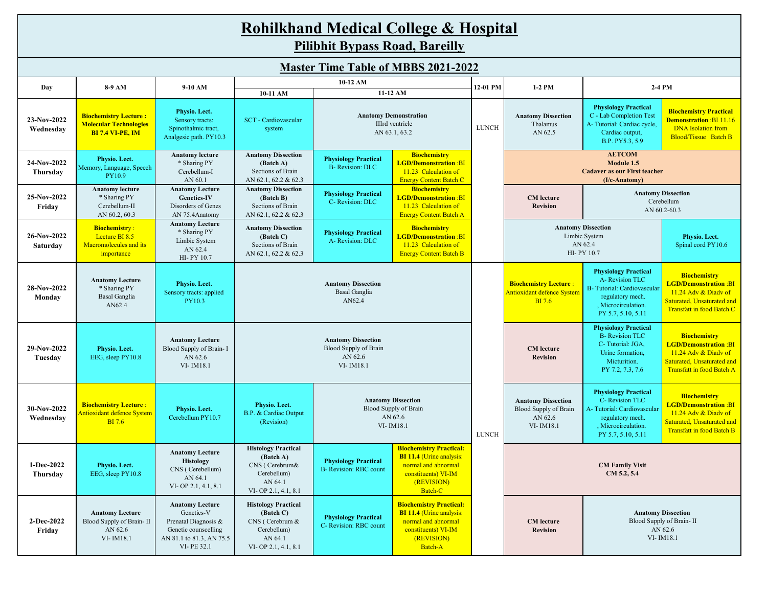#### **10-11 AM Rohilkhand Medical College & Hospital Pilibhit Bypass Road, Bareilly Master Time Table of MBBS 2021-2022 Day 8-9 AM 9-10 AM 10-12 AM 12-01 PM 1-2 PM 2-4 PM 11-12 AM 23-Nov-2022 Wednesday Biochemistry Lecture : Molecular Technologies BI 7.4 VI-PE, IM Physio. Lect.**  Sensory tracts: Spinothalmic tract, Analgesic path. PY10.3 SCT - Cardiovascular system **Anatomy Dissection** Thalamus AN 62.5 **Physiology Practical** C - Lab Completion Test A- Tutorial: Cardiac cycle, Cardiac output, B.P. PY5.3, 5.9 **Biochemistry Practical Demonstration** :BI 11.16 DNA Isolation from Blood/Tissue Batch B **24-Nov-2022 Thursday Physio. Lect.**  Memory, Language, Speech PY10.9 **Anatomy lecture** \* Sharing PY Cerebellum-I AN 60.1 **Anatomy Dissection (Batch A)** Sections of Brain AN 62.1, 62.2 & 62.3 **Physiology Practical** B- Revision: DLC **Biochemistry LGD/Demonstration** :BI 11.23 Calculation of Energy Content Batch C **25-Nov-2022 Friday Anatomy lecture** \* Sharing PY Cerebellum-II AN 60.2, 60.3 **Anatomy Lecture Genetics-IV** Disorders of Genes AN 75.4Anatomy **Anatomy Dissection (Batch B)** Sections of Brain AN 62.1, 62.2 & 62.3 **Physiology Practical** C- Revision: DLC **Biochemistry LGD/Demonstration** :BI 11.23 Calculation of Energy Content Batch A **CM lecture Revision 26-Nov-2022 Saturday Biochemistr**y : Lecture BI 8.5 Macromolecules and its importance **Anatomy Lecture** \* Sharing PY Limbic System AN 62.4 HI- PY 10.7 **Anatomy Dissection (Batch C)** Sections of Brain AN 62.1, 62.2 & 62.3 **Physiology Practical** A- Revision: DLC **Biochemistry LGD/Demonstration** :BI 11.23 Calculation of Energy Content Batch B **Physio. Lect.**  Spinal cord PY10.6 **28-Nov-2022 Monday Anatomy Lecture** \* Sharing PY Basal Ganglia AN62.4 **Physio. Lect.**  Sensory tracts: applied PY10.3 **Biochemistry Lecture** : Antioxidant defence System BI 7.6 **Physiology Practical** A- Revision TLC B- Tutorial: Cardiovascular regulatory mech. , Microcirculation. PY 5.7, 5.10, 5.11 **Biochemistry LGD/Demonstration** :BI 11.24 Adv & Diadv of Saturated, Unsaturated and Transfatt in food Batch C **29-Nov-2022 Tuesday Physio. Lect.**  EEG, sleep PY10.8 **Anatomy Lecture** Blood Supply of Brain- I AN 62.6 VI- IM18.1 **CM lecture Revision Physiology Practical** B- Revision TLC C- Tutorial: JGA, Urine formation, Micturition. PY 7.2, 7.3, 7.6 **Biochemistry LGD/Demonstration** :BI 11.24 Adv & Diady of Saturated, Unsaturated and Transfatt in food Batch A **30-Nov-2022 Wednesday Biochemistry Lecture** : Antioxidant defence System BI 7.6 **Physio. Lect.**  Cerebellum PY10.7 **Physio. Lect.**  B.P. & Cardiac Output (Revision) **Anatomy Dissection** Blood Supply of Brain AN 62.6 VI- IM18.1 **Physiology Practical** C- Revision TLC A- Tutorial: Cardiovascular regulatory mech. , Microcirculation. PY 5.7, 5.10, 5.11 **Biochemistry LGD/Demonstration** :BI 11.24 Adv & Diadv of Saturated, Unsaturated and Transfatt in food Batch B **1-Dec-2022 Thursday Physio. Lect.**  EEG, sleep PY10.8 **Anatomy Lecture Histology** CNS ( Cerebellum) AN 64.1 VI- OP 2.1, 4.1, 8.1 **Histology Practical (Batch A)** CNS ( Cerebrum& Cerebellum) AN 64.1 VI- OP 2.1, 4.1, 8.1 **Physiology Practical** B- Revision: RBC count **Biochemistry Practical: BI 11.4** (Urine analysis: normal and abnormal constituents) VI-IM (REVISION) Batch-C **2-Dec-2022 Friday Anatomy Lecture** Blood Supply of Brain- II AN 62.6 VI- IM18.1 **Anatomy Lecture** Genetics-V Prenatal Diagnosis & Genetic counscelling AN 81.1 to 81.3, AN 75.5 VI- PE 32.1 **Histology Practical (Batch C)** CNS ( Cerebrum & Cerebellum) AN 64.1 VI- OP 2.1, 4.1, 8.1 **Physiology Practical** C- Revision: RBC count **Biochemistry Practical: BI 11.4** (Urine analysis: normal and abnormal constituents) VI-IM (REVISION) Batch-A **CM lecture Revision Anatomy Dissection** Blood Supply of Brain AN 62.6 VI- IM18.1 **Anatomy Demonstration** IIIrd ventricle AN 63.1, 63.2 **AETCOM Module 1.5 Cadaver as our First teacher (I/c-Anatomy) Anatomy Dissection** Cerebellum AN 60.2-60.3 **Anatomy Dissection** Limbic System AN 62.4 HI- PY 10.7 **CM Family Visit CM 5.2, 5.4 Anatomy Dissection** Blood Supply of Brain- II AN 62.6 VI- IM18.1 LUNCH **Anatomy Dissection** Basal Ganglia AN62.4 **Anatomy Dissection** Blood Supply of Brain AN 62.6 VI- IM18.1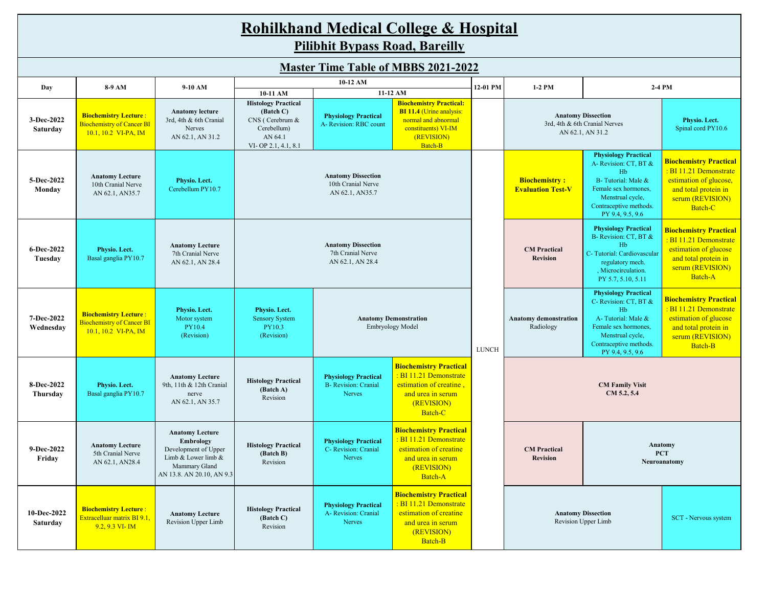|                         | <b>Rohilkhand Medical College &amp; Hospital</b><br><b>Pilibhit Bypass Road, Bareilly</b>  |                                                                                                                                  |                                                                                                                         |                                                                                                                                                                                                   |                                                                                                                                  |              |                                                                                 |                                                                                                                                                                            |                                                                                                                                          |  |
|-------------------------|--------------------------------------------------------------------------------------------|----------------------------------------------------------------------------------------------------------------------------------|-------------------------------------------------------------------------------------------------------------------------|---------------------------------------------------------------------------------------------------------------------------------------------------------------------------------------------------|----------------------------------------------------------------------------------------------------------------------------------|--------------|---------------------------------------------------------------------------------|----------------------------------------------------------------------------------------------------------------------------------------------------------------------------|------------------------------------------------------------------------------------------------------------------------------------------|--|
|                         |                                                                                            |                                                                                                                                  |                                                                                                                         |                                                                                                                                                                                                   |                                                                                                                                  |              |                                                                                 |                                                                                                                                                                            |                                                                                                                                          |  |
|                         |                                                                                            |                                                                                                                                  |                                                                                                                         |                                                                                                                                                                                                   | <b>Master Time Table of MBBS 2021-2022</b>                                                                                       |              |                                                                                 |                                                                                                                                                                            |                                                                                                                                          |  |
| Day                     | 10-12 AM<br>8-9 AM<br>9-10 AM<br>11-12 AM                                                  |                                                                                                                                  | 12-01 PM                                                                                                                | 1-2 PM                                                                                                                                                                                            |                                                                                                                                  | 2-4 PM       |                                                                                 |                                                                                                                                                                            |                                                                                                                                          |  |
| 3-Dec-2022<br>Saturday  | <b>Biochemistry Lecture:</b><br><b>Biochemistry of Cancer BI</b><br>$10.1, 10.2$ VI-PA, IM | <b>Anatomy lecture</b><br>3rd, 4th & 6th Cranial<br>Nerves<br>AN 62.1, AN 31.2                                                   | 10-11 AM<br><b>Histology Practical</b><br>(Batch C)<br>CNS (Cerebrum &<br>Cerebellum)<br>AN 64.1<br>VI-OP 2.1, 4.1, 8.1 | <b>Biochemistry Practical:</b><br><b>BI 11.4 (Urine analysis:</b><br><b>Physiology Practical</b><br>normal and abnormal<br>A- Revision: RBC count<br>constituents) VI-IM<br>(REVISION)<br>Batch-B |                                                                                                                                  |              | <b>Anatomy Dissection</b><br>3rd, 4th & 6th Cranial Nerves<br>AN 62.1, AN 31.2  |                                                                                                                                                                            | Physio. Lect.<br>Spinal cord PY10.6                                                                                                      |  |
| 5-Dec-2022<br>Monday    | <b>Anatomy Lecture</b><br>10th Cranial Nerve<br>AN 62.1, AN35.7                            | Physio. Lect.<br>Cerebellum PY10.7                                                                                               |                                                                                                                         | <b>Anatomy Dissection</b><br>10th Cranial Nerve<br>AN 62.1, AN35.7                                                                                                                                |                                                                                                                                  |              | <b>Biochemistry:</b><br><b>Evaluation Test-V</b>                                | <b>Physiology Practical</b><br>A- Revision: CT, BT &<br>Hb<br>B-Tutorial: Male &<br>Female sex hormones,<br>Menstrual cycle,<br>Contraceptive methods.<br>PY 9.4, 9.5, 9.6 | <b>Biochemistry Practical</b><br>: BI 11.21 Demonstrate<br>estimation of glucose,<br>and total protein in<br>serum (REVISION)<br>Batch-C |  |
| 6-Dec-2022<br>Tuesday   | Physio. Lect.<br>Basal ganglia PY10.7                                                      | <b>Anatomy Lecture</b><br>7th Cranial Nerve<br>AN 62.1, AN 28.4                                                                  | <b>Anatomy Dissection</b><br>7th Cranial Nerve<br>AN 62.1, AN 28.4                                                      |                                                                                                                                                                                                   |                                                                                                                                  |              | <b>CM</b> Practical<br><b>Revision</b>                                          | <b>Physiology Practical</b><br>B- Revision: CT, BT &<br>Hb<br>C-Tutorial: Cardiovascular<br>regulatory mech.<br>, Microcirculation.<br>PY 5.7, 5.10, 5.11                  | <b>Biochemistry Practical</b><br>: BI 11.21 Demonstrate<br>estimation of glucose<br>and total protein in<br>serum (REVISION)<br>Batch-A  |  |
| 7-Dec-2022<br>Wednesday | <b>Biochemistry Lecture:</b><br><b>Biochemistry of Cancer BI</b><br>$10.1, 10.2$ VI-PA, IM | Physio. Lect.<br>Motor system<br>PY10.4<br>(Revision)                                                                            | Physio. Lect.<br><b>Sensory System</b><br>PY10.3<br>(Revision)                                                          | <b>Anatomy Demonstration</b><br>Embryology Model                                                                                                                                                  |                                                                                                                                  | <b>LUNCH</b> | <b>Anatomy demonstration</b><br>Radiology                                       | <b>Physiology Practical</b><br>C- Revision: CT, BT &<br>Hb<br>A-Tutorial: Male &<br>Female sex hormones,<br>Menstrual cycle,<br>Contraceptive methods.<br>PY 9.4, 9.5, 9.6 | <b>Biochemistry Practical</b><br>: BI 11.21 Demonstrate<br>estimation of glucose<br>and total protein in<br>serum (REVISION)<br>Batch-B  |  |
| 8-Dec-2022<br>Thursday  | Physio. Lect.<br>Basal ganglia PY10.7                                                      | <b>Anatomy Lecture</b><br>9th, 11th & 12th Cranial<br>nerve<br>AN 62.1, AN 35.7                                                  | <b>Histology Practical</b><br>(Batch A)<br>Revision                                                                     | <b>Physiology Practical</b><br><b>B-</b> Revision: Cranial<br>Nerves                                                                                                                              | <b>Biochemistry Practical</b><br>: BI 11.21 Demonstrate<br>estimation of creatine,<br>and urea in serum<br>(REVISION)<br>Batch-C |              |                                                                                 | <b>CM Family Visit</b><br>CM 5.2, 5.4                                                                                                                                      |                                                                                                                                          |  |
| 9-Dec-2022<br>Friday    | <b>Anatomy Lecture</b><br>5th Cranial Nerve<br>AN 62.1, AN28.4                             | <b>Anatomy Lecture</b><br>Embrology<br>Development of Upper<br>Limb & Lower limb &<br>Mammary Gland<br>AN 13.8. AN 20.10, AN 9.3 | <b>Histology Practical</b><br>(Batch B)<br>Revision                                                                     | <b>Physiology Practical</b><br>C- Revision: Cranial<br>Nerves                                                                                                                                     | <b>Biochemistry Practical</b><br>: BI 11.21 Demonstrate<br>estimation of creatine<br>and urea in serum<br>(REVISION)<br>Batch-A  |              | Anatomy<br><b>CM</b> Practical<br><b>PCT</b><br><b>Revision</b><br>Neuroanatomy |                                                                                                                                                                            |                                                                                                                                          |  |
| 10-Dec-2022<br>Saturday | <b>Biochemistry Lecture:</b><br>Extracelluar matrix BI 9.1,<br>$9.2, 9.3$ VI-IM            | <b>Anatomy Lecture</b><br>Revision Upper Limb                                                                                    | <b>Histology Practical</b><br>(Batch C)<br>Revision                                                                     | <b>Physiology Practical</b><br>A- Revision: Cranial<br>Nerves                                                                                                                                     | <b>Biochemistry Practical</b><br>: BI 11.21 Demonstrate<br>estimation of creatine<br>and urea in serum<br>(REVISION)<br>Batch-B  |              |                                                                                 | <b>Anatomy Dissection</b><br>Revision Upper Limb                                                                                                                           | SCT - Nervous system                                                                                                                     |  |

 $\overline{\phantom{a}}$